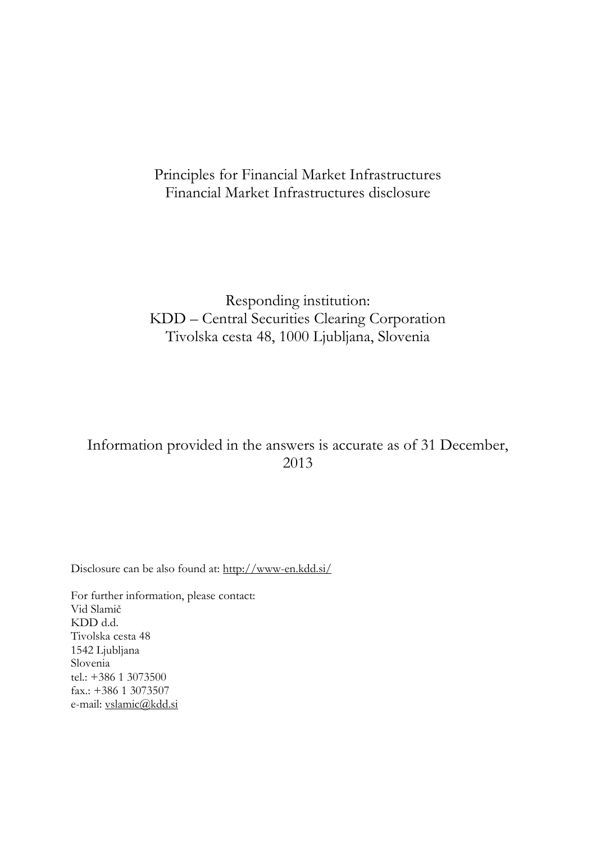# Principles for Financial Market Infrastructures Financial Market Infrastructures disclosure

# Responding institution: KDD – Central Securities Clearing Corporation Tivolska cesta 48, 1000 Ljubljana, Slovenia

# Information provided in the answers is accurate as of 31 December, 2013

Disclosure can be also found at:<http://www-en.kdd.si/>

For further information, please contact: Vid Slamič KDD d.d. Tivolska cesta 48 1542 Ljubljana Slovenia tel.: +386 1 3073500 fax.: +386 1 3073507 e-mail: [vslamic@kdd.si](mailto:vslamic@kdd.si)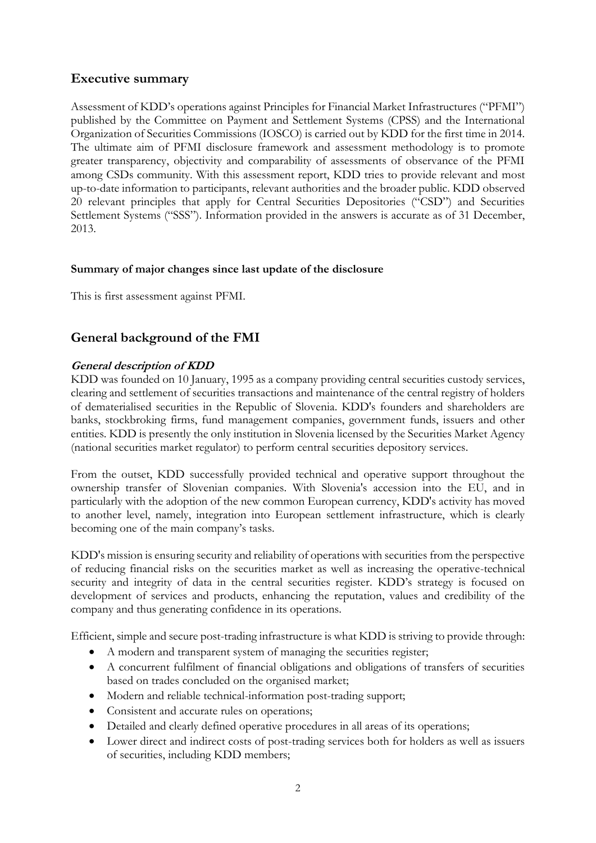# **Executive summary**

Assessment of KDD's operations against Principles for Financial Market Infrastructures ("PFMI") published by the Committee on Payment and Settlement Systems (CPSS) and the International Organization of Securities Commissions (IOSCO) is carried out by KDD for the first time in 2014. The ultimate aim of PFMI disclosure framework and assessment methodology is to promote greater transparency, objectivity and comparability of assessments of observance of the PFMI among CSDs community. With this assessment report, KDD tries to provide relevant and most up-to-date information to participants, relevant authorities and the broader public. KDD observed 20 relevant principles that apply for Central Securities Depositories ("CSD") and Securities Settlement Systems ("SSS"). Information provided in the answers is accurate as of 31 December, 2013.

# **Summary of major changes since last update of the disclosure**

This is first assessment against PFMI.

# **General background of the FMI**

# **General description of KDD**

KDD was founded on 10 January, 1995 as a company providing central securities custody services, clearing and settlement of securities transactions and maintenance of the central registry of holders of dematerialised securities in the Republic of Slovenia. KDD's founders and shareholders are banks, stockbroking firms, fund management companies, government funds, issuers and other entities. KDD is presently the only institution in Slovenia licensed by the Securities Market Agency (national securities market regulator) to perform central securities depository services.

From the outset, KDD successfully provided technical and operative support throughout the ownership transfer of Slovenian companies. With Slovenia's accession into the EU, and in particularly with the adoption of the new common European currency, KDD's activity has moved to another level, namely, integration into European settlement infrastructure, which is clearly becoming one of the main company's tasks.

KDD's mission is ensuring security and reliability of operations with securities from the perspective of reducing financial risks on the securities market as well as increasing the operative-technical security and integrity of data in the central securities register. KDD's strategy is focused on development of services and products, enhancing the reputation, values and credibility of the company and thus generating confidence in its operations.

Efficient, simple and secure post-trading infrastructure is what KDD is striving to provide through:

- A modern and transparent system of managing the securities register;
- A concurrent fulfilment of financial obligations and obligations of transfers of securities based on trades concluded on the organised market;
- Modern and reliable technical-information post-trading support;
- Consistent and accurate rules on operations;
- Detailed and clearly defined operative procedures in all areas of its operations;
- Lower direct and indirect costs of post-trading services both for holders as well as issuers of securities, including KDD members;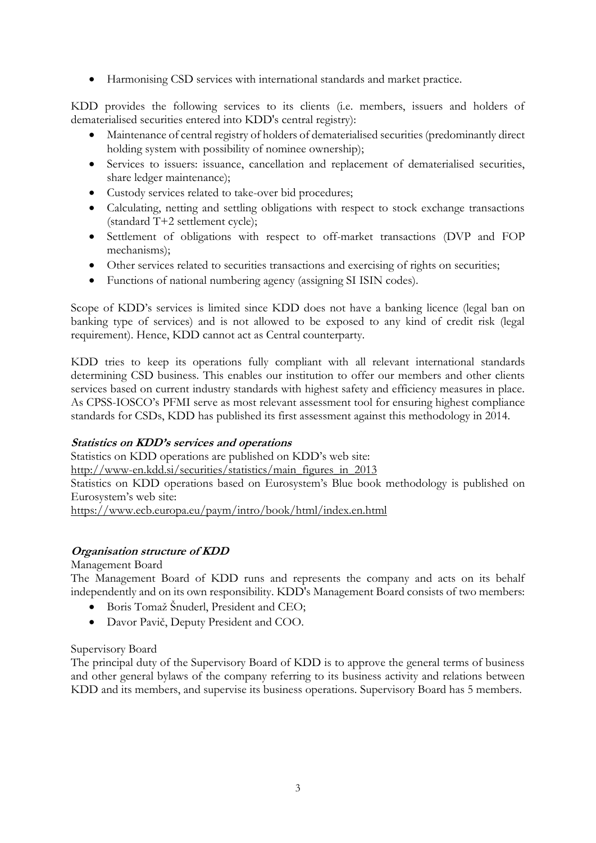Harmonising CSD services with international standards and market practice.

KDD provides the following services to its clients (i.e. members, issuers and holders of dematerialised securities entered into KDD's central registry):

- Maintenance of central registry of holders of dematerialised securities (predominantly direct holding system with possibility of nominee ownership);
- Services to issuers: issuance, cancellation and replacement of dematerialised securities, share ledger maintenance);
- Custody services related to take-over bid procedures;
- Calculating, netting and settling obligations with respect to stock exchange transactions (standard T+2 settlement cycle);
- Settlement of obligations with respect to off-market transactions (DVP and FOP mechanisms);
- Other services related to securities transactions and exercising of rights on securities;
- Functions of national numbering agency (assigning SI ISIN codes).

Scope of KDD's services is limited since KDD does not have a banking licence (legal ban on banking type of services) and is not allowed to be exposed to any kind of credit risk (legal requirement). Hence, KDD cannot act as Central counterparty.

KDD tries to keep its operations fully compliant with all relevant international standards determining CSD business. This enables our institution to offer our members and other clients services based on current industry standards with highest safety and efficiency measures in place. As CPSS-IOSCO's PFMI serve as most relevant assessment tool for ensuring highest compliance standards for CSDs, KDD has published its first assessment against this methodology in 2014.

# **Statistics on KDD's services and operations**

Statistics on KDD operations are published on KDD's web site: [http://www-en.kdd.si/securities/statistics/main\\_figures\\_in\\_2013](http://www-en.kdd.si/securities/statistics/main_figures_in_2013) Statistics on KDD operations based on Eurosystem's Blue book methodology is published on Eurosystem's web site: <https://www.ecb.europa.eu/paym/intro/book/html/index.en.html>

# **Organisation structure of KDD**

Management Board

The Management Board of KDD runs and represents the company and acts on its behalf independently and on its own responsibility. KDD's Management Board consists of two members:

- Boris Tomaž Šnuderl, President and CEO;
- Davor Pavič, Deputy President and COO.

#### Supervisory Board

The principal duty of the Supervisory Board of KDD is to approve the general terms of business and other general bylaws of the company referring to its business activity and relations between KDD and its members, and supervise its business operations. Supervisory Board has 5 members.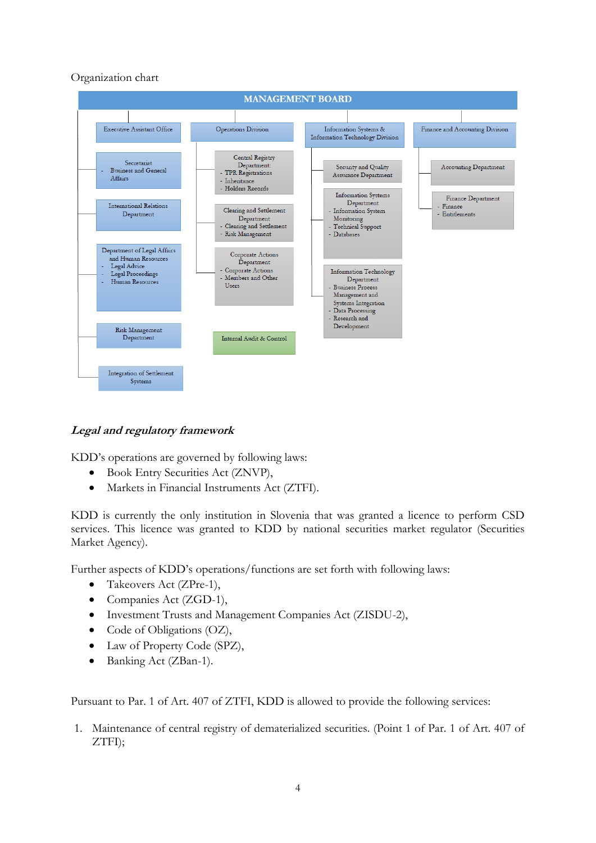# Organization chart



# **Legal and regulatory framework**

KDD's operations are governed by following laws:

- Book Entry Securities Act (ZNVP),
- Markets in Financial Instruments Act (ZTFI).

KDD is currently the only institution in Slovenia that was granted a licence to perform CSD services. This licence was granted to KDD by national securities market regulator (Securities Market Agency).

Further aspects of KDD's operations/functions are set forth with following laws:

- Takeovers Act (ZPre-1),
- Companies Act (ZGD-1),
- Investment Trusts and Management Companies Act (ZISDU-2),
- Code of Obligations (OZ),
- Law of Property Code (SPZ),
- Banking Act (ZBan-1).

Pursuant to Par. 1 of Art. 407 of ZTFI, KDD is allowed to provide the following services:

1. Maintenance of central registry of dematerialized securities. (Point 1 of Par. 1 of Art. 407 of ZTFI);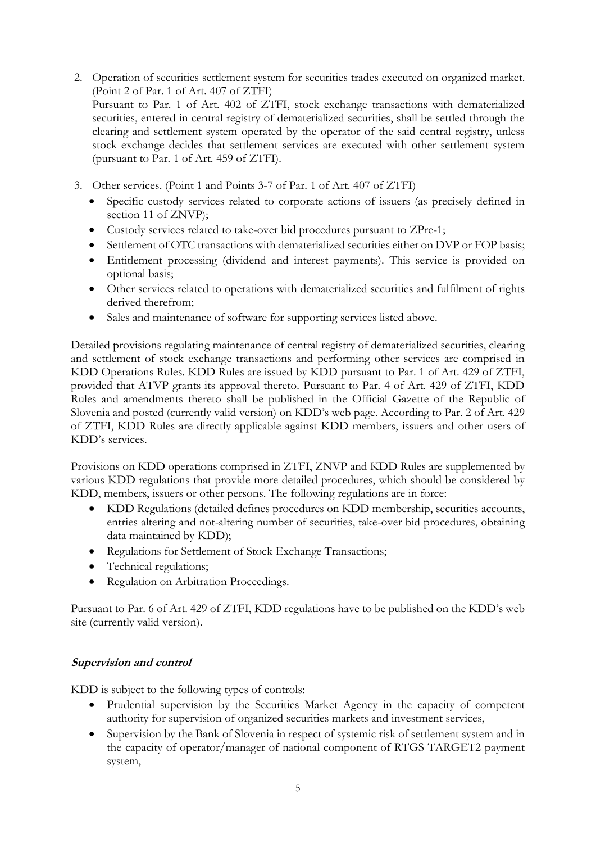- 2. Operation of securities settlement system for securities trades executed on organized market. (Point 2 of Par. 1 of Art. 407 of ZTFI) Pursuant to Par. 1 of Art. 402 of ZTFI, stock exchange transactions with dematerialized securities, entered in central registry of dematerialized securities, shall be settled through the clearing and settlement system operated by the operator of the said central registry, unless stock exchange decides that settlement services are executed with other settlement system (pursuant to Par. 1 of Art. 459 of ZTFI).
- 3. Other services. (Point 1 and Points 3-7 of Par. 1 of Art. 407 of ZTFI)
	- Specific custody services related to corporate actions of issuers (as precisely defined in section 11 of ZNVP);
	- Custody services related to take-over bid procedures pursuant to ZPre-1;
	- Settlement of OTC transactions with dematerialized securities either on DVP or FOP basis;
	- Entitlement processing (dividend and interest payments). This service is provided on optional basis;
	- Other services related to operations with dematerialized securities and fulfilment of rights derived therefrom;
	- Sales and maintenance of software for supporting services listed above.

Detailed provisions regulating maintenance of central registry of dematerialized securities, clearing and settlement of stock exchange transactions and performing other services are comprised in KDD Operations Rules. KDD Rules are issued by KDD pursuant to Par. 1 of Art. 429 of ZTFI, provided that ATVP grants its approval thereto. Pursuant to Par. 4 of Art. 429 of ZTFI, KDD Rules and amendments thereto shall be published in the Official Gazette of the Republic of Slovenia and posted (currently valid version) on KDD's web page. According to Par. 2 of Art. 429 of ZTFI, KDD Rules are directly applicable against KDD members, issuers and other users of KDD's services.

Provisions on KDD operations comprised in ZTFI, ZNVP and KDD Rules are supplemented by various KDD regulations that provide more detailed procedures, which should be considered by KDD, members, issuers or other persons. The following regulations are in force:

- KDD Regulations (detailed defines procedures on KDD membership, securities accounts, entries altering and not-altering number of securities, take-over bid procedures, obtaining data maintained by KDD);
- Regulations for Settlement of Stock Exchange Transactions;
- Technical regulations;
- Regulation on Arbitration Proceedings.

Pursuant to Par. 6 of Art. 429 of ZTFI, KDD regulations have to be published on the KDD's web site (currently valid version).

# **Supervision and control**

KDD is subject to the following types of controls:

- Prudential supervision by the Securities Market Agency in the capacity of competent authority for supervision of organized securities markets and investment services,
- Supervision by the Bank of Slovenia in respect of systemic risk of settlement system and in the capacity of operator/manager of national component of RTGS TARGET2 payment system,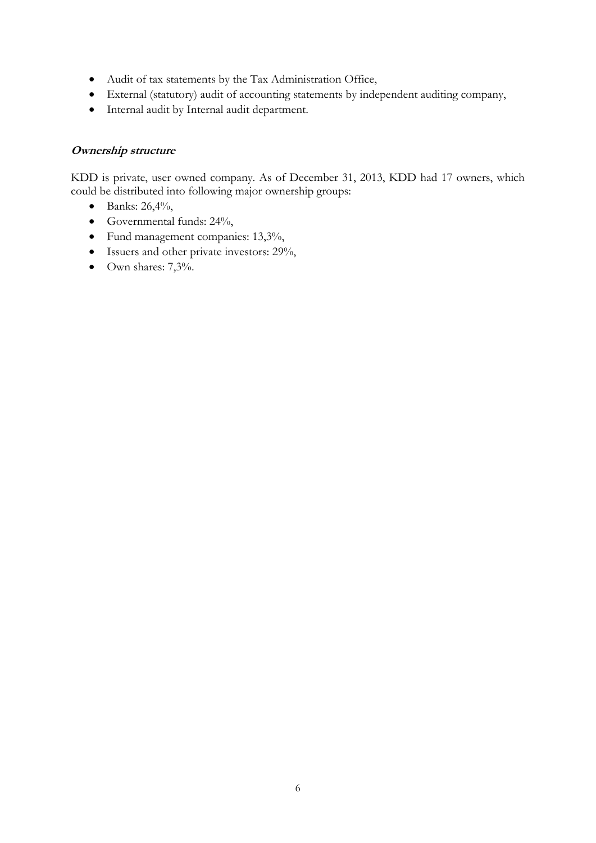- Audit of tax statements by the Tax Administration Office,
- External (statutory) audit of accounting statements by independent auditing company,
- Internal audit by Internal audit department.

#### **Ownership structure**

KDD is private, user owned company. As of December 31, 2013, KDD had 17 owners, which could be distributed into following major ownership groups:

- Banks:  $26,4\%$ ,
- Governmental funds: 24%,
- Fund management companies: 13,3%,
- Issuers and other private investors: 29%,
- $\bullet$  Own shares: 7,3%.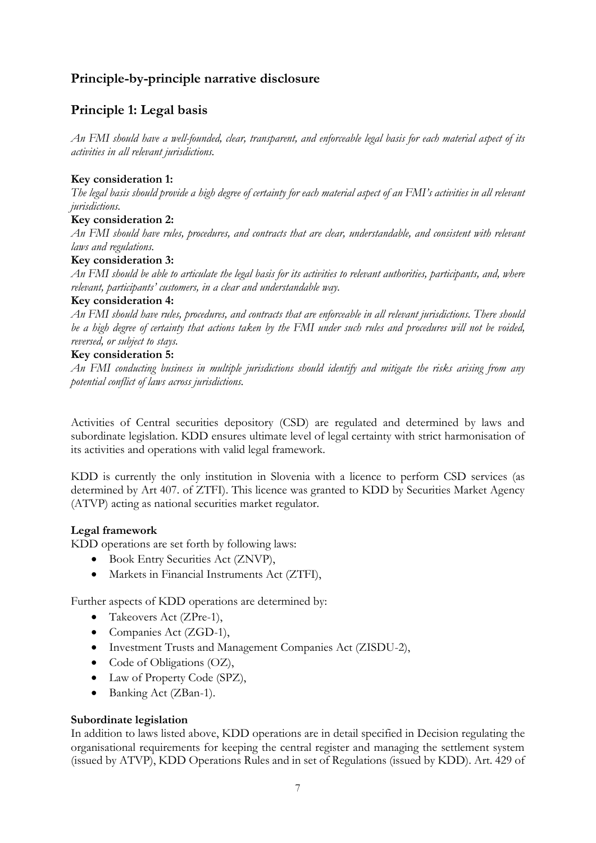# **Principle-by-principle narrative disclosure**

# **Principle 1: Legal basis**

*An FMI should have a well-founded, clear, transparent, and enforceable legal basis for each material aspect of its activities in all relevant jurisdictions.*

## **Key consideration 1:**

*The legal basis should provide a high degree of certainty for each material aspect of an FMI's activities in all relevant jurisdictions.*

#### **Key consideration 2:**

*An FMI should have rules, procedures, and contracts that are clear, understandable, and consistent with relevant laws and regulations.*

#### **Key consideration 3:**

*An FMI should be able to articulate the legal basis for its activities to relevant authorities, participants, and, where relevant, participants' customers, in a clear and understandable way.* 

#### **Key consideration 4:**

*An FMI should have rules, procedures, and contracts that are enforceable in all relevant jurisdictions. There should be a high degree of certainty that actions taken by the FMI under such rules and procedures will not be voided, reversed, or subject to stays.* 

#### **Key consideration 5:**

*An FMI conducting business in multiple jurisdictions should identify and mitigate the risks arising from any potential conflict of laws across jurisdictions.* 

Activities of Central securities depository (CSD) are regulated and determined by laws and subordinate legislation. KDD ensures ultimate level of legal certainty with strict harmonisation of its activities and operations with valid legal framework.

KDD is currently the only institution in Slovenia with a licence to perform CSD services (as determined by Art 407. of ZTFI). This licence was granted to KDD by Securities Market Agency (ATVP) acting as national securities market regulator.

#### **Legal framework**

KDD operations are set forth by following laws:

- Book Entry Securities Act (ZNVP),
- Markets in Financial Instruments Act (ZTFI),

Further aspects of KDD operations are determined by:

- Takeovers Act (ZPre-1),
- Companies Act (ZGD-1),
- Investment Trusts and Management Companies Act (ZISDU-2),
- Code of Obligations (OZ),
- Law of Property Code (SPZ),
- Banking Act (ZBan-1).

#### **Subordinate legislation**

In addition to laws listed above, KDD operations are in detail specified in Decision regulating the organisational requirements for keeping the central register and managing the settlement system (issued by ATVP), KDD Operations Rules and in set of Regulations (issued by KDD). Art. 429 of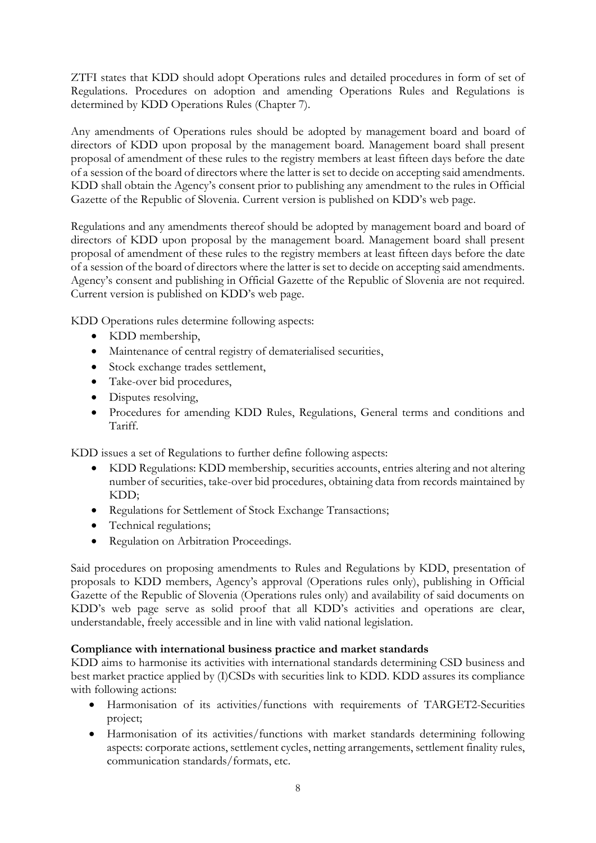ZTFI states that KDD should adopt Operations rules and detailed procedures in form of set of Regulations. Procedures on adoption and amending Operations Rules and Regulations is determined by KDD Operations Rules (Chapter 7).

Any amendments of Operations rules should be adopted by management board and board of directors of KDD upon proposal by the management board. Management board shall present proposal of amendment of these rules to the registry members at least fifteen days before the date of a session of the board of directors where the latter is set to decide on accepting said amendments. KDD shall obtain the Agency's consent prior to publishing any amendment to the rules in Official Gazette of the Republic of Slovenia. Current version is published on KDD's web page.

Regulations and any amendments thereof should be adopted by management board and board of directors of KDD upon proposal by the management board. Management board shall present proposal of amendment of these rules to the registry members at least fifteen days before the date of a session of the board of directors where the latter is set to decide on accepting said amendments. Agency's consent and publishing in Official Gazette of the Republic of Slovenia are not required. Current version is published on KDD's web page.

KDD Operations rules determine following aspects:

- KDD membership,
- Maintenance of central registry of dematerialised securities,
- Stock exchange trades settlement,
- Take-over bid procedures,
- Disputes resolving,
- Procedures for amending KDD Rules, Regulations, General terms and conditions and Tariff.

KDD issues a set of Regulations to further define following aspects:

- KDD Regulations: KDD membership, securities accounts, entries altering and not altering number of securities, take-over bid procedures, obtaining data from records maintained by KDD;
- Regulations for Settlement of Stock Exchange Transactions;
- Technical regulations;
- Regulation on Arbitration Proceedings.

Said procedures on proposing amendments to Rules and Regulations by KDD, presentation of proposals to KDD members, Agency's approval (Operations rules only), publishing in Official Gazette of the Republic of Slovenia (Operations rules only) and availability of said documents on KDD's web page serve as solid proof that all KDD's activities and operations are clear, understandable, freely accessible and in line with valid national legislation.

#### **Compliance with international business practice and market standards**

KDD aims to harmonise its activities with international standards determining CSD business and best market practice applied by (I)CSDs with securities link to KDD. KDD assures its compliance with following actions:

- Harmonisation of its activities/functions with requirements of TARGET2-Securities project;
- Harmonisation of its activities/functions with market standards determining following aspects: corporate actions, settlement cycles, netting arrangements, settlement finality rules, communication standards/formats, etc.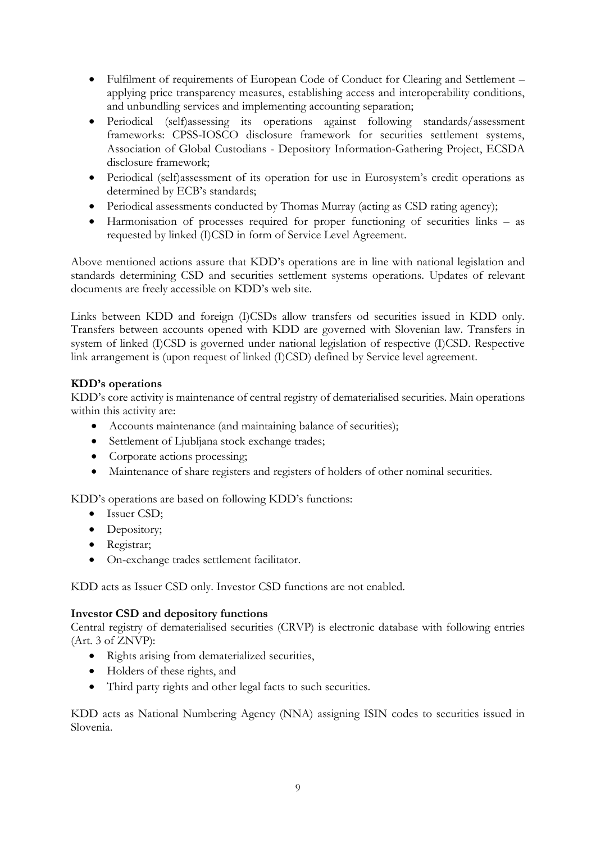- Fulfilment of requirements of European Code of Conduct for Clearing and Settlement applying price transparency measures, establishing access and interoperability conditions, and unbundling services and implementing accounting separation;
- Periodical (self)assessing its operations against following standards/assessment frameworks: CPSS-IOSCO disclosure framework for securities settlement systems, Association of Global Custodians - Depository Information-Gathering Project, ECSDA disclosure framework;
- Periodical (self)assessment of its operation for use in Eurosystem's credit operations as determined by ECB's standards;
- Periodical assessments conducted by Thomas Murray (acting as CSD rating agency);
- Harmonisation of processes required for proper functioning of securities links as requested by linked (I)CSD in form of Service Level Agreement.

Above mentioned actions assure that KDD's operations are in line with national legislation and standards determining CSD and securities settlement systems operations. Updates of relevant documents are freely accessible on KDD's web site.

Links between KDD and foreign (I)CSDs allow transfers od securities issued in KDD only. Transfers between accounts opened with KDD are governed with Slovenian law. Transfers in system of linked (I)CSD is governed under national legislation of respective (I)CSD. Respective link arrangement is (upon request of linked (I)CSD) defined by Service level agreement.

# **KDD's operations**

KDD's core activity is maintenance of central registry of dematerialised securities. Main operations within this activity are:

- Accounts maintenance (and maintaining balance of securities);
- Settlement of Ljubljana stock exchange trades;
- Corporate actions processing;
- Maintenance of share registers and registers of holders of other nominal securities.

KDD's operations are based on following KDD's functions:

- Issuer CSD:
- Depository;
- Registrar;
- On-exchange trades settlement facilitator.

KDD acts as Issuer CSD only. Investor CSD functions are not enabled.

#### **Investor CSD and depository functions**

Central registry of dematerialised securities (CRVP) is electronic database with following entries (Art. 3 of ZNVP):

- Rights arising from dematerialized securities,
- Holders of these rights, and
- Third party rights and other legal facts to such securities.

KDD acts as National Numbering Agency (NNA) assigning ISIN codes to securities issued in Slovenia.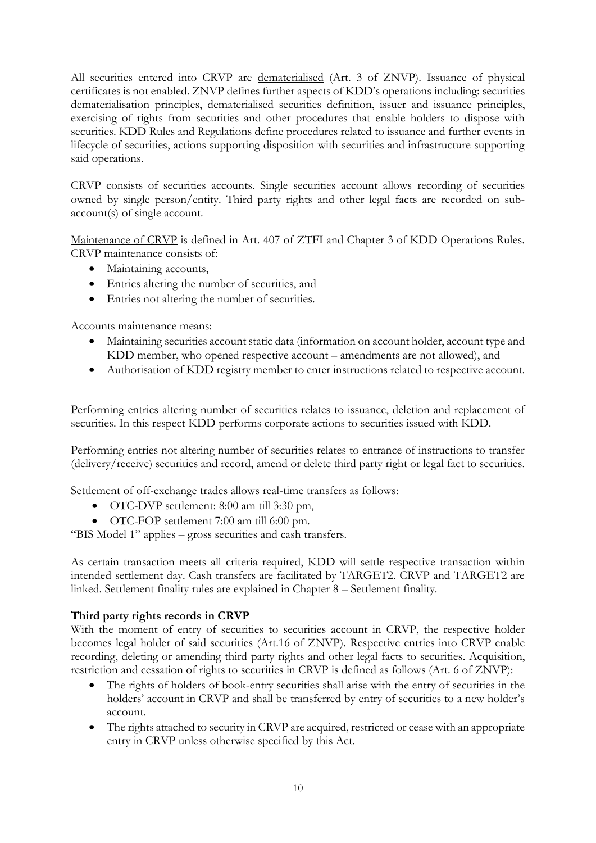All securities entered into CRVP are dematerialised (Art. 3 of ZNVP). Issuance of physical certificates is not enabled. ZNVP defines further aspects of KDD's operations including: securities dematerialisation principles, dematerialised securities definition, issuer and issuance principles, exercising of rights from securities and other procedures that enable holders to dispose with securities. KDD Rules and Regulations define procedures related to issuance and further events in lifecycle of securities, actions supporting disposition with securities and infrastructure supporting said operations.

CRVP consists of securities accounts. Single securities account allows recording of securities owned by single person/entity. Third party rights and other legal facts are recorded on subaccount(s) of single account.

Maintenance of CRVP is defined in Art. 407 of ZTFI and Chapter 3 of KDD Operations Rules. CRVP maintenance consists of:

- Maintaining accounts,
- Entries altering the number of securities, and
- Entries not altering the number of securities.

Accounts maintenance means:

- Maintaining securities account static data (information on account holder, account type and KDD member, who opened respective account – amendments are not allowed), and
- Authorisation of KDD registry member to enter instructions related to respective account.

Performing entries altering number of securities relates to issuance, deletion and replacement of securities. In this respect KDD performs corporate actions to securities issued with KDD.

Performing entries not altering number of securities relates to entrance of instructions to transfer (delivery/receive) securities and record, amend or delete third party right or legal fact to securities.

Settlement of off-exchange trades allows real-time transfers as follows:

- OTC-DVP settlement: 8:00 am till 3:30 pm,
- OTC-FOP settlement 7:00 am till 6:00 pm.

"BIS Model 1" applies – gross securities and cash transfers.

As certain transaction meets all criteria required, KDD will settle respective transaction within intended settlement day. Cash transfers are facilitated by TARGET2. CRVP and TARGET2 are linked. Settlement finality rules are explained in Chapter 8 – Settlement finality.

# **Third party rights records in CRVP**

With the moment of entry of securities to securities account in CRVP, the respective holder becomes legal holder of said securities (Art.16 of ZNVP). Respective entries into CRVP enable recording, deleting or amending third party rights and other legal facts to securities. Acquisition, restriction and cessation of rights to securities in CRVP is defined as follows (Art. 6 of ZNVP):

- The rights of holders of book-entry securities shall arise with the entry of securities in the holders' account in CRVP and shall be transferred by entry of securities to a new holder's account.
- The rights attached to security in CRVP are acquired, restricted or cease with an appropriate entry in CRVP unless otherwise specified by this Act.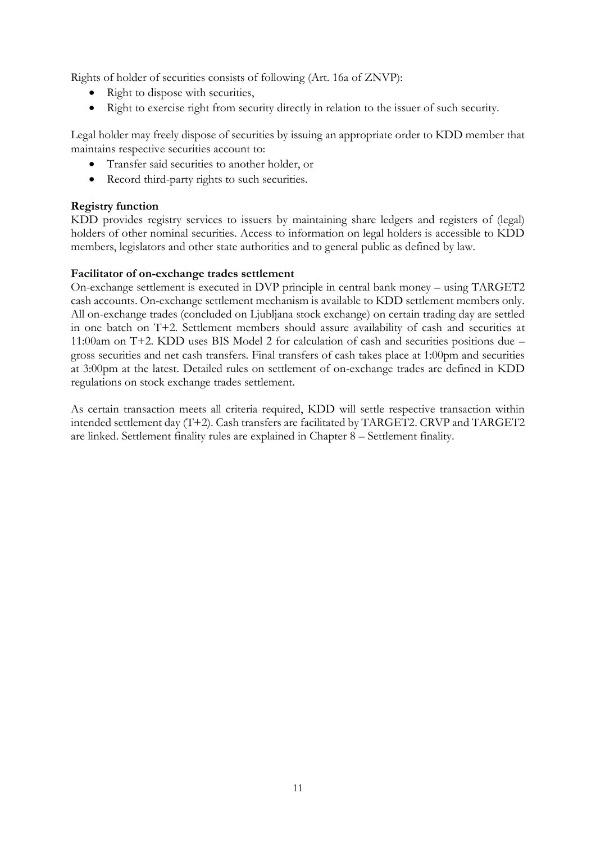Rights of holder of securities consists of following (Art. 16a of ZNVP):

- Right to dispose with securities,
- Right to exercise right from security directly in relation to the issuer of such security.

Legal holder may freely dispose of securities by issuing an appropriate order to KDD member that maintains respective securities account to:

- Transfer said securities to another holder, or
- Record third-party rights to such securities.

# **Registry function**

KDD provides registry services to issuers by maintaining share ledgers and registers of (legal) holders of other nominal securities. Access to information on legal holders is accessible to KDD members, legislators and other state authorities and to general public as defined by law.

#### **Facilitator of on-exchange trades settlement**

On-exchange settlement is executed in DVP principle in central bank money – using TARGET2 cash accounts. On-exchange settlement mechanism is available to KDD settlement members only. All on-exchange trades (concluded on Ljubljana stock exchange) on certain trading day are settled in one batch on T+2. Settlement members should assure availability of cash and securities at 11:00am on T+2. KDD uses BIS Model 2 for calculation of cash and securities positions due – gross securities and net cash transfers. Final transfers of cash takes place at 1:00pm and securities at 3:00pm at the latest. Detailed rules on settlement of on-exchange trades are defined in KDD regulations on stock exchange trades settlement.

As certain transaction meets all criteria required, KDD will settle respective transaction within intended settlement day (T+2). Cash transfers are facilitated by TARGET2. CRVP and TARGET2 are linked. Settlement finality rules are explained in Chapter 8 – Settlement finality.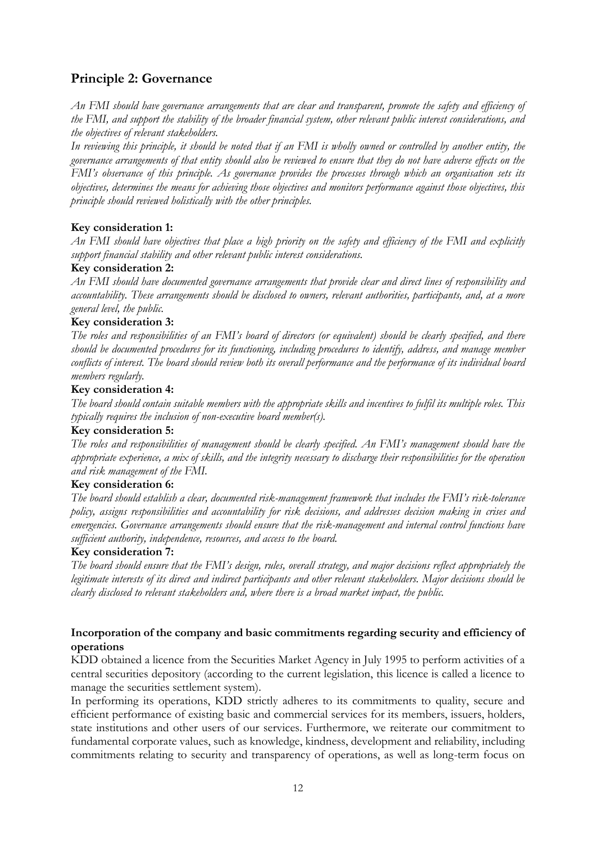# **Principle 2: Governance**

*An FMI should have governance arrangements that are clear and transparent, promote the safety and efficiency of the FMI, and support the stability of the broader financial system, other relevant public interest considerations, and the objectives of relevant stakeholders.*

*In reviewing this principle, it should be noted that if an FMI is wholly owned or controlled by another entity, the governance arrangements of that entity should also be reviewed to ensure that they do not have adverse effects on the FMI's observance of this principle. As governance provides the processes through which an organisation sets its objectives, determines the means for achieving those objectives and monitors performance against those objectives, this principle should reviewed holistically with the other principles.* 

# **Key consideration 1:**

*An FMI should have objectives that place a high priority on the safety and efficiency of the FMI and explicitly support financial stability and other relevant public interest considerations.*

#### **Key consideration 2:**

*An FMI should have documented governance arrangements that provide clear and direct lines of responsibility and accountability. These arrangements should be disclosed to owners, relevant authorities, participants, and, at a more general level, the public.*

# **Key consideration 3:**

*The roles and responsibilities of an FMI's board of directors (or equivalent) should be clearly specified, and there should be documented procedures for its functioning, including procedures to identify, address, and manage member conflicts of interest. The board should review both its overall performance and the performance of its individual board members regularly.*

#### **Key consideration 4:**

*The board should contain suitable members with the appropriate skills and incentives to fulfil its multiple roles. This typically requires the inclusion of non-executive board member(s).* 

#### **Key consideration 5:**

*The roles and responsibilities of management should be clearly specified. An FMI's management should have the appropriate experience, a mix of skills, and the integrity necessary to discharge their responsibilities for the operation and risk management of the FMI.*

#### **Key consideration 6:**

*The board should establish a clear, documented risk-management framework that includes the FMI's risk-tolerance policy, assigns responsibilities and accountability for risk decisions, and addresses decision making in crises and emergencies. Governance arrangements should ensure that the risk-management and internal control functions have sufficient authority, independence, resources, and access to the board.*

#### **Key consideration 7:**

*The board should ensure that the FMI's design, rules, overall strategy, and major decisions reflect appropriately the legitimate interests of its direct and indirect participants and other relevant stakeholders. Major decisions should be clearly disclosed to relevant stakeholders and, where there is a broad market impact, the public.*

#### **Incorporation of the company and basic commitments regarding security and efficiency of operations**

KDD obtained a licence from the Securities Market Agency in July 1995 to perform activities of a central securities depository (according to the current legislation, this licence is called a licence to manage the securities settlement system).

In performing its operations, KDD strictly adheres to its commitments to quality, secure and efficient performance of existing basic and commercial services for its members, issuers, holders, state institutions and other users of our services. Furthermore, we reiterate our commitment to fundamental corporate values, such as knowledge, kindness, development and reliability, including commitments relating to security and transparency of operations, as well as long-term focus on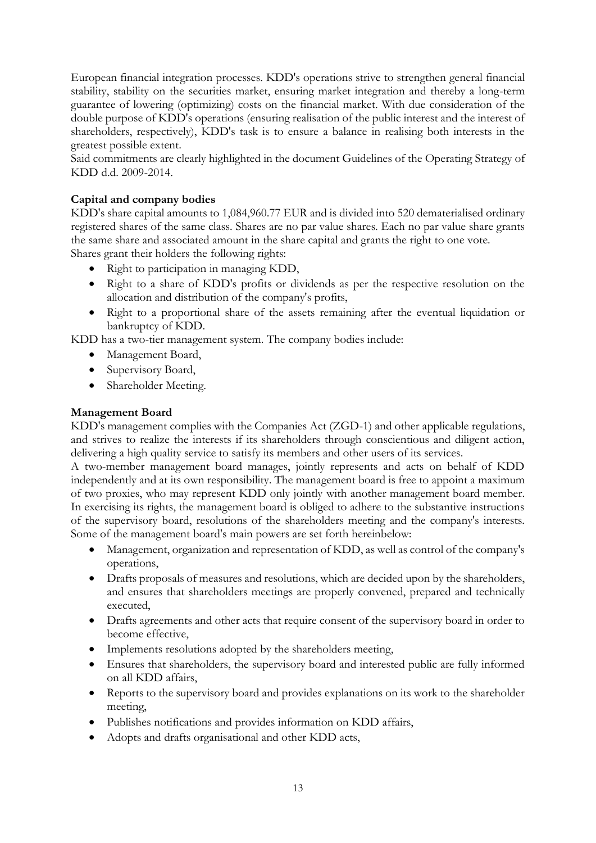European financial integration processes. KDD's operations strive to strengthen general financial stability, stability on the securities market, ensuring market integration and thereby a long-term guarantee of lowering (optimizing) costs on the financial market. With due consideration of the double purpose of KDD's operations (ensuring realisation of the public interest and the interest of shareholders, respectively), KDD's task is to ensure a balance in realising both interests in the greatest possible extent.

Said commitments are clearly highlighted in the document Guidelines of the Operating Strategy of KDD d.d. 2009-2014.

# **Capital and company bodies**

KDD's share capital amounts to 1,084,960.77 EUR and is divided into 520 dematerialised ordinary registered shares of the same class. Shares are no par value shares. Each no par value share grants the same share and associated amount in the share capital and grants the right to one vote. Shares grant their holders the following rights:

- Right to participation in managing KDD,
- Right to a share of KDD's profits or dividends as per the respective resolution on the allocation and distribution of the company's profits,
- Right to a proportional share of the assets remaining after the eventual liquidation or bankruptcy of KDD.

KDD has a two-tier management system. The company bodies include:

- Management Board,
- Supervisory Board,
- Shareholder Meeting.

# **Management Board**

KDD's management complies with the Companies Act (ZGD-1) and other applicable regulations, and strives to realize the interests if its shareholders through conscientious and diligent action, delivering a high quality service to satisfy its members and other users of its services.

A two-member management board manages, jointly represents and acts on behalf of KDD independently and at its own responsibility. The management board is free to appoint a maximum of two proxies, who may represent KDD only jointly with another management board member. In exercising its rights, the management board is obliged to adhere to the substantive instructions of the supervisory board, resolutions of the shareholders meeting and the company's interests. Some of the management board's main powers are set forth hereinbelow:

- Management, organization and representation of KDD, as well as control of the company's operations,
- Drafts proposals of measures and resolutions, which are decided upon by the shareholders, and ensures that shareholders meetings are properly convened, prepared and technically executed,
- Drafts agreements and other acts that require consent of the supervisory board in order to become effective,
- Implements resolutions adopted by the shareholders meeting,
- Ensures that shareholders, the supervisory board and interested public are fully informed on all KDD affairs,
- Reports to the supervisory board and provides explanations on its work to the shareholder meeting,
- Publishes notifications and provides information on KDD affairs,
- Adopts and drafts organisational and other KDD acts,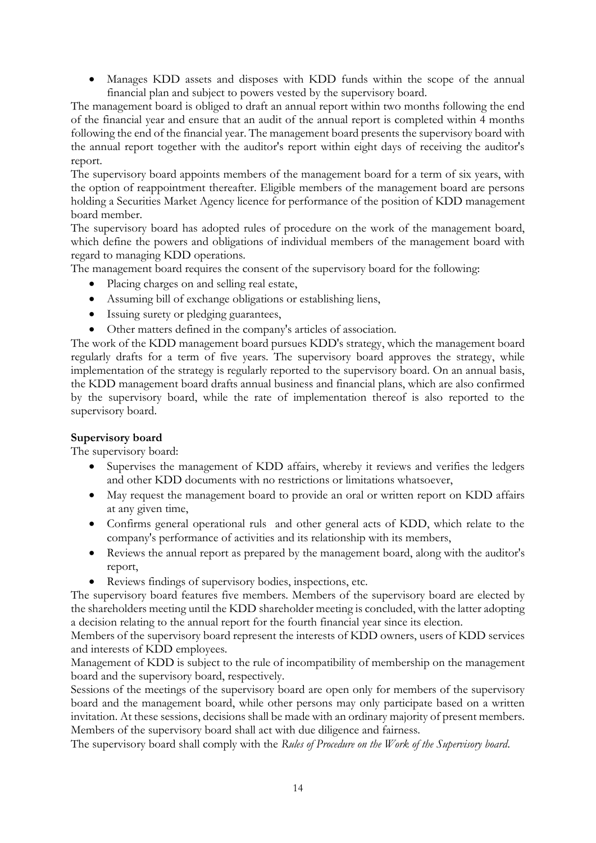Manages KDD assets and disposes with KDD funds within the scope of the annual financial plan and subject to powers vested by the supervisory board.

The management board is obliged to draft an annual report within two months following the end of the financial year and ensure that an audit of the annual report is completed within 4 months following the end of the financial year. The management board presents the supervisory board with the annual report together with the auditor's report within eight days of receiving the auditor's report.

The supervisory board appoints members of the management board for a term of six years, with the option of reappointment thereafter. Eligible members of the management board are persons holding a Securities Market Agency licence for performance of the position of KDD management board member.

The supervisory board has adopted rules of procedure on the work of the management board, which define the powers and obligations of individual members of the management board with regard to managing KDD operations.

The management board requires the consent of the supervisory board for the following:

- Placing charges on and selling real estate,
- Assuming bill of exchange obligations or establishing liens,
- Issuing surety or pledging guarantees,
- Other matters defined in the company's articles of association.

The work of the KDD management board pursues KDD's strategy, which the management board regularly drafts for a term of five years. The supervisory board approves the strategy, while implementation of the strategy is regularly reported to the supervisory board. On an annual basis, the KDD management board drafts annual business and financial plans, which are also confirmed by the supervisory board, while the rate of implementation thereof is also reported to the supervisory board.

#### **Supervisory board**

The supervisory board:

- Supervises the management of KDD affairs, whereby it reviews and verifies the ledgers and other KDD documents with no restrictions or limitations whatsoever,
- May request the management board to provide an oral or written report on KDD affairs at any given time,
- Confirms general operational ruls and other general acts of KDD, which relate to the company's performance of activities and its relationship with its members,
- Reviews the annual report as prepared by the management board, along with the auditor's report,
- Reviews findings of supervisory bodies, inspections, etc.

The supervisory board features five members. Members of the supervisory board are elected by the shareholders meeting until the KDD shareholder meeting is concluded, with the latter adopting a decision relating to the annual report for the fourth financial year since its election.

Members of the supervisory board represent the interests of KDD owners, users of KDD services and interests of KDD employees.

Management of KDD is subject to the rule of incompatibility of membership on the management board and the supervisory board, respectively.

Sessions of the meetings of the supervisory board are open only for members of the supervisory board and the management board, while other persons may only participate based on a written invitation. At these sessions, decisions shall be made with an ordinary majority of present members. Members of the supervisory board shall act with due diligence and fairness.

The supervisory board shall comply with the *Rules of Procedure on the Work of the Supervisory board*.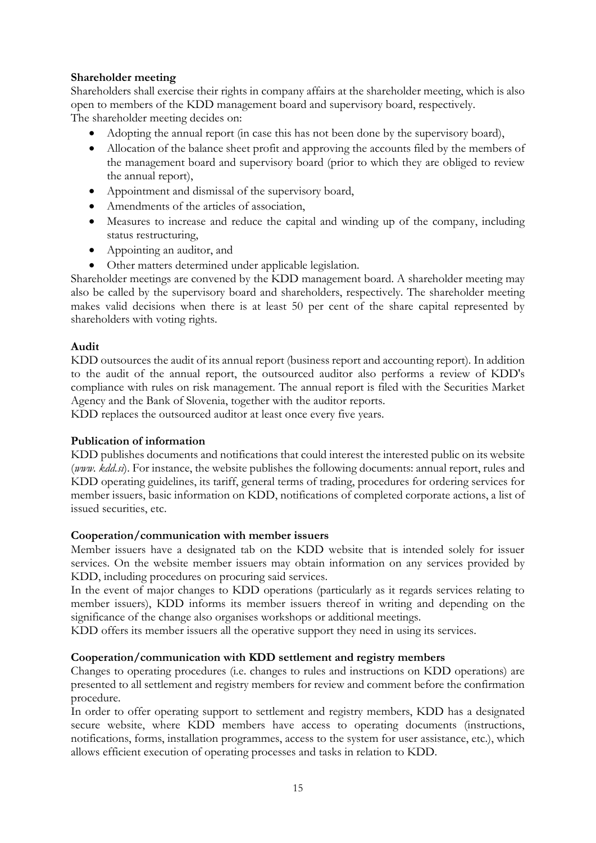# **Shareholder meeting**

Shareholders shall exercise their rights in company affairs at the shareholder meeting, which is also open to members of the KDD management board and supervisory board, respectively. The shareholder meeting decides on:

- Adopting the annual report (in case this has not been done by the supervisory board),
- Allocation of the balance sheet profit and approving the accounts filed by the members of the management board and supervisory board (prior to which they are obliged to review the annual report),
- Appointment and dismissal of the supervisory board,
- Amendments of the articles of association.
- Measures to increase and reduce the capital and winding up of the company, including status restructuring,
- Appointing an auditor, and
- Other matters determined under applicable legislation.

Shareholder meetings are convened by the KDD management board. A shareholder meeting may also be called by the supervisory board and shareholders, respectively. The shareholder meeting makes valid decisions when there is at least 50 per cent of the share capital represented by shareholders with voting rights.

#### **Audit**

KDD outsources the audit of its annual report (business report and accounting report). In addition to the audit of the annual report, the outsourced auditor also performs a review of KDD's compliance with rules on risk management. The annual report is filed with the Securities Market Agency and the Bank of Slovenia, together with the auditor reports.

KDD replaces the outsourced auditor at least once every five years.

#### **Publication of information**

KDD publishes documents and notifications that could interest the interested public on its website (*www. kdd.si*). For instance, the website publishes the following documents: annual report, rules and KDD operating guidelines, its tariff, general terms of trading, procedures for ordering services for member issuers, basic information on KDD, notifications of completed corporate actions, a list of issued securities, etc.

#### **Cooperation/communication with member issuers**

Member issuers have a designated tab on the KDD website that is intended solely for issuer services. On the website member issuers may obtain information on any services provided by KDD, including procedures on procuring said services.

In the event of major changes to KDD operations (particularly as it regards services relating to member issuers), KDD informs its member issuers thereof in writing and depending on the significance of the change also organises workshops or additional meetings.

KDD offers its member issuers all the operative support they need in using its services.

#### **Cooperation/communication with KDD settlement and registry members**

Changes to operating procedures (i.e. changes to rules and instructions on KDD operations) are presented to all settlement and registry members for review and comment before the confirmation procedure.

In order to offer operating support to settlement and registry members, KDD has a designated secure website, where KDD members have access to operating documents (instructions, notifications, forms, installation programmes, access to the system for user assistance, etc.), which allows efficient execution of operating processes and tasks in relation to KDD.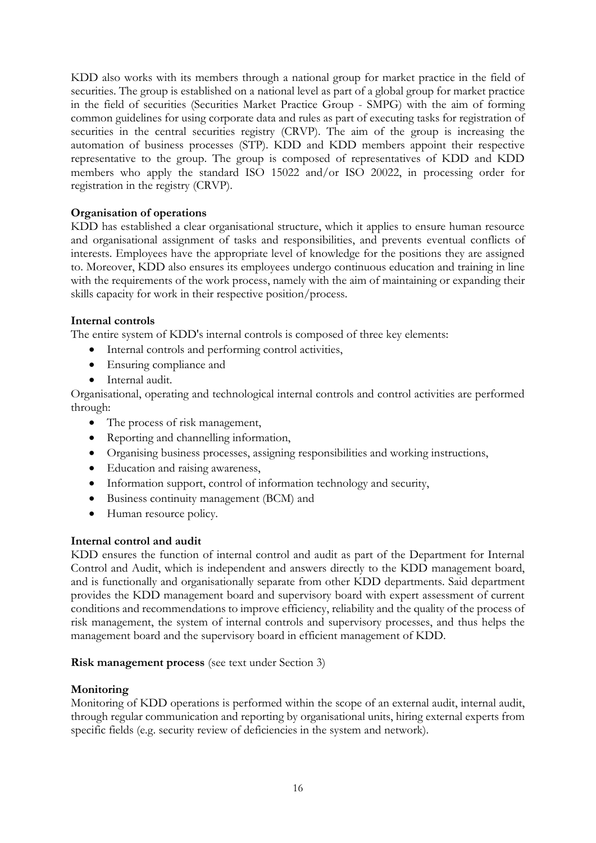KDD also works with its members through a national group for market practice in the field of securities. The group is established on a national level as part of a global group for market practice in the field of securities (Securities Market Practice Group - SMPG) with the aim of forming common guidelines for using corporate data and rules as part of executing tasks for registration of securities in the central securities registry (CRVP). The aim of the group is increasing the automation of business processes (STP). KDD and KDD members appoint their respective representative to the group. The group is composed of representatives of KDD and KDD members who apply the standard ISO 15022 and/or ISO 20022, in processing order for registration in the registry (CRVP).

# **Organisation of operations**

KDD has established a clear organisational structure, which it applies to ensure human resource and organisational assignment of tasks and responsibilities, and prevents eventual conflicts of interests. Employees have the appropriate level of knowledge for the positions they are assigned to. Moreover, KDD also ensures its employees undergo continuous education and training in line with the requirements of the work process, namely with the aim of maintaining or expanding their skills capacity for work in their respective position/process.

#### **Internal controls**

The entire system of KDD's internal controls is composed of three key elements:

- Internal controls and performing control activities,
- Ensuring compliance and
- Internal audit.

Organisational, operating and technological internal controls and control activities are performed through:

- The process of risk management,
- Reporting and channelling information,
- Organising business processes, assigning responsibilities and working instructions,
- Education and raising awareness,
- Information support, control of information technology and security,
- Business continuity management (BCM) and
- Human resource policy.

#### **Internal control and audit**

KDD ensures the function of internal control and audit as part of the Department for Internal Control and Audit, which is independent and answers directly to the KDD management board, and is functionally and organisationally separate from other KDD departments. Said department provides the KDD management board and supervisory board with expert assessment of current conditions and recommendations to improve efficiency, reliability and the quality of the process of risk management, the system of internal controls and supervisory processes, and thus helps the management board and the supervisory board in efficient management of KDD.

#### **Risk management process** (see text under Section 3)

#### **Monitoring**

Monitoring of KDD operations is performed within the scope of an external audit, internal audit, through regular communication and reporting by organisational units, hiring external experts from specific fields (e.g. security review of deficiencies in the system and network).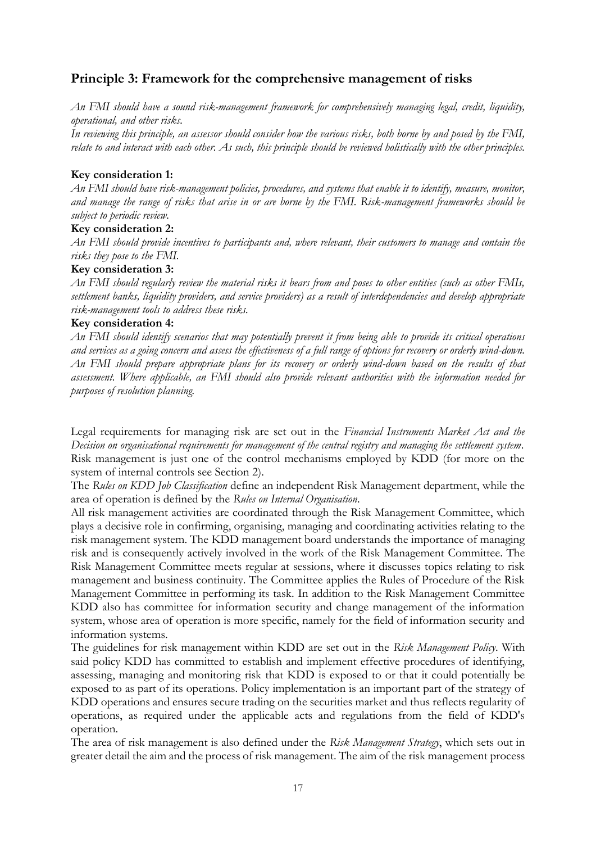# **Principle 3: Framework for the comprehensive management of risks**

*An FMI should have a sound risk-management framework for comprehensively managing legal, credit, liquidity, operational, and other risks.*

*In reviewing this principle, an assessor should consider how the various risks, both borne by and posed by the FMI, relate to and interact with each other. As such, this principle should be reviewed holistically with the other principles.*

#### **Key consideration 1:**

*An FMI should have risk-management policies, procedures, and systems that enable it to identify, measure, monitor, and manage the range of risks that arise in or are borne by the FMI. Risk-management frameworks should be subject to periodic review.*

#### **Key consideration 2:**

*An FMI should provide incentives to participants and, where relevant, their customers to manage and contain the risks they pose to the FMI.*

#### **Key consideration 3:**

*An FMI should regularly review the material risks it bears from and poses to other entities (such as other FMIs, settlement banks, liquidity providers, and service providers) as a result of interdependencies and develop appropriate risk-management tools to address these risks.*

#### **Key consideration 4:**

*An FMI should identify scenarios that may potentially prevent it from being able to provide its critical operations and services as a going concern and assess the effectiveness of a full range of options for recovery or orderly wind-down. An FMI should prepare appropriate plans for its recovery or orderly wind-down based on the results of that assessment. Where applicable, an FMI should also provide relevant authorities with the information needed for purposes of resolution planning.*

Legal requirements for managing risk are set out in the *Financial Instruments Market Act and the Decision on organisational requirements for management of the central registry and managing the settlement system*. Risk management is just one of the control mechanisms employed by KDD (for more on the system of internal controls see Section 2).

The *Rules on KDD Job Classification* define an independent Risk Management department, while the area of operation is defined by the *Rules on Internal Organisation*.

All risk management activities are coordinated through the Risk Management Committee, which plays a decisive role in confirming, organising, managing and coordinating activities relating to the risk management system. The KDD management board understands the importance of managing risk and is consequently actively involved in the work of the Risk Management Committee. The Risk Management Committee meets regular at sessions, where it discusses topics relating to risk management and business continuity. The Committee applies the Rules of Procedure of the Risk Management Committee in performing its task. In addition to the Risk Management Committee KDD also has committee for information security and change management of the information system, whose area of operation is more specific, namely for the field of information security and information systems.

The guidelines for risk management within KDD are set out in the *Risk Management Policy*. With said policy KDD has committed to establish and implement effective procedures of identifying, assessing, managing and monitoring risk that KDD is exposed to or that it could potentially be exposed to as part of its operations. Policy implementation is an important part of the strategy of KDD operations and ensures secure trading on the securities market and thus reflects regularity of operations, as required under the applicable acts and regulations from the field of KDD's operation.

The area of risk management is also defined under the *Risk Management Strategy*, which sets out in greater detail the aim and the process of risk management. The aim of the risk management process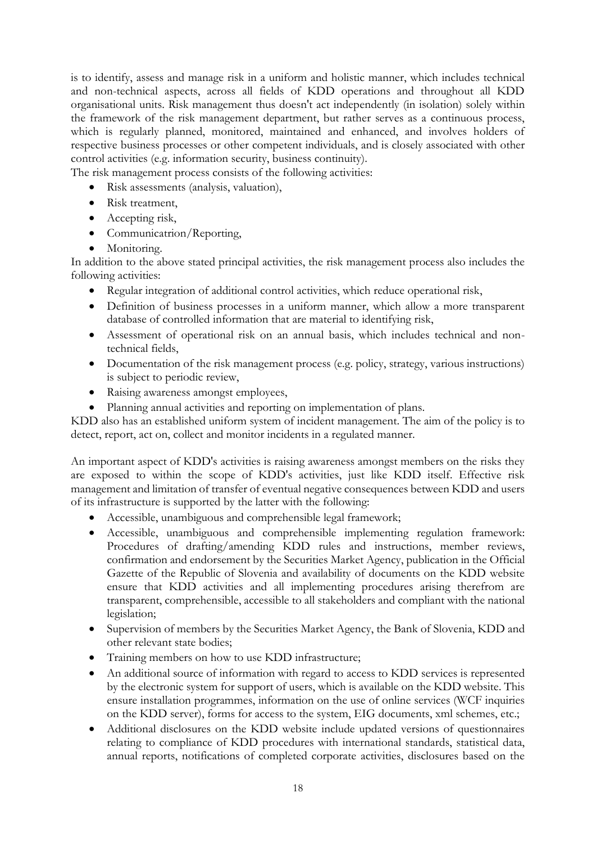is to identify, assess and manage risk in a uniform and holistic manner, which includes technical and non-technical aspects, across all fields of KDD operations and throughout all KDD organisational units. Risk management thus doesn't act independently (in isolation) solely within the framework of the risk management department, but rather serves as a continuous process, which is regularly planned, monitored, maintained and enhanced, and involves holders of respective business processes or other competent individuals, and is closely associated with other control activities (e.g. information security, business continuity).

The risk management process consists of the following activities:

- Risk assessments (analysis, valuation),
- Risk treatment,
- Accepting risk,
- Communicatrion/Reporting,
- Monitoring.

In addition to the above stated principal activities, the risk management process also includes the following activities:

- Regular integration of additional control activities, which reduce operational risk,
- Definition of business processes in a uniform manner, which allow a more transparent database of controlled information that are material to identifying risk,
- Assessment of operational risk on an annual basis, which includes technical and nontechnical fields,
- Documentation of the risk management process (e.g. policy, strategy, various instructions) is subject to periodic review,
- Raising awareness amongst employees,
- Planning annual activities and reporting on implementation of plans.

KDD also has an established uniform system of incident management. The aim of the policy is to detect, report, act on, collect and monitor incidents in a regulated manner.

An important aspect of KDD's activities is raising awareness amongst members on the risks they are exposed to within the scope of KDD's activities, just like KDD itself. Effective risk management and limitation of transfer of eventual negative consequences between KDD and users of its infrastructure is supported by the latter with the following:

- Accessible, unambiguous and comprehensible legal framework;
- Accessible, unambiguous and comprehensible implementing regulation framework: Procedures of drafting/amending KDD rules and instructions, member reviews, confirmation and endorsement by the Securities Market Agency, publication in the Official Gazette of the Republic of Slovenia and availability of documents on the KDD website ensure that KDD activities and all implementing procedures arising therefrom are transparent, comprehensible, accessible to all stakeholders and compliant with the national legislation;
- Supervision of members by the Securities Market Agency, the Bank of Slovenia, KDD and other relevant state bodies;
- Training members on how to use KDD infrastructure;
- An additional source of information with regard to access to KDD services is represented by the electronic system for support of users, which is available on the KDD website. This ensure installation programmes, information on the use of online services (WCF inquiries on the KDD server), forms for access to the system, EIG documents, xml schemes, etc.;
- Additional disclosures on the KDD website include updated versions of questionnaires relating to compliance of KDD procedures with international standards, statistical data, annual reports, notifications of completed corporate activities, disclosures based on the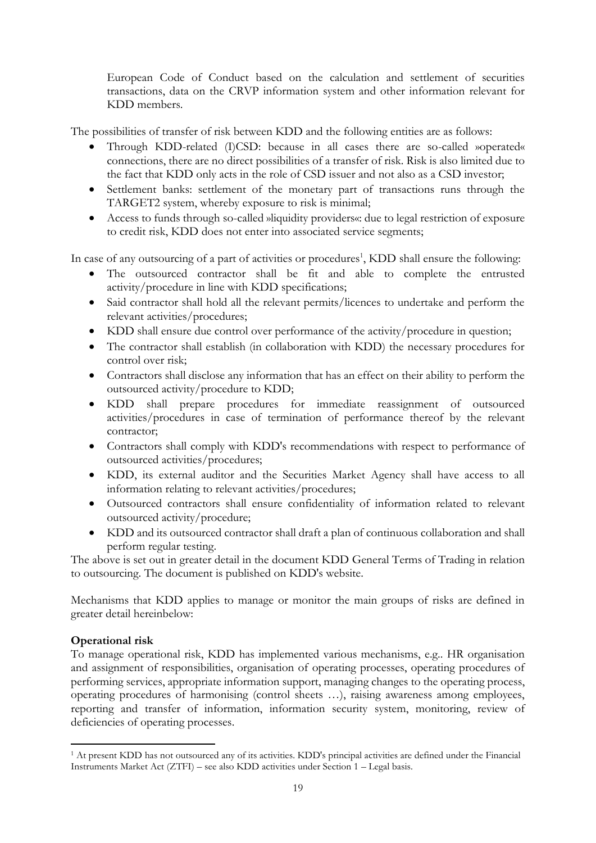European Code of Conduct based on the calculation and settlement of securities transactions, data on the CRVP information system and other information relevant for KDD members.

The possibilities of transfer of risk between KDD and the following entities are as follows:

- Through KDD-related (I)CSD: because in all cases there are so-called »operated« connections, there are no direct possibilities of a transfer of risk. Risk is also limited due to the fact that KDD only acts in the role of CSD issuer and not also as a CSD investor;
- Settlement banks: settlement of the monetary part of transactions runs through the TARGET2 system, whereby exposure to risk is minimal;
- Access to funds through so-called »liquidity providers«: due to legal restriction of exposure to credit risk, KDD does not enter into associated service segments;

In case of any outsourcing of a part of activities or procedures<sup>1</sup>, KDD shall ensure the following:

- The outsourced contractor shall be fit and able to complete the entrusted activity/procedure in line with KDD specifications;
- Said contractor shall hold all the relevant permits/licences to undertake and perform the relevant activities/procedures;
- KDD shall ensure due control over performance of the activity/procedure in question;
- The contractor shall establish (in collaboration with KDD) the necessary procedures for control over risk;
- Contractors shall disclose any information that has an effect on their ability to perform the outsourced activity/procedure to KDD;
- KDD shall prepare procedures for immediate reassignment of outsourced activities/procedures in case of termination of performance thereof by the relevant contractor;
- Contractors shall comply with KDD's recommendations with respect to performance of outsourced activities/procedures;
- KDD, its external auditor and the Securities Market Agency shall have access to all information relating to relevant activities/procedures;
- Outsourced contractors shall ensure confidentiality of information related to relevant outsourced activity/procedure;
- KDD and its outsourced contractor shall draft a plan of continuous collaboration and shall perform regular testing.

The above is set out in greater detail in the document KDD General Terms of Trading in relation to outsourcing. The document is published on KDD's website.

Mechanisms that KDD applies to manage or monitor the main groups of risks are defined in greater detail hereinbelow:

# **Operational risk**

 $\overline{a}$ 

To manage operational risk, KDD has implemented various mechanisms, e.g.. HR organisation and assignment of responsibilities, organisation of operating processes, operating procedures of performing services, appropriate information support, managing changes to the operating process, operating procedures of harmonising (control sheets …), raising awareness among employees, reporting and transfer of information, information security system, monitoring, review of deficiencies of operating processes.

<sup>1</sup> At present KDD has not outsourced any of its activities. KDD's principal activities are defined under the Financial Instruments Market Act (ZTFI) – see also KDD activities under Section 1 – Legal basis.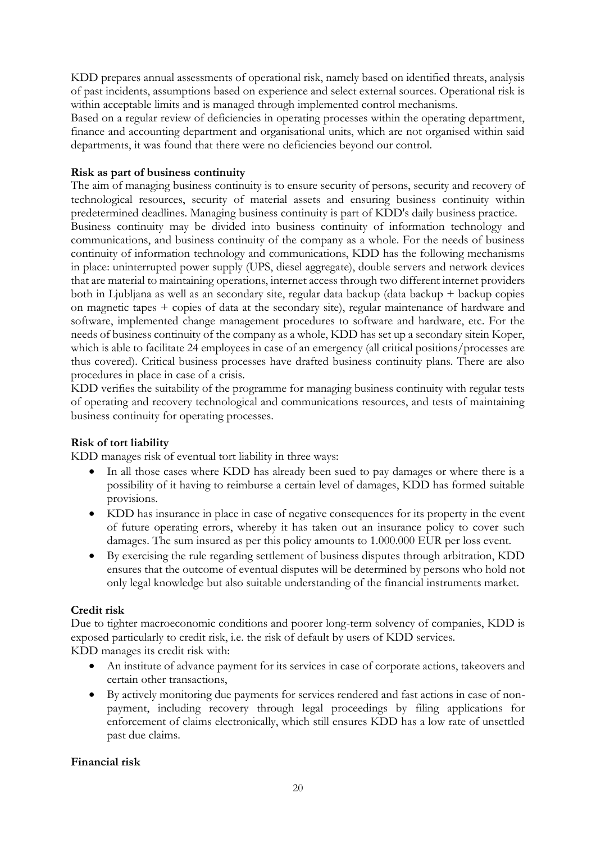KDD prepares annual assessments of operational risk, namely based on identified threats, analysis of past incidents, assumptions based on experience and select external sources. Operational risk is within acceptable limits and is managed through implemented control mechanisms.

Based on a regular review of deficiencies in operating processes within the operating department, finance and accounting department and organisational units, which are not organised within said departments, it was found that there were no deficiencies beyond our control.

# **Risk as part of business continuity**

The aim of managing business continuity is to ensure security of persons, security and recovery of technological resources, security of material assets and ensuring business continuity within predetermined deadlines. Managing business continuity is part of KDD's daily business practice. Business continuity may be divided into business continuity of information technology and communications, and business continuity of the company as a whole. For the needs of business continuity of information technology and communications, KDD has the following mechanisms in place: uninterrupted power supply (UPS, diesel aggregate), double servers and network devices that are material to maintaining operations, internet access through two different internet providers both in Ljubljana as well as an secondary site, regular data backup (data backup + backup copies on magnetic tapes + copies of data at the secondary site), regular maintenance of hardware and software, implemented change management procedures to software and hardware, etc. For the needs of business continuity of the company as a whole, KDD has set up a secondary sitein Koper, which is able to facilitate 24 employees in case of an emergency (all critical positions/processes are thus covered). Critical business processes have drafted business continuity plans. There are also procedures in place in case of a crisis.

KDD verifies the suitability of the programme for managing business continuity with regular tests of operating and recovery technological and communications resources, and tests of maintaining business continuity for operating processes.

# **Risk of tort liability**

KDD manages risk of eventual tort liability in three ways:

- In all those cases where KDD has already been sued to pay damages or where there is a possibility of it having to reimburse a certain level of damages, KDD has formed suitable provisions.
- KDD has insurance in place in case of negative consequences for its property in the event of future operating errors, whereby it has taken out an insurance policy to cover such damages. The sum insured as per this policy amounts to 1.000.000 EUR per loss event.
- By exercising the rule regarding settlement of business disputes through arbitration, KDD ensures that the outcome of eventual disputes will be determined by persons who hold not only legal knowledge but also suitable understanding of the financial instruments market.

#### **Credit risk**

Due to tighter macroeconomic conditions and poorer long-term solvency of companies, KDD is exposed particularly to credit risk, i.e. the risk of default by users of KDD services. KDD manages its credit risk with:

- An institute of advance payment for its services in case of corporate actions, takeovers and certain other transactions,
- By actively monitoring due payments for services rendered and fast actions in case of nonpayment, including recovery through legal proceedings by filing applications for enforcement of claims electronically, which still ensures KDD has a low rate of unsettled past due claims.

# **Financial risk**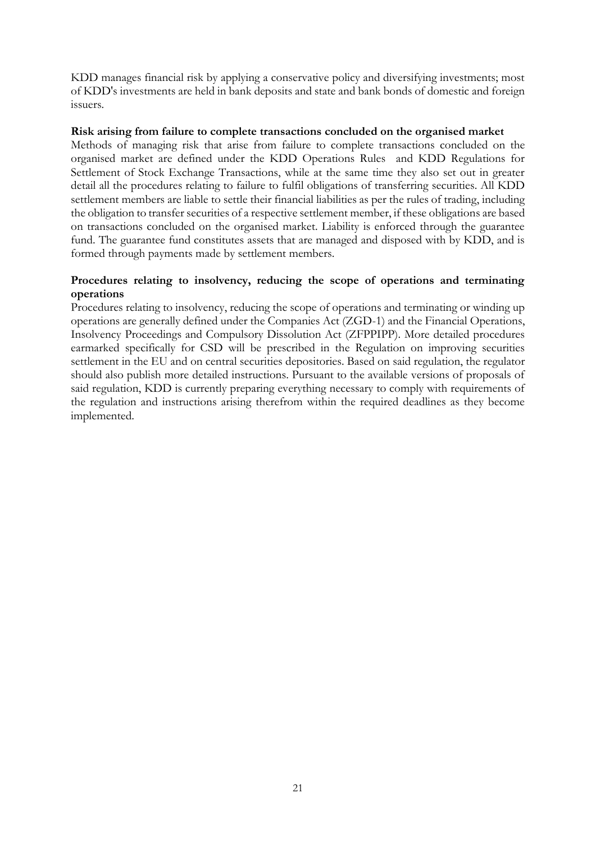KDD manages financial risk by applying a conservative policy and diversifying investments; most of KDD's investments are held in bank deposits and state and bank bonds of domestic and foreign issuers.

#### **Risk arising from failure to complete transactions concluded on the organised market**

Methods of managing risk that arise from failure to complete transactions concluded on the organised market are defined under the KDD Operations Rules and KDD Regulations for Settlement of Stock Exchange Transactions, while at the same time they also set out in greater detail all the procedures relating to failure to fulfil obligations of transferring securities. All KDD settlement members are liable to settle their financial liabilities as per the rules of trading, including the obligation to transfer securities of a respective settlement member, if these obligations are based on transactions concluded on the organised market. Liability is enforced through the guarantee fund. The guarantee fund constitutes assets that are managed and disposed with by KDD, and is formed through payments made by settlement members.

## **Procedures relating to insolvency, reducing the scope of operations and terminating operations**

Procedures relating to insolvency, reducing the scope of operations and terminating or winding up operations are generally defined under the Companies Act (ZGD-1) and the Financial Operations, Insolvency Proceedings and Compulsory Dissolution Act (ZFPPIPP). More detailed procedures earmarked specifically for CSD will be prescribed in the Regulation on improving securities settlement in the EU and on central securities depositories. Based on said regulation, the regulator should also publish more detailed instructions. Pursuant to the available versions of proposals of said regulation, KDD is currently preparing everything necessary to comply with requirements of the regulation and instructions arising therefrom within the required deadlines as they become implemented.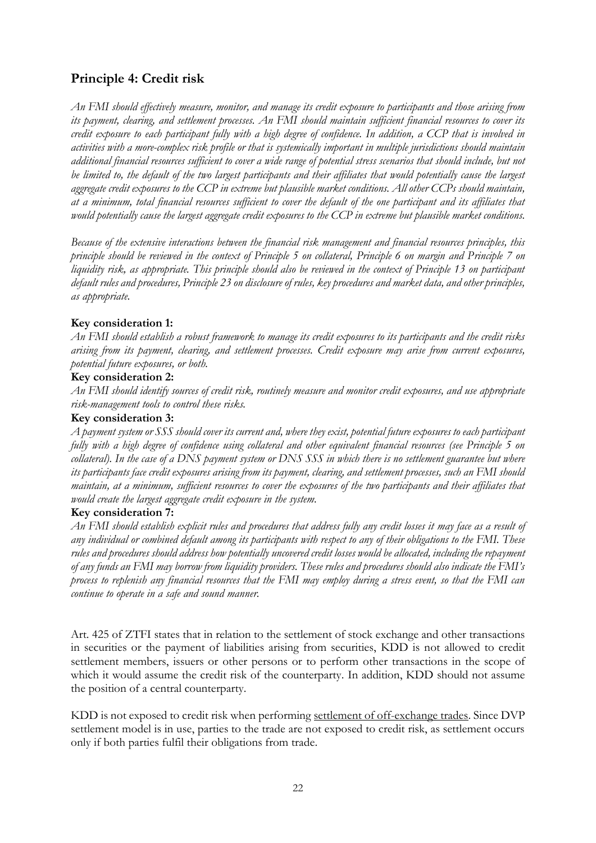# **Principle 4: Credit risk**

*An FMI should effectively measure, monitor, and manage its credit exposure to participants and those arising from its payment, clearing, and settlement processes. An FMI should maintain sufficient financial resources to cover its credit exposure to each participant fully with a high degree of confidence. In addition, a CCP that is involved in activities with a more-complex risk profile or that is systemically important in multiple jurisdictions should maintain additional financial resources sufficient to cover a wide range of potential stress scenarios that should include, but not be limited to, the default of the two largest participants and their affiliates that would potentially cause the largest aggregate credit exposures to the CCP in extreme but plausible market conditions. All other CCPs should maintain, at a minimum, total financial resources sufficient to cover the default of the one participant and its affiliates that would potentially cause the largest aggregate credit exposures to the CCP in extreme but plausible market conditions.* 

*Because of the extensive interactions between the financial risk management and financial resources principles, this principle should be reviewed in the context of Principle 5 on collateral, Principle 6 on margin and Principle 7 on liquidity risk, as appropriate. This principle should also be reviewed in the context of Principle 13 on participant default rules and procedures, Principle 23 on disclosure of rules, key procedures and market data, and other principles, as appropriate.*

# **Key consideration 1:**

*An FMI should establish a robust framework to manage its credit exposures to its participants and the credit risks arising from its payment, clearing, and settlement processes. Credit exposure may arise from current exposures, potential future exposures, or both.* 

#### **Key consideration 2:**

*An FMI should identify sources of credit risk, routinely measure and monitor credit exposures, and use appropriate risk-management tools to control these risks.*

#### **Key consideration 3:**

*A payment system or SSS should cover its current and, where they exist, potential future exposures to each participant fully with a high degree of confidence using collateral and other equivalent financial resources (see Principle 5 on*  collateral). In the case of a DNS payment system or DNS SSS in which there is no settlement guarantee but where *its participants face credit exposures arising from its payment, clearing, and settlement processes, such an FMI should maintain, at a minimum, sufficient resources to cover the exposures of the two participants and their affiliates that would create the largest aggregate credit exposure in the system.* 

#### **Key consideration 7:**

*An FMI should establish explicit rules and procedures that address fully any credit losses it may face as a result of any individual or combined default among its participants with respect to any of their obligations to the FMI. These rules and procedures should address how potentially uncovered credit losses would be allocated, including the repayment of any funds an FMI may borrow from liquidity providers. These rules and procedures should also indicate the FMI's process to replenish any financial resources that the FMI may employ during a stress event, so that the FMI can continue to operate in a safe and sound manner.*

Art. 425 of ZTFI states that in relation to the settlement of stock exchange and other transactions in securities or the payment of liabilities arising from securities, KDD is not allowed to credit settlement members, issuers or other persons or to perform other transactions in the scope of which it would assume the credit risk of the counterparty. In addition, KDD should not assume the position of a central counterparty.

KDD is not exposed to credit risk when performing settlement of off-exchange trades. Since DVP settlement model is in use, parties to the trade are not exposed to credit risk, as settlement occurs only if both parties fulfil their obligations from trade.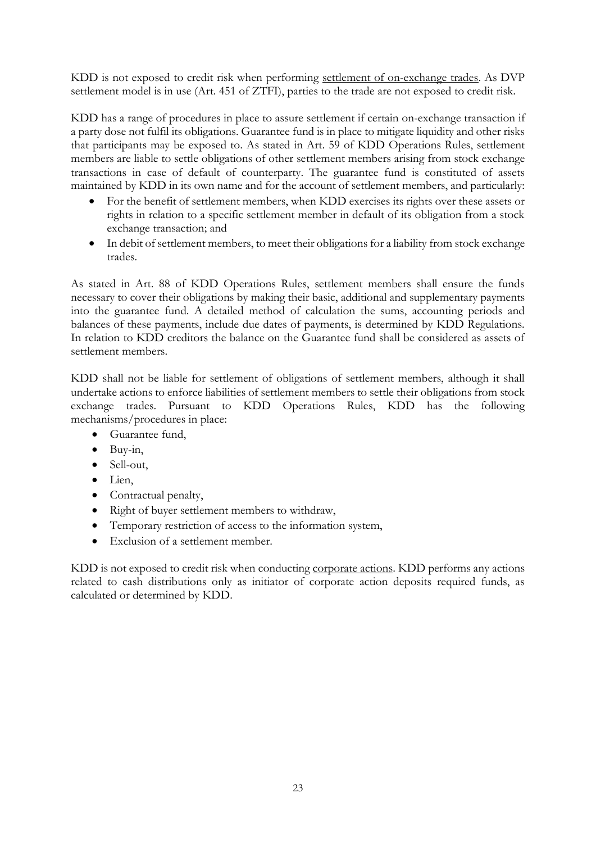KDD is not exposed to credit risk when performing settlement of on-exchange trades. As DVP settlement model is in use (Art. 451 of ZTFI), parties to the trade are not exposed to credit risk.

KDD has a range of procedures in place to assure settlement if certain on-exchange transaction if a party dose not fulfil its obligations. Guarantee fund is in place to mitigate liquidity and other risks that participants may be exposed to. As stated in Art. 59 of KDD Operations Rules, settlement members are liable to settle obligations of other settlement members arising from stock exchange transactions in case of default of counterparty. The guarantee fund is constituted of assets maintained by KDD in its own name and for the account of settlement members, and particularly:

- For the benefit of settlement members, when KDD exercises its rights over these assets or rights in relation to a specific settlement member in default of its obligation from a stock exchange transaction; and
- In debit of settlement members, to meet their obligations for a liability from stock exchange trades.

As stated in Art. 88 of KDD Operations Rules, settlement members shall ensure the funds necessary to cover their obligations by making their basic, additional and supplementary payments into the guarantee fund. A detailed method of calculation the sums, accounting periods and balances of these payments, include due dates of payments, is determined by KDD Regulations. In relation to KDD creditors the balance on the Guarantee fund shall be considered as assets of settlement members.

KDD shall not be liable for settlement of obligations of settlement members, although it shall undertake actions to enforce liabilities of settlement members to settle their obligations from stock exchange trades. Pursuant to KDD Operations Rules, KDD has the following mechanisms/procedures in place:

- Guarantee fund,
- $\bullet$  Buy-in,
- Sell-out,
- $\bullet$  Lien.
- Contractual penalty,
- Right of buyer settlement members to withdraw,
- Temporary restriction of access to the information system,
- Exclusion of a settlement member.

KDD is not exposed to credit risk when conducting corporate actions. KDD performs any actions related to cash distributions only as initiator of corporate action deposits required funds, as calculated or determined by KDD.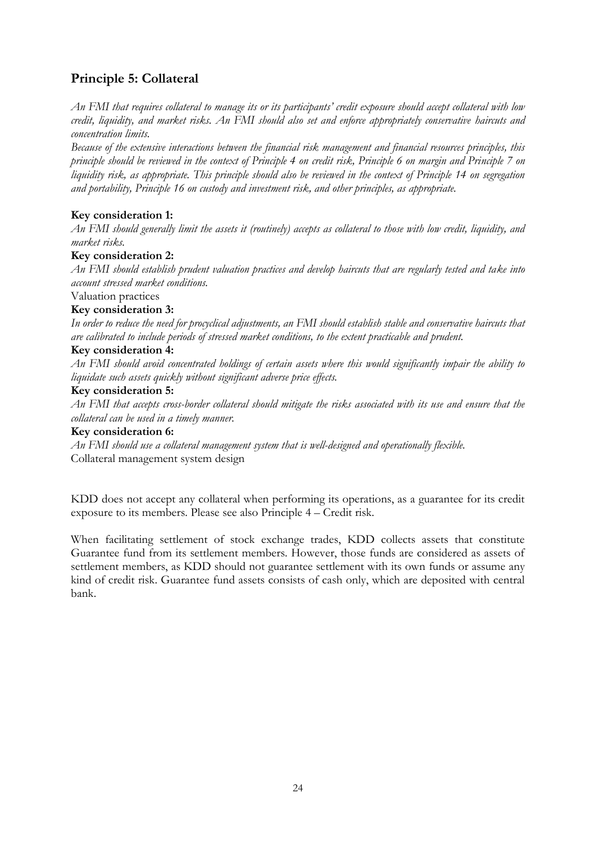# **Principle 5: Collateral**

*An FMI that requires collateral to manage its or its participants' credit exposure should accept collateral with low credit, liquidity, and market risks. An FMI should also set and enforce appropriately conservative haircuts and concentration limits.*

*Because of the extensive interactions between the financial risk management and financial resources principles, this principle should be reviewed in the context of Principle 4 on credit risk, Principle 6 on margin and Principle 7 on liquidity risk, as appropriate. This principle should also be reviewed in the context of Principle 14 on segregation and portability, Principle 16 on custody and investment risk, and other principles, as appropriate.*

# **Key consideration 1:**

*An FMI should generally limit the assets it (routinely) accepts as collateral to those with low credit, liquidity, and market risks.*

# **Key consideration 2:**

*An FMI should establish prudent valuation practices and develop haircuts that are regularly tested and take into account stressed market conditions.*

# Valuation practices

# **Key consideration 3:**

*In order to reduce the need for procyclical adjustments, an FMI should establish stable and conservative haircuts that are calibrated to include periods of stressed market conditions, to the extent practicable and prudent.*

#### **Key consideration 4:**

*An FMI should avoid concentrated holdings of certain assets where this would significantly impair the ability to liquidate such assets quickly without significant adverse price effects.*

#### **Key consideration 5:**

*An FMI that accepts cross-border collateral should mitigate the risks associated with its use and ensure that the collateral can be used in a timely manner.*

# **Key consideration 6:**

*An FMI should use a collateral management system that is well-designed and operationally flexible.* Collateral management system design

KDD does not accept any collateral when performing its operations, as a guarantee for its credit exposure to its members. Please see also Principle 4 – Credit risk.

When facilitating settlement of stock exchange trades, KDD collects assets that constitute Guarantee fund from its settlement members. However, those funds are considered as assets of settlement members, as KDD should not guarantee settlement with its own funds or assume any kind of credit risk. Guarantee fund assets consists of cash only, which are deposited with central bank.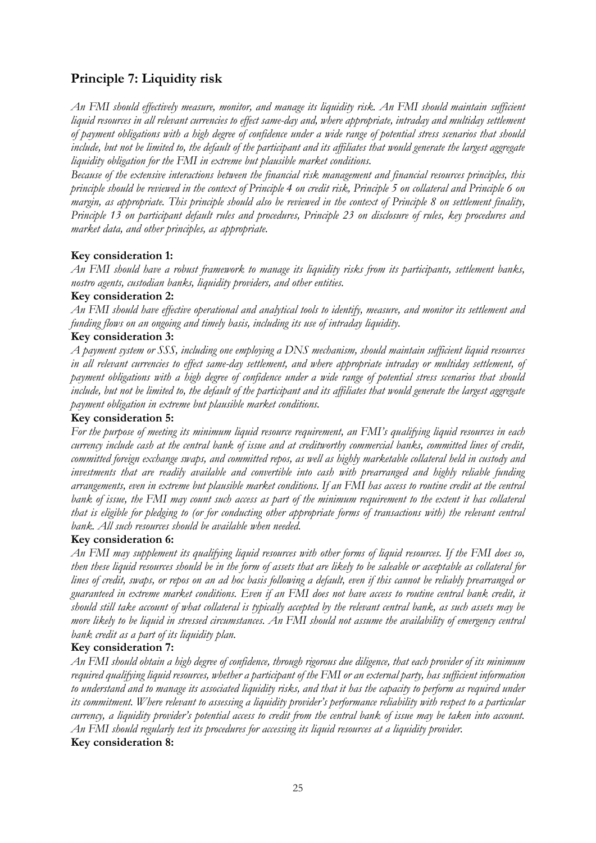# **Principle 7: Liquidity risk**

*An FMI should effectively measure, monitor, and manage its liquidity risk. An FMI should maintain sufficient liquid resources in all relevant currencies to effect same-day and, where appropriate, intraday and multiday settlement of payment obligations with a high degree of confidence under a wide range of potential stress scenarios that should include, but not be limited to, the default of the participant and its affiliates that would generate the largest aggregate liquidity obligation for the FMI in extreme but plausible market conditions.*

*Because of the extensive interactions between the financial risk management and financial resources principles, this principle should be reviewed in the context of Principle 4 on credit risk, Principle 5 on collateral and Principle 6 on margin, as appropriate. This principle should also be reviewed in the context of Principle 8 on settlement finality, Principle 13 on participant default rules and procedures, Principle 23 on disclosure of rules, key procedures and market data, and other principles, as appropriate.*

# **Key consideration 1:**

*An FMI should have a robust framework to manage its liquidity risks from its participants, settlement banks, nostro agents, custodian banks, liquidity providers, and other entities.*

#### **Key consideration 2:**

*An FMI should have effective operational and analytical tools to identify, measure, and monitor its settlement and funding flows on an ongoing and timely basis, including its use of intraday liquidity.*

#### **Key consideration 3:**

*A payment system or SSS, including one employing a DNS mechanism, should maintain sufficient liquid resources in all relevant currencies to effect same-day settlement, and where appropriate intraday or multiday settlement, of payment obligations with a high degree of confidence under a wide range of potential stress scenarios that should include, but not be limited to, the default of the participant and its affiliates that would generate the largest aggregate payment obligation in extreme but plausible market conditions.*

#### **Key consideration 5:**

*For the purpose of meeting its minimum liquid resource requirement, an FMI's qualifying liquid resources in each currency include cash at the central bank of issue and at creditworthy commercial banks, committed lines of credit, committed foreign exchange swaps, and committed repos, as well as highly marketable collateral held in custody and investments that are readily available and convertible into cash with prearranged and highly reliable funding arrangements, even in extreme but plausible market conditions. If an FMI has access to routine credit at the central*  bank of issue, the FMI may count such access as part of the minimum requirement to the extent it has collateral *that is eligible for pledging to (or for conducting other appropriate forms of transactions with) the relevant central bank. All such resources should be available when needed.*

#### **Key consideration 6:**

*An FMI may supplement its qualifying liquid resources with other forms of liquid resources. If the FMI does so, then these liquid resources should be in the form of assets that are likely to be saleable or acceptable as collateral for lines of credit, swaps, or repos on an ad hoc basis following a default, even if this cannot be reliably prearranged or guaranteed in extreme market conditions. Even if an FMI does not have access to routine central bank credit, it should still take account of what collateral is typically accepted by the relevant central bank, as such assets may be more likely to be liquid in stressed circumstances. An FMI should not assume the availability of emergency central bank credit as a part of its liquidity plan.*

#### **Key consideration 7:**

*An FMI should obtain a high degree of confidence, through rigorous due diligence, that each provider of its minimum required qualifying liquid resources, whether a participant of the FMI or an external party, has sufficient information to understand and to manage its associated liquidity risks, and that it has the capacity to perform as required under its commitment. Where relevant to assessing a liquidity provider's performance reliability with respect to a particular currency, a liquidity provider's potential access to credit from the central bank of issue may be taken into account. An FMI should regularly test its procedures for accessing its liquid resources at a liquidity provider.*

# **Key consideration 8:**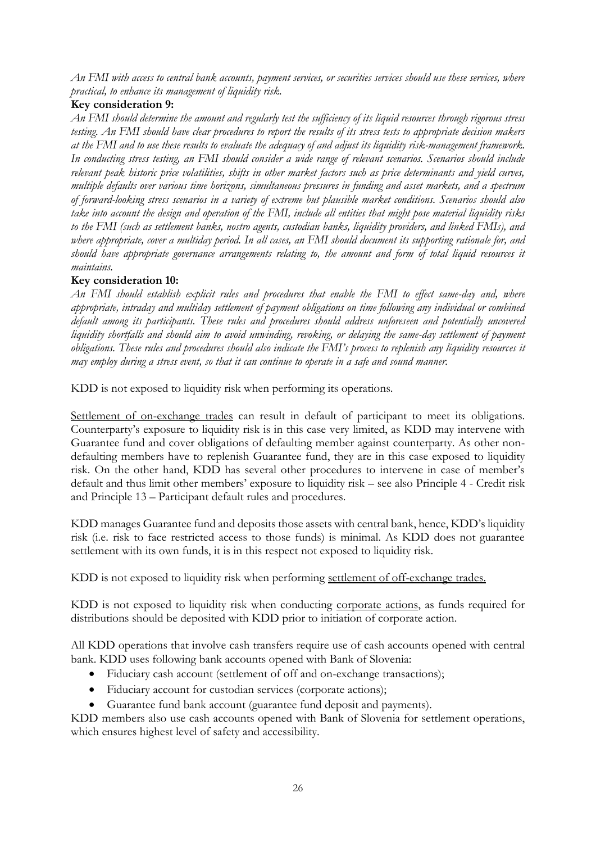*An FMI with access to central bank accounts, payment services, or securities services should use these services, where practical, to enhance its management of liquidity risk.*

## **Key consideration 9:**

*An FMI should determine the amount and regularly test the sufficiency of its liquid resources through rigorous stress testing. An FMI should have clear procedures to report the results of its stress tests to appropriate decision makers at the FMI and to use these results to evaluate the adequacy of and adjust its liquidity risk-management framework. In conducting stress testing, an FMI should consider a wide range of relevant scenarios. Scenarios should include relevant peak historic price volatilities, shifts in other market factors such as price determinants and yield curves, multiple defaults over various time horizons, simultaneous pressures in funding and asset markets, and a spectrum of forward-looking stress scenarios in a variety of extreme but plausible market conditions. Scenarios should also take into account the design and operation of the FMI, include all entities that might pose material liquidity risks to the FMI (such as settlement banks, nostro agents, custodian banks, liquidity providers, and linked FMIs), and where appropriate, cover a multiday period. In all cases, an FMI should document its supporting rationale for, and should have appropriate governance arrangements relating to, the amount and form of total liquid resources it maintains.*

# **Key consideration 10:**

*An FMI should establish explicit rules and procedures that enable the FMI to effect same-day and, where appropriate, intraday and multiday settlement of payment obligations on time following any individual or combined default among its participants. These rules and procedures should address unforeseen and potentially uncovered liquidity shortfalls and should aim to avoid unwinding, revoking, or delaying the same-day settlement of payment obligations. These rules and procedures should also indicate the FMI's process to replenish any liquidity resources it may employ during a stress event, so that it can continue to operate in a safe and sound manner.*

KDD is not exposed to liquidity risk when performing its operations.

Settlement of on-exchange trades can result in default of participant to meet its obligations. Counterparty's exposure to liquidity risk is in this case very limited, as KDD may intervene with Guarantee fund and cover obligations of defaulting member against counterparty. As other nondefaulting members have to replenish Guarantee fund, they are in this case exposed to liquidity risk. On the other hand, KDD has several other procedures to intervene in case of member's default and thus limit other members' exposure to liquidity risk – see also Principle 4 - Credit risk and Principle 13 – Participant default rules and procedures.

KDD manages Guarantee fund and deposits those assets with central bank, hence, KDD's liquidity risk (i.e. risk to face restricted access to those funds) is minimal. As KDD does not guarantee settlement with its own funds, it is in this respect not exposed to liquidity risk.

KDD is not exposed to liquidity risk when performing settlement of off-exchange trades.

KDD is not exposed to liquidity risk when conducting corporate actions, as funds required for distributions should be deposited with KDD prior to initiation of corporate action.

All KDD operations that involve cash transfers require use of cash accounts opened with central bank. KDD uses following bank accounts opened with Bank of Slovenia:

- Fiduciary cash account (settlement of off and on-exchange transactions);
- Fiduciary account for custodian services (corporate actions);
- Guarantee fund bank account (guarantee fund deposit and payments).

KDD members also use cash accounts opened with Bank of Slovenia for settlement operations, which ensures highest level of safety and accessibility.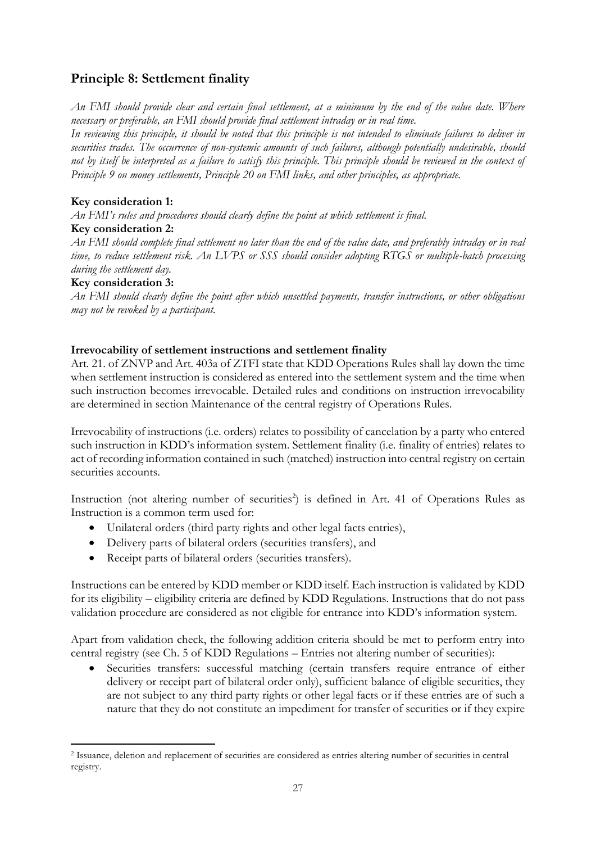# **Principle 8: Settlement finality**

*An FMI should provide clear and certain final settlement, at a minimum by the end of the value date. Where necessary or preferable, an FMI should provide final settlement intraday or in real time.*

*In reviewing this principle, it should be noted that this principle is not intended to eliminate failures to deliver in securities trades. The occurrence of non-systemic amounts of such failures, although potentially undesirable, should not by itself be interpreted as a failure to satisfy this principle. This principle should be reviewed in the context of Principle 9 on money settlements, Principle 20 on FMI links, and other principles, as appropriate.*

# **Key consideration 1:**

*An FMI's rules and procedures should clearly define the point at which settlement is final.* 

# **Key consideration 2:**

*An FMI should complete final settlement no later than the end of the value date, and preferably intraday or in real time, to reduce settlement risk. An LVPS or SSS should consider adopting RTGS or multiple-batch processing during the settlement day.*

# **Key consideration 3:**

 $\overline{a}$ 

*An FMI should clearly define the point after which unsettled payments, transfer instructions, or other obligations may not be revoked by a participant.*

# **Irrevocability of settlement instructions and settlement finality**

Art. 21. of ZNVP and Art. 403a of ZTFI state that KDD Operations Rules shall lay down the time when settlement instruction is considered as entered into the settlement system and the time when such instruction becomes irrevocable. Detailed rules and conditions on instruction irrevocability are determined in section Maintenance of the central registry of Operations Rules.

Irrevocability of instructions (i.e. orders) relates to possibility of cancelation by a party who entered such instruction in KDD's information system. Settlement finality (i.e. finality of entries) relates to act of recording information contained in such (matched) instruction into central registry on certain securities accounts.

Instruction (not altering number of securities<sup>2</sup>) is defined in Art. 41 of Operations Rules as Instruction is a common term used for:

- Unilateral orders (third party rights and other legal facts entries),
- Delivery parts of bilateral orders (securities transfers), and
- Receipt parts of bilateral orders (securities transfers).

Instructions can be entered by KDD member or KDD itself. Each instruction is validated by KDD for its eligibility – eligibility criteria are defined by KDD Regulations. Instructions that do not pass validation procedure are considered as not eligible for entrance into KDD's information system.

Apart from validation check, the following addition criteria should be met to perform entry into central registry (see Ch. 5 of KDD Regulations – Entries not altering number of securities):

 Securities transfers: successful matching (certain transfers require entrance of either delivery or receipt part of bilateral order only), sufficient balance of eligible securities, they are not subject to any third party rights or other legal facts or if these entries are of such a nature that they do not constitute an impediment for transfer of securities or if they expire

<sup>2</sup> Issuance, deletion and replacement of securities are considered as entries altering number of securities in central registry.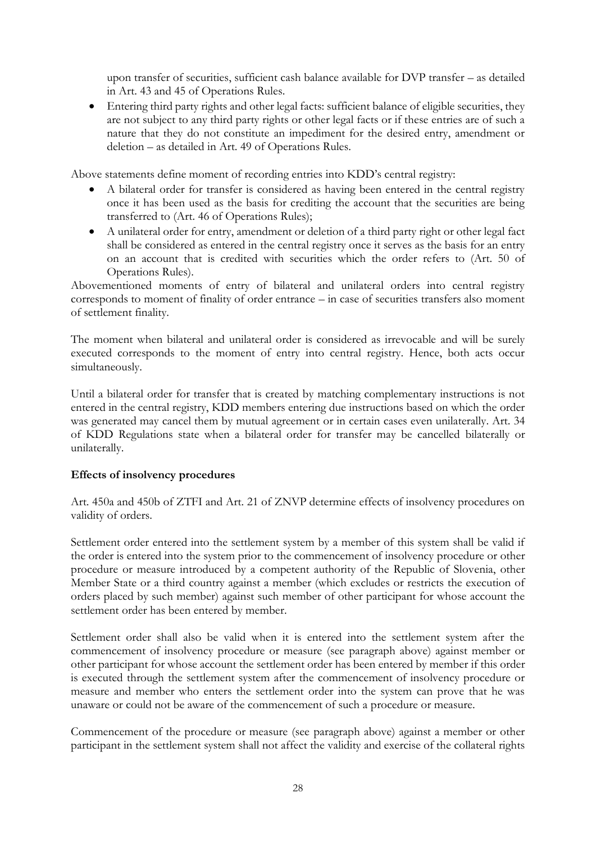upon transfer of securities, sufficient cash balance available for DVP transfer – as detailed in Art. 43 and 45 of Operations Rules.

 Entering third party rights and other legal facts: sufficient balance of eligible securities, they are not subject to any third party rights or other legal facts or if these entries are of such a nature that they do not constitute an impediment for the desired entry, amendment or deletion – as detailed in Art. 49 of Operations Rules.

Above statements define moment of recording entries into KDD's central registry:

- A bilateral order for transfer is considered as having been entered in the central registry once it has been used as the basis for crediting the account that the securities are being transferred to (Art. 46 of Operations Rules);
- A unilateral order for entry, amendment or deletion of a third party right or other legal fact shall be considered as entered in the central registry once it serves as the basis for an entry on an account that is credited with securities which the order refers to (Art. 50 of Operations Rules).

Abovementioned moments of entry of bilateral and unilateral orders into central registry corresponds to moment of finality of order entrance – in case of securities transfers also moment of settlement finality.

The moment when bilateral and unilateral order is considered as irrevocable and will be surely executed corresponds to the moment of entry into central registry. Hence, both acts occur simultaneously.

Until a bilateral order for transfer that is created by matching complementary instructions is not entered in the central registry, KDD members entering due instructions based on which the order was generated may cancel them by mutual agreement or in certain cases even unilaterally. Art. 34 of KDD Regulations state when a bilateral order for transfer may be cancelled bilaterally or unilaterally.

# **Effects of insolvency procedures**

Art. 450a and 450b of ZTFI and Art. 21 of ZNVP determine effects of insolvency procedures on validity of orders.

Settlement order entered into the settlement system by a member of this system shall be valid if the order is entered into the system prior to the commencement of insolvency procedure or other procedure or measure introduced by a competent authority of the Republic of Slovenia, other Member State or a third country against a member (which excludes or restricts the execution of orders placed by such member) against such member of other participant for whose account the settlement order has been entered by member.

Settlement order shall also be valid when it is entered into the settlement system after the commencement of insolvency procedure or measure (see paragraph above) against member or other participant for whose account the settlement order has been entered by member if this order is executed through the settlement system after the commencement of insolvency procedure or measure and member who enters the settlement order into the system can prove that he was unaware or could not be aware of the commencement of such a procedure or measure.

Commencement of the procedure or measure (see paragraph above) against a member or other participant in the settlement system shall not affect the validity and exercise of the collateral rights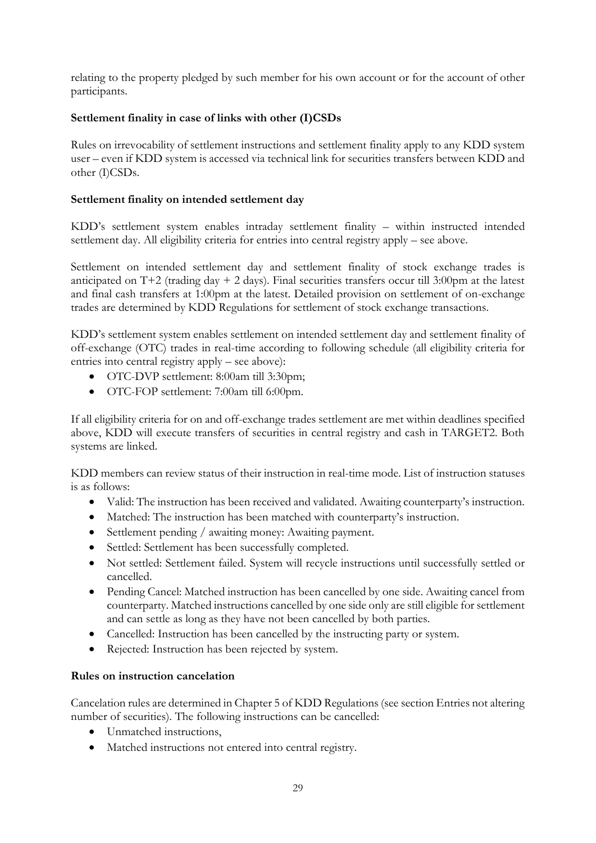relating to the property pledged by such member for his own account or for the account of other participants.

# **Settlement finality in case of links with other (I)CSDs**

Rules on irrevocability of settlement instructions and settlement finality apply to any KDD system user – even if KDD system is accessed via technical link for securities transfers between KDD and other (I)CSDs.

# **Settlement finality on intended settlement day**

KDD's settlement system enables intraday settlement finality – within instructed intended settlement day. All eligibility criteria for entries into central registry apply – see above.

Settlement on intended settlement day and settlement finality of stock exchange trades is anticipated on T+2 (trading day + 2 days). Final securities transfers occur till  $3:00 \text{pm}$  at the latest and final cash transfers at 1:00pm at the latest. Detailed provision on settlement of on-exchange trades are determined by KDD Regulations for settlement of stock exchange transactions.

KDD's settlement system enables settlement on intended settlement day and settlement finality of off-exchange (OTC) trades in real-time according to following schedule (all eligibility criteria for entries into central registry apply – see above):

- OTC-DVP settlement: 8:00am till 3:30pm;
- OTC-FOP settlement: 7:00am till 6:00pm.

If all eligibility criteria for on and off-exchange trades settlement are met within deadlines specified above, KDD will execute transfers of securities in central registry and cash in TARGET2. Both systems are linked.

KDD members can review status of their instruction in real-time mode. List of instruction statuses is as follows:

- Valid: The instruction has been received and validated. Awaiting counterparty's instruction.
- Matched: The instruction has been matched with counterparty's instruction.
- Settlement pending / awaiting money: Awaiting payment.
- Settled: Settlement has been successfully completed.
- Not settled: Settlement failed. System will recycle instructions until successfully settled or cancelled.
- Pending Cancel: Matched instruction has been cancelled by one side. Awaiting cancel from counterparty. Matched instructions cancelled by one side only are still eligible for settlement and can settle as long as they have not been cancelled by both parties.
- Cancelled: Instruction has been cancelled by the instructing party or system.
- Rejected: Instruction has been rejected by system.

#### **Rules on instruction cancelation**

Cancelation rules are determined in Chapter 5 of KDD Regulations (see section Entries not altering number of securities). The following instructions can be cancelled:

- Unmatched instructions,
- Matched instructions not entered into central registry.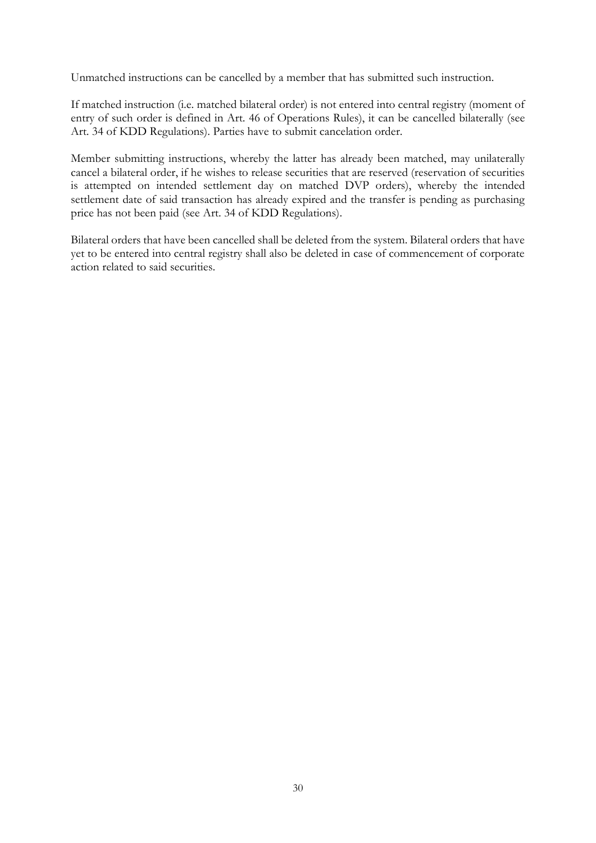Unmatched instructions can be cancelled by a member that has submitted such instruction.

If matched instruction (i.e. matched bilateral order) is not entered into central registry (moment of entry of such order is defined in Art. 46 of Operations Rules), it can be cancelled bilaterally (see Art. 34 of KDD Regulations). Parties have to submit cancelation order.

Member submitting instructions, whereby the latter has already been matched, may unilaterally cancel a bilateral order, if he wishes to release securities that are reserved (reservation of securities is attempted on intended settlement day on matched DVP orders), whereby the intended settlement date of said transaction has already expired and the transfer is pending as purchasing price has not been paid (see Art. 34 of KDD Regulations).

Bilateral orders that have been cancelled shall be deleted from the system. Bilateral orders that have yet to be entered into central registry shall also be deleted in case of commencement of corporate action related to said securities.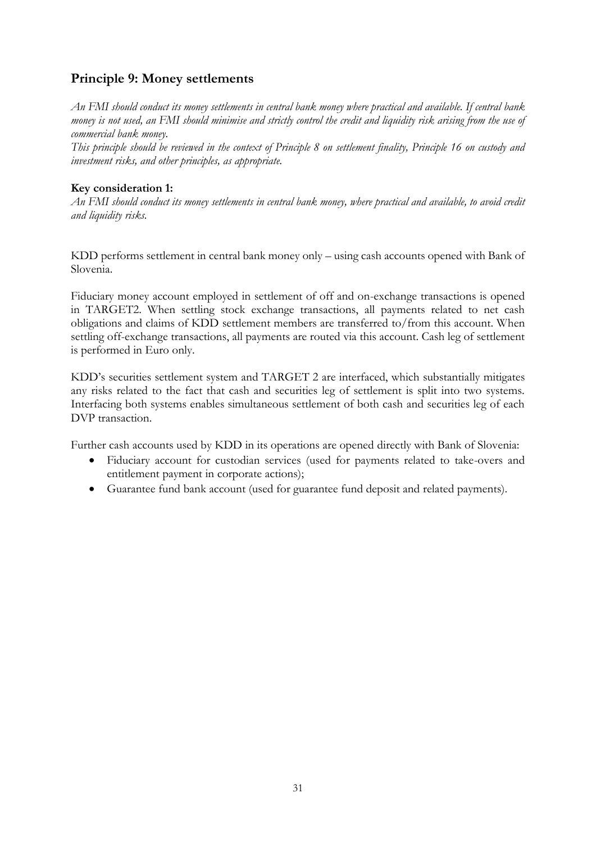# **Principle 9: Money settlements**

*An FMI should conduct its money settlements in central bank money where practical and available. If central bank money is not used, an FMI should minimise and strictly control the credit and liquidity risk arising from the use of commercial bank money.*

*This principle should be reviewed in the context of Principle 8 on settlement finality, Principle 16 on custody and investment risks, and other principles, as appropriate.*

## **Key consideration 1:**

*An FMI should conduct its money settlements in central bank money, where practical and available, to avoid credit and liquidity risks.* 

KDD performs settlement in central bank money only – using cash accounts opened with Bank of Slovenia.

Fiduciary money account employed in settlement of off and on-exchange transactions is opened in TARGET2. When settling stock exchange transactions, all payments related to net cash obligations and claims of KDD settlement members are transferred to/from this account. When settling off-exchange transactions, all payments are routed via this account. Cash leg of settlement is performed in Euro only.

KDD's securities settlement system and TARGET 2 are interfaced, which substantially mitigates any risks related to the fact that cash and securities leg of settlement is split into two systems. Interfacing both systems enables simultaneous settlement of both cash and securities leg of each DVP transaction.

Further cash accounts used by KDD in its operations are opened directly with Bank of Slovenia:

- Fiduciary account for custodian services (used for payments related to take-overs and entitlement payment in corporate actions);
- Guarantee fund bank account (used for guarantee fund deposit and related payments).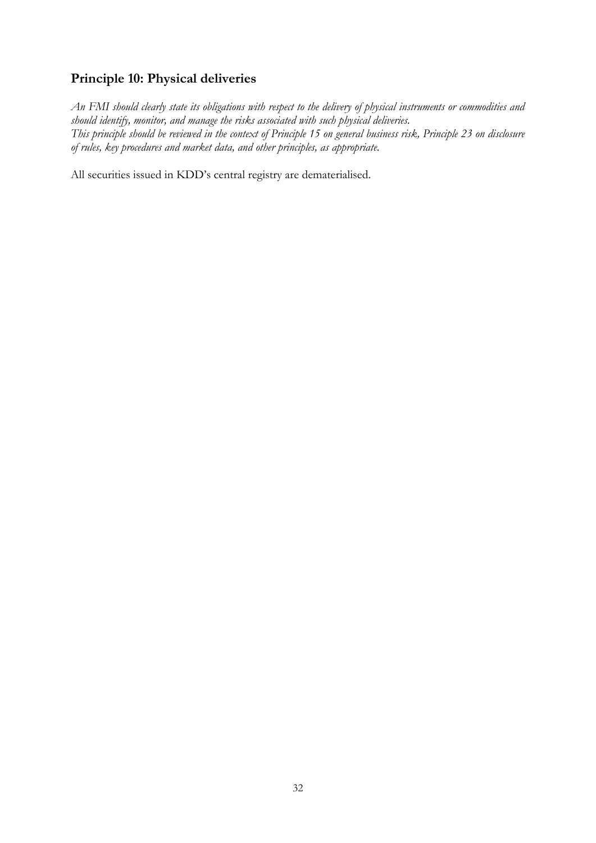# **Principle 10: Physical deliveries**

*An FMI should clearly state its obligations with respect to the delivery of physical instruments or commodities and should identify, monitor, and manage the risks associated with such physical deliveries. This principle should be reviewed in the context of Principle 15 on general business risk, Principle 23 on disclosure of rules, key procedures and market data, and other principles, as appropriate.*

All securities issued in KDD's central registry are dematerialised.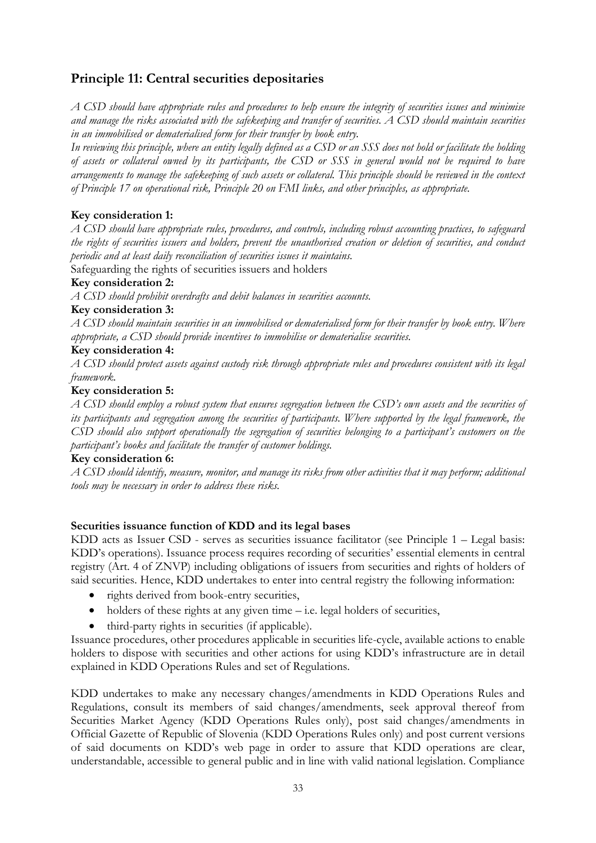# **Principle 11: Central securities depositaries**

*A CSD should have appropriate rules and procedures to help ensure the integrity of securities issues and minimise and manage the risks associated with the safekeeping and transfer of securities. A CSD should maintain securities in an immobilised or dematerialised form for their transfer by book entry.*

*In reviewing this principle, where an entity legally defined as a CSD or an SSS does not hold or facilitate the holding of assets or collateral owned by its participants, the CSD or SSS in general would not be required to have arrangements to manage the safekeeping of such assets or collateral. This principle should be reviewed in the context of Principle 17 on operational risk, Principle 20 on FMI links, and other principles, as appropriate.*

# **Key consideration 1:**

*A CSD should have appropriate rules, procedures, and controls, including robust accounting practices, to safeguard the rights of securities issuers and holders, prevent the unauthorised creation or deletion of securities, and conduct periodic and at least daily reconciliation of securities issues it maintains.*

Safeguarding the rights of securities issuers and holders

# **Key consideration 2:**

*A CSD should prohibit overdrafts and debit balances in securities accounts.*

#### **Key consideration 3:**

*A CSD should maintain securities in an immobilised or dematerialised form for their transfer by book entry. Where appropriate, a CSD should provide incentives to immobilise or dematerialise securities.*

#### **Key consideration 4:**

*A CSD should protect assets against custody risk through appropriate rules and procedures consistent with its legal framework.*

#### **Key consideration 5:**

*A CSD should employ a robust system that ensures segregation between the CSD's own assets and the securities of its participants and segregation among the securities of participants. Where supported by the legal framework, the CSD should also support operationally the segregation of securities belonging to a participant's customers on the participant's books and facilitate the transfer of customer holdings.*

# **Key consideration 6:**

*A CSD should identify, measure, monitor, and manage its risks from other activities that it may perform; additional tools may be necessary in order to address these risks.*

#### **Securities issuance function of KDD and its legal bases**

KDD acts as Issuer CSD - serves as securities issuance facilitator (see Principle 1 – Legal basis: KDD's operations). Issuance process requires recording of securities' essential elements in central registry (Art. 4 of ZNVP) including obligations of issuers from securities and rights of holders of said securities. Hence, KDD undertakes to enter into central registry the following information:

- rights derived from book-entry securities,
- $\bullet$  holders of these rights at any given time i.e. legal holders of securities,
- third-party rights in securities (if applicable).

Issuance procedures, other procedures applicable in securities life-cycle, available actions to enable holders to dispose with securities and other actions for using KDD's infrastructure are in detail explained in KDD Operations Rules and set of Regulations.

KDD undertakes to make any necessary changes/amendments in KDD Operations Rules and Regulations, consult its members of said changes/amendments, seek approval thereof from Securities Market Agency (KDD Operations Rules only), post said changes/amendments in Official Gazette of Republic of Slovenia (KDD Operations Rules only) and post current versions of said documents on KDD's web page in order to assure that KDD operations are clear, understandable, accessible to general public and in line with valid national legislation. Compliance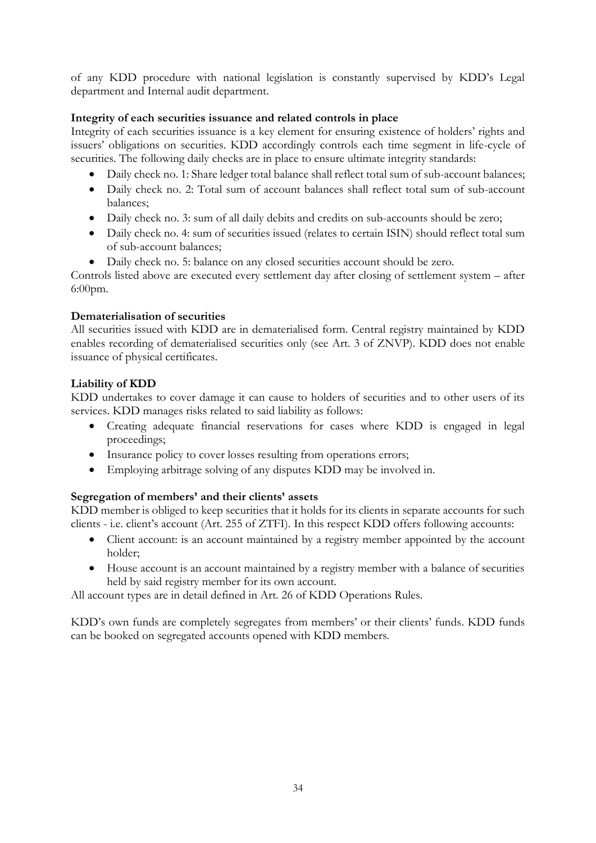of any KDD procedure with national legislation is constantly supervised by KDD's Legal department and Internal audit department.

# **Integrity of each securities issuance and related controls in place**

Integrity of each securities issuance is a key element for ensuring existence of holders' rights and issuers' obligations on securities. KDD accordingly controls each time segment in life-cycle of securities. The following daily checks are in place to ensure ultimate integrity standards:

- Daily check no. 1: Share ledger total balance shall reflect total sum of sub-account balances;
- Daily check no. 2: Total sum of account balances shall reflect total sum of sub-account balances;
- Daily check no. 3: sum of all daily debits and credits on sub-accounts should be zero;
- Daily check no. 4: sum of securities issued (relates to certain ISIN) should reflect total sum of sub-account balances;
- Daily check no. 5: balance on any closed securities account should be zero.

Controls listed above are executed every settlement day after closing of settlement system – after 6:00pm.

# **Dematerialisation of securities**

All securities issued with KDD are in dematerialised form. Central registry maintained by KDD enables recording of dematerialised securities only (see Art. 3 of ZNVP). KDD does not enable issuance of physical certificates.

# **Liability of KDD**

KDD undertakes to cover damage it can cause to holders of securities and to other users of its services. KDD manages risks related to said liability as follows:

- Creating adequate financial reservations for cases where KDD is engaged in legal proceedings;
- Insurance policy to cover losses resulting from operations errors;
- Employing arbitrage solving of any disputes KDD may be involved in.

# **Segregation of members' and their clients' assets**

KDD member is obliged to keep securities that it holds for its clients in separate accounts for such clients - i.e. client's account (Art. 255 of ZTFI). In this respect KDD offers following accounts:

- Client account: is an account maintained by a registry member appointed by the account holder;
- House account is an account maintained by a registry member with a balance of securities held by said registry member for its own account.

All account types are in detail defined in Art. 26 of KDD Operations Rules.

KDD's own funds are completely segregates from members' or their clients' funds. KDD funds can be booked on segregated accounts opened with KDD members.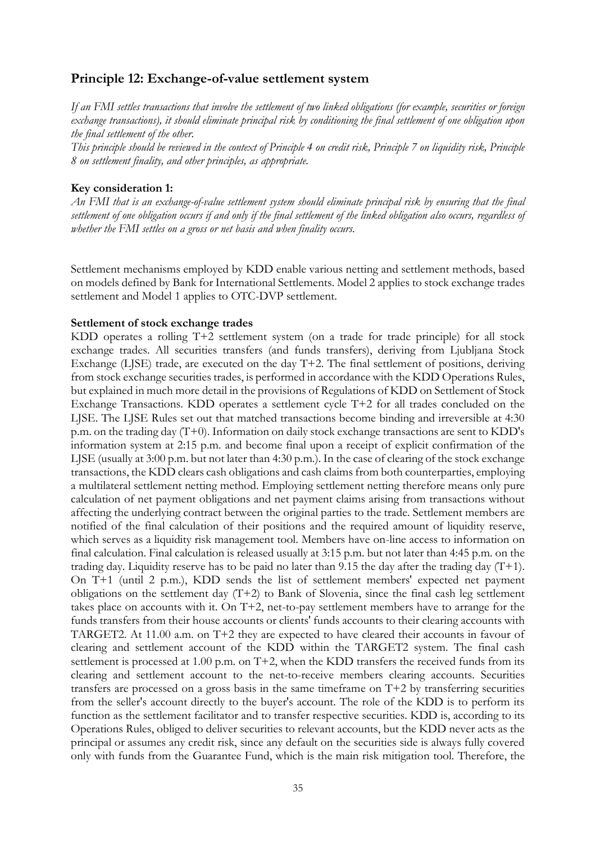# **Principle 12: Exchange-of-value settlement system**

*If an FMI settles transactions that involve the settlement of two linked obligations (for example, securities or foreign exchange transactions), it should eliminate principal risk by conditioning the final settlement of one obligation upon the final settlement of the other.*

*This principle should be reviewed in the context of Principle 4 on credit risk, Principle 7 on liquidity risk, Principle 8 on settlement finality, and other principles, as appropriate.*

#### **Key consideration 1:**

*An FMI that is an exchange-of-value settlement system should eliminate principal risk by ensuring that the final settlement of one obligation occurs if and only if the final settlement of the linked obligation also occurs, regardless of whether the FMI settles on a gross or net basis and when finality occurs.*

Settlement mechanisms employed by KDD enable various netting and settlement methods, based on models defined by Bank for International Settlements. Model 2 applies to stock exchange trades settlement and Model 1 applies to OTC-DVP settlement.

#### **Settlement of stock exchange trades**

KDD operates a rolling T+2 settlement system (on a trade for trade principle) for all stock exchange trades. All securities transfers (and funds transfers), deriving from Ljubljana Stock Exchange (LJSE) trade, are executed on the day T+2. The final settlement of positions, deriving from stock exchange securities trades, is performed in accordance with the KDD Operations Rules, but explained in much more detail in the provisions of Regulations of KDD on Settlement of Stock Exchange Transactions. KDD operates a settlement cycle T+2 for all trades concluded on the LJSE. The LJSE Rules set out that matched transactions become binding and irreversible at 4:30 p.m. on the trading day (T+0). Information on daily stock exchange transactions are sent to KDD's information system at 2:15 p.m. and become final upon a receipt of explicit confirmation of the LJSE (usually at 3:00 p.m. but not later than 4:30 p.m.). In the case of clearing of the stock exchange transactions, the KDD clears cash obligations and cash claims from both counterparties, employing a multilateral settlement netting method. Employing settlement netting therefore means only pure calculation of net payment obligations and net payment claims arising from transactions without affecting the underlying contract between the original parties to the trade. Settlement members are notified of the final calculation of their positions and the required amount of liquidity reserve, which serves as a liquidity risk management tool. Members have on-line access to information on final calculation. Final calculation is released usually at 3:15 p.m. but not later than 4:45 p.m. on the trading day. Liquidity reserve has to be paid no later than 9.15 the day after the trading day (T+1). On T+1 (until 2 p.m.), KDD sends the list of settlement members' expected net payment obligations on the settlement day (T+2) to Bank of Slovenia, since the final cash leg settlement takes place on accounts with it. On T+2, net-to-pay settlement members have to arrange for the funds transfers from their house accounts or clients' funds accounts to their clearing accounts with TARGET2. At 11.00 a.m. on T+2 they are expected to have cleared their accounts in favour of clearing and settlement account of the KDD within the TARGET2 system. The final cash settlement is processed at 1.00 p.m. on T+2, when the KDD transfers the received funds from its clearing and settlement account to the net-to-receive members clearing accounts. Securities transfers are processed on a gross basis in the same timeframe on T+2 by transferring securities from the seller's account directly to the buyer's account. The role of the KDD is to perform its function as the settlement facilitator and to transfer respective securities. KDD is, according to its Operations Rules, obliged to deliver securities to relevant accounts, but the KDD never acts as the principal or assumes any credit risk, since any default on the securities side is always fully covered only with funds from the Guarantee Fund, which is the main risk mitigation tool. Therefore, the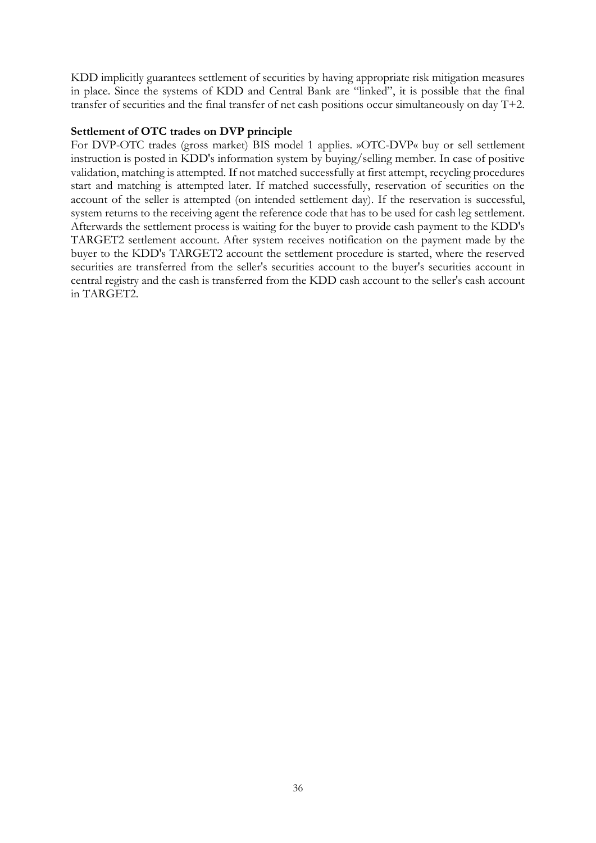KDD implicitly guarantees settlement of securities by having appropriate risk mitigation measures in place. Since the systems of KDD and Central Bank are "linked", it is possible that the final transfer of securities and the final transfer of net cash positions occur simultaneously on day T+2.

#### **Settlement of OTC trades on DVP principle**

For DVP-OTC trades (gross market) BIS model 1 applies. »OTC-DVP« buy or sell settlement instruction is posted in KDD's information system by buying/selling member. In case of positive validation, matching is attempted. If not matched successfully at first attempt, recycling procedures start and matching is attempted later. If matched successfully, reservation of securities on the account of the seller is attempted (on intended settlement day). If the reservation is successful, system returns to the receiving agent the reference code that has to be used for cash leg settlement. Afterwards the settlement process is waiting for the buyer to provide cash payment to the KDD's TARGET2 settlement account. After system receives notification on the payment made by the buyer to the KDD's TARGET2 account the settlement procedure is started, where the reserved securities are transferred from the seller's securities account to the buyer's securities account in central registry and the cash is transferred from the KDD cash account to the seller's cash account in TARGET2.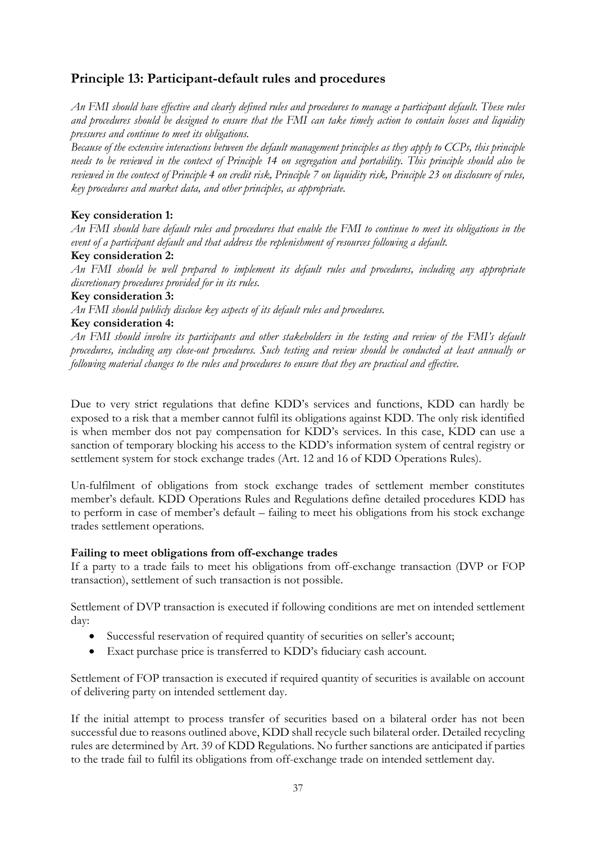# **Principle 13: Participant-default rules and procedures**

*An FMI should have effective and clearly defined rules and procedures to manage a participant default. These rules and procedures should be designed to ensure that the FMI can take timely action to contain losses and liquidity pressures and continue to meet its obligations.*

*Because of the extensive interactions between the default management principles as they apply to CCPs, this principle needs to be reviewed in the context of Principle 14 on segregation and portability. This principle should also be reviewed in the context of Principle 4 on credit risk, Principle 7 on liquidity risk, Principle 23 on disclosure of rules, key procedures and market data, and other principles, as appropriate.*

#### **Key consideration 1:**

*An FMI should have default rules and procedures that enable the FMI to continue to meet its obligations in the event of a participant default and that address the replenishment of resources following a default.*

#### **Key consideration 2:**

*An FMI should be well prepared to implement its default rules and procedures, including any appropriate discretionary procedures provided for in its rules.*

#### **Key consideration 3:**

*An FMI should publicly disclose key aspects of its default rules and procedures.*

# **Key consideration 4:**

*An FMI should involve its participants and other stakeholders in the testing and review of the FMI's default procedures, including any close-out procedures. Such testing and review should be conducted at least annually or following material changes to the rules and procedures to ensure that they are practical and effective.*

Due to very strict regulations that define KDD's services and functions, KDD can hardly be exposed to a risk that a member cannot fulfil its obligations against KDD. The only risk identified is when member dos not pay compensation for KDD's services. In this case, KDD can use a sanction of temporary blocking his access to the KDD's information system of central registry or settlement system for stock exchange trades (Art. 12 and 16 of KDD Operations Rules).

Un-fulfilment of obligations from stock exchange trades of settlement member constitutes member's default. KDD Operations Rules and Regulations define detailed procedures KDD has to perform in case of member's default – failing to meet his obligations from his stock exchange trades settlement operations.

#### **Failing to meet obligations from off-exchange trades**

If a party to a trade fails to meet his obligations from off-exchange transaction (DVP or FOP transaction), settlement of such transaction is not possible.

Settlement of DVP transaction is executed if following conditions are met on intended settlement day:

- Successful reservation of required quantity of securities on seller's account;
- Exact purchase price is transferred to KDD's fiduciary cash account.

Settlement of FOP transaction is executed if required quantity of securities is available on account of delivering party on intended settlement day.

If the initial attempt to process transfer of securities based on a bilateral order has not been successful due to reasons outlined above, KDD shall recycle such bilateral order. Detailed recycling rules are determined by Art. 39 of KDD Regulations. No further sanctions are anticipated if parties to the trade fail to fulfil its obligations from off-exchange trade on intended settlement day.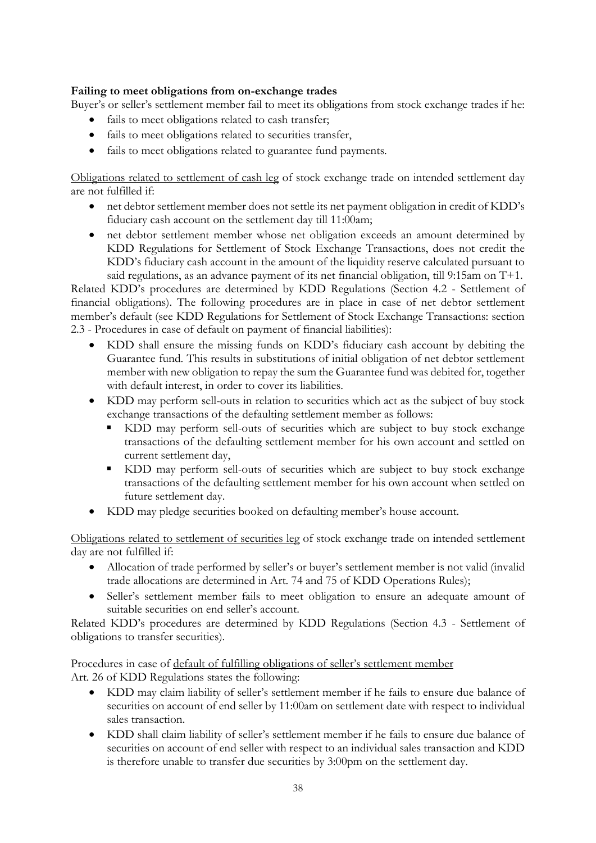# **Failing to meet obligations from on-exchange trades**

Buyer's or seller's settlement member fail to meet its obligations from stock exchange trades if he:

- fails to meet obligations related to cash transfer;
- fails to meet obligations related to securities transfer,
- fails to meet obligations related to guarantee fund payments.

Obligations related to settlement of cash leg of stock exchange trade on intended settlement day are not fulfilled if:

- net debtor settlement member does not settle its net payment obligation in credit of KDD's fiduciary cash account on the settlement day till 11:00am;
- net debtor settlement member whose net obligation exceeds an amount determined by KDD Regulations for Settlement of Stock Exchange Transactions, does not credit the KDD's fiduciary cash account in the amount of the liquidity reserve calculated pursuant to said regulations, as an advance payment of its net financial obligation, till 9:15am on T+1.

Related KDD's procedures are determined by KDD Regulations (Section 4.2 - Settlement of financial obligations). The following procedures are in place in case of net debtor settlement member's default (see KDD Regulations for Settlement of Stock Exchange Transactions: section 2.3 - Procedures in case of default on payment of financial liabilities):

- KDD shall ensure the missing funds on KDD's fiduciary cash account by debiting the Guarantee fund. This results in substitutions of initial obligation of net debtor settlement member with new obligation to repay the sum the Guarantee fund was debited for, together with default interest, in order to cover its liabilities.
- KDD may perform sell-outs in relation to securities which act as the subject of buy stock exchange transactions of the defaulting settlement member as follows:
	- KDD may perform sell-outs of securities which are subject to buy stock exchange transactions of the defaulting settlement member for his own account and settled on current settlement day,
	- KDD may perform sell-outs of securities which are subject to buy stock exchange transactions of the defaulting settlement member for his own account when settled on future settlement day.
- KDD may pledge securities booked on defaulting member's house account.

Obligations related to settlement of securities leg of stock exchange trade on intended settlement day are not fulfilled if:

- Allocation of trade performed by seller's or buyer's settlement member is not valid (invalid trade allocations are determined in Art. 74 and 75 of KDD Operations Rules);
- Seller's settlement member fails to meet obligation to ensure an adequate amount of suitable securities on end seller's account.

Related KDD's procedures are determined by KDD Regulations (Section 4.3 - Settlement of obligations to transfer securities).

Procedures in case of default of fulfilling obligations of seller's settlement member Art. 26 of KDD Regulations states the following:

- KDD may claim liability of seller's settlement member if he fails to ensure due balance of securities on account of end seller by 11:00am on settlement date with respect to individual sales transaction.
- KDD shall claim liability of seller's settlement member if he fails to ensure due balance of securities on account of end seller with respect to an individual sales transaction and KDD is therefore unable to transfer due securities by 3:00pm on the settlement day.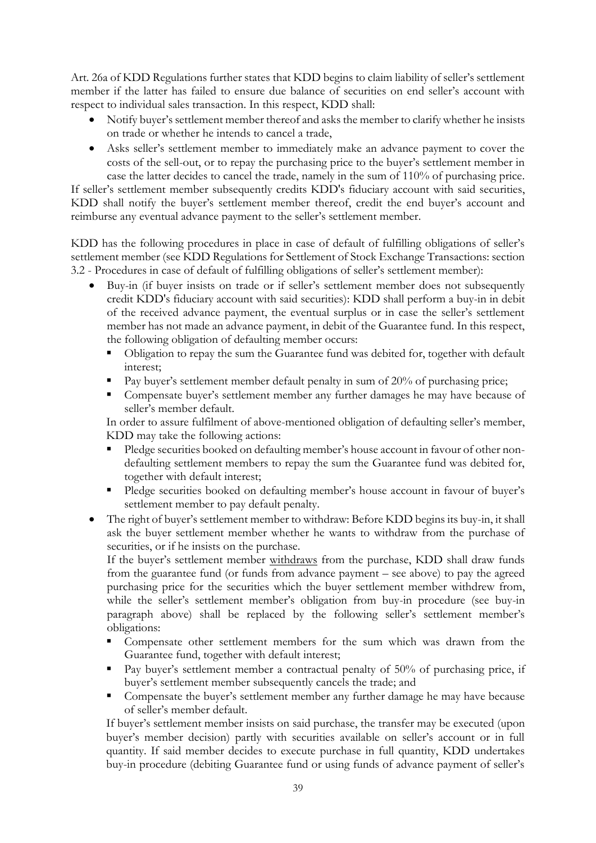Art. 26a of KDD Regulations further states that KDD begins to claim liability of seller's settlement member if the latter has failed to ensure due balance of securities on end seller's account with respect to individual sales transaction. In this respect, KDD shall:

- Notify buyer's settlement member thereof and asks the member to clarify whether he insists on trade or whether he intends to cancel a trade,
- Asks seller's settlement member to immediately make an advance payment to cover the costs of the sell-out, or to repay the purchasing price to the buyer's settlement member in case the latter decides to cancel the trade, namely in the sum of 110% of purchasing price.

If seller's settlement member subsequently credits KDD's fiduciary account with said securities, KDD shall notify the buyer's settlement member thereof, credit the end buyer's account and reimburse any eventual advance payment to the seller's settlement member.

KDD has the following procedures in place in case of default of fulfilling obligations of seller's settlement member (see KDD Regulations for Settlement of Stock Exchange Transactions: section 3.2 - Procedures in case of default of fulfilling obligations of seller's settlement member):

- Buy-in (if buyer insists on trade or if seller's settlement member does not subsequently credit KDD's fiduciary account with said securities): KDD shall perform a buy-in in debit of the received advance payment, the eventual surplus or in case the seller's settlement member has not made an advance payment, in debit of the Guarantee fund. In this respect, the following obligation of defaulting member occurs:
	- Obligation to repay the sum the Guarantee fund was debited for, together with default interest;
	- Pay buyer's settlement member default penalty in sum of 20% of purchasing price;
	- **Compensate buyer's settlement member any further damages he may have because of** seller's member default.

In order to assure fulfilment of above-mentioned obligation of defaulting seller's member, KDD may take the following actions:

- Pledge securities booked on defaulting member's house account in favour of other nondefaulting settlement members to repay the sum the Guarantee fund was debited for, together with default interest;
- Pledge securities booked on defaulting member's house account in favour of buyer's settlement member to pay default penalty.
- The right of buyer's settlement member to withdraw: Before KDD begins its buy-in, it shall ask the buyer settlement member whether he wants to withdraw from the purchase of securities, or if he insists on the purchase.

If the buyer's settlement member withdraws from the purchase, KDD shall draw funds from the guarantee fund (or funds from advance payment – see above) to pay the agreed purchasing price for the securities which the buyer settlement member withdrew from, while the seller's settlement member's obligation from buy-in procedure (see buy-in paragraph above) shall be replaced by the following seller's settlement member's obligations:

- Compensate other settlement members for the sum which was drawn from the Guarantee fund, together with default interest;
- Pay buyer's settlement member a contractual penalty of 50% of purchasing price, if buyer's settlement member subsequently cancels the trade; and
- Compensate the buyer's settlement member any further damage he may have because of seller's member default.

If buyer's settlement member insists on said purchase, the transfer may be executed (upon buyer's member decision) partly with securities available on seller's account or in full quantity. If said member decides to execute purchase in full quantity, KDD undertakes buy-in procedure (debiting Guarantee fund or using funds of advance payment of seller's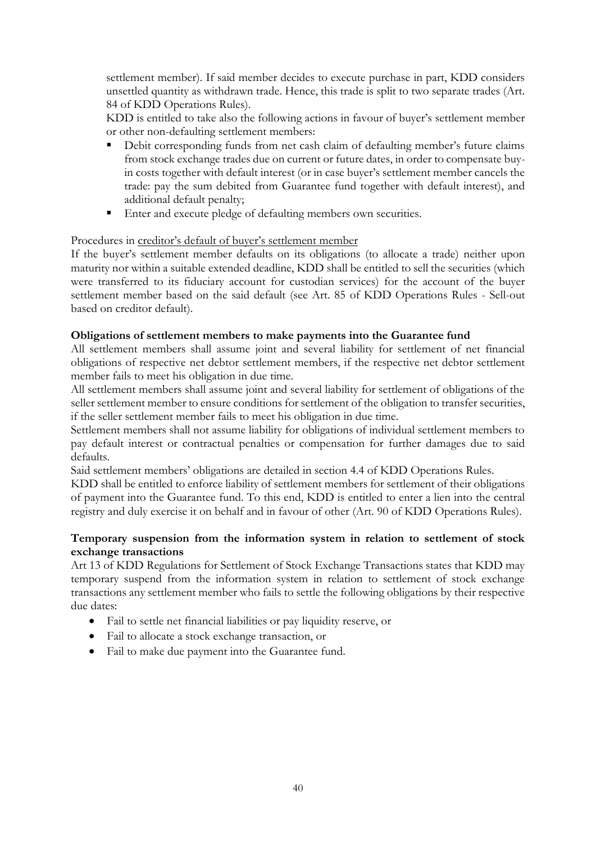settlement member). If said member decides to execute purchase in part, KDD considers unsettled quantity as withdrawn trade. Hence, this trade is split to two separate trades (Art. 84 of KDD Operations Rules).

KDD is entitled to take also the following actions in favour of buyer's settlement member or other non-defaulting settlement members:

- Debit corresponding funds from net cash claim of defaulting member's future claims from stock exchange trades due on current or future dates, in order to compensate buyin costs together with default interest (or in case buyer's settlement member cancels the trade: pay the sum debited from Guarantee fund together with default interest), and additional default penalty;
- **Enter and execute pledge of defaulting members own securities.**

#### Procedures in creditor's default of buyer's settlement member

If the buyer's settlement member defaults on its obligations (to allocate a trade) neither upon maturity nor within a suitable extended deadline, KDD shall be entitled to sell the securities (which were transferred to its fiduciary account for custodian services) for the account of the buyer settlement member based on the said default (see Art. 85 of KDD Operations Rules - Sell-out based on creditor default).

# **Obligations of settlement members to make payments into the Guarantee fund**

All settlement members shall assume joint and several liability for settlement of net financial obligations of respective net debtor settlement members, if the respective net debtor settlement member fails to meet his obligation in due time.

All settlement members shall assume joint and several liability for settlement of obligations of the seller settlement member to ensure conditions for settlement of the obligation to transfer securities, if the seller settlement member fails to meet his obligation in due time.

Settlement members shall not assume liability for obligations of individual settlement members to pay default interest or contractual penalties or compensation for further damages due to said defaults.

Said settlement members' obligations are detailed in section 4.4 of KDD Operations Rules.

KDD shall be entitled to enforce liability of settlement members for settlement of their obligations of payment into the Guarantee fund. To this end, KDD is entitled to enter a lien into the central registry and duly exercise it on behalf and in favour of other (Art. 90 of KDD Operations Rules).

# **Temporary suspension from the information system in relation to settlement of stock exchange transactions**

Art 13 of KDD Regulations for Settlement of Stock Exchange Transactions states that KDD may temporary suspend from the information system in relation to settlement of stock exchange transactions any settlement member who fails to settle the following obligations by their respective due dates:

- Fail to settle net financial liabilities or pay liquidity reserve, or
- Fail to allocate a stock exchange transaction, or
- Fail to make due payment into the Guarantee fund.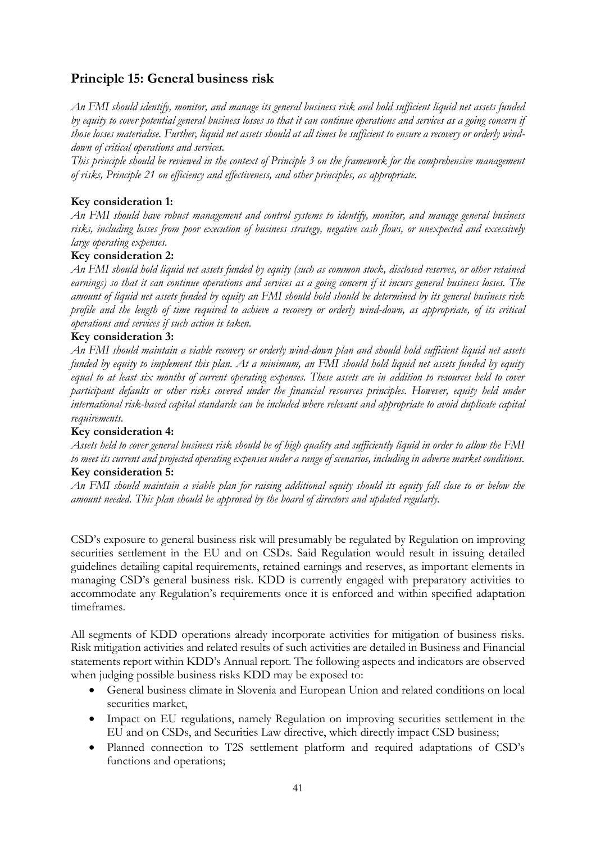# **Principle 15: General business risk**

*An FMI should identify, monitor, and manage its general business risk and hold sufficient liquid net assets funded by equity to cover potential general business losses so that it can continue operations and services as a going concern if those losses materialise. Further, liquid net assets should at all times be sufficient to ensure a recovery or orderly winddown of critical operations and services.*

*This principle should be reviewed in the context of Principle 3 on the framework for the comprehensive management of risks, Principle 21 on efficiency and effectiveness, and other principles, as appropriate.*

# **Key consideration 1:**

*An FMI should have robust management and control systems to identify, monitor, and manage general business risks, including losses from poor execution of business strategy, negative cash flows, or unexpected and excessively large operating expenses.*

# **Key consideration 2:**

*An FMI should hold liquid net assets funded by equity (such as common stock, disclosed reserves, or other retained earnings) so that it can continue operations and services as a going concern if it incurs general business losses. The amount of liquid net assets funded by equity an FMI should hold should be determined by its general business risk profile and the length of time required to achieve a recovery or orderly wind-down, as appropriate, of its critical operations and services if such action is taken.*

#### **Key consideration 3:**

*An FMI should maintain a viable recovery or orderly wind-down plan and should hold sufficient liquid net assets funded by equity to implement this plan. At a minimum, an FMI should hold liquid net assets funded by equity equal to at least six months of current operating expenses. These assets are in addition to resources held to cover participant defaults or other risks covered under the financial resources principles. However, equity held under international risk-based capital standards can be included where relevant and appropriate to avoid duplicate capital requirements.*

#### **Key consideration 4:**

*Assets held to cover general business risk should be of high quality and sufficiently liquid in order to allow the FMI to meet its current and projected operating expenses under a range of scenarios, including in adverse market conditions.* **Key consideration 5:**

*An FMI should maintain a viable plan for raising additional equity should its equity fall close to or below the amount needed. This plan should be approved by the board of directors and updated regularly.*

CSD's exposure to general business risk will presumably be regulated by Regulation on improving securities settlement in the EU and on CSDs. Said Regulation would result in issuing detailed guidelines detailing capital requirements, retained earnings and reserves, as important elements in managing CSD's general business risk. KDD is currently engaged with preparatory activities to accommodate any Regulation's requirements once it is enforced and within specified adaptation timeframes.

All segments of KDD operations already incorporate activities for mitigation of business risks. Risk mitigation activities and related results of such activities are detailed in Business and Financial statements report within KDD's Annual report. The following aspects and indicators are observed when judging possible business risks KDD may be exposed to:

- General business climate in Slovenia and European Union and related conditions on local securities market,
- Impact on EU regulations, namely Regulation on improving securities settlement in the EU and on CSDs, and Securities Law directive, which directly impact CSD business;
- Planned connection to T2S settlement platform and required adaptations of CSD's functions and operations;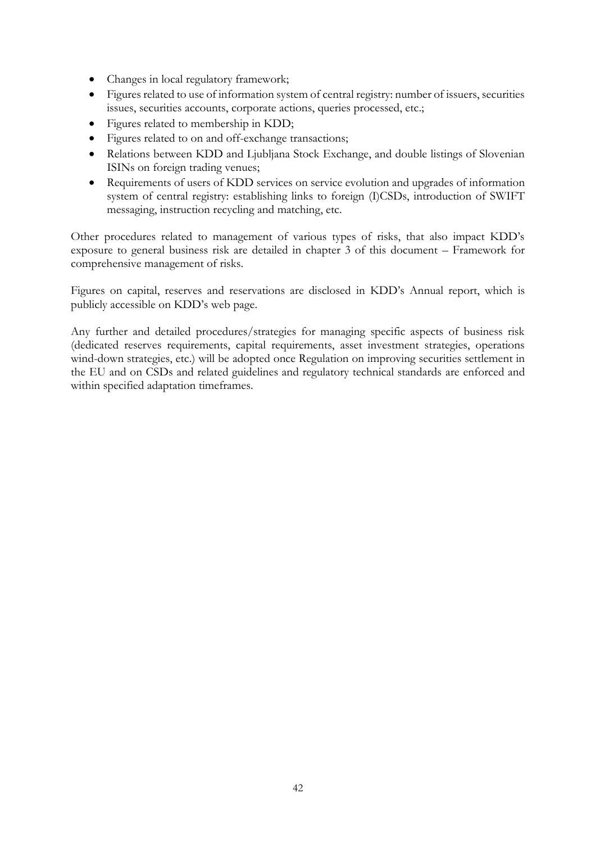- Changes in local regulatory framework;
- Figures related to use of information system of central registry: number of issuers, securities issues, securities accounts, corporate actions, queries processed, etc.;
- Figures related to membership in KDD;
- Figures related to on and off-exchange transactions;
- Relations between KDD and Ljubljana Stock Exchange, and double listings of Slovenian ISINs on foreign trading venues;
- Requirements of users of KDD services on service evolution and upgrades of information system of central registry: establishing links to foreign (I)CSDs, introduction of SWIFT messaging, instruction recycling and matching, etc.

Other procedures related to management of various types of risks, that also impact KDD's exposure to general business risk are detailed in chapter 3 of this document – Framework for comprehensive management of risks.

Figures on capital, reserves and reservations are disclosed in KDD's Annual report, which is publicly accessible on KDD's web page.

Any further and detailed procedures/strategies for managing specific aspects of business risk (dedicated reserves requirements, capital requirements, asset investment strategies, operations wind-down strategies, etc.) will be adopted once Regulation on improving securities settlement in the EU and on CSDs and related guidelines and regulatory technical standards are enforced and within specified adaptation timeframes.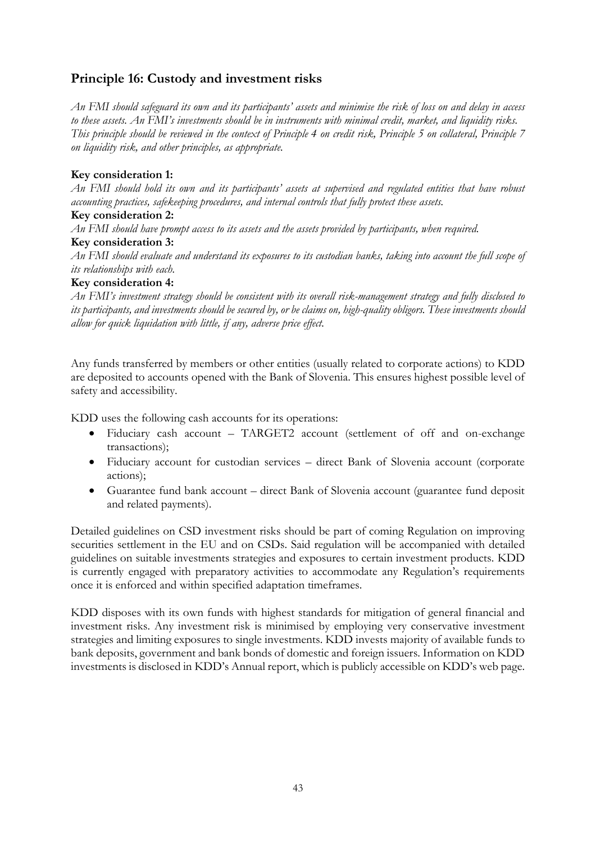# **Principle 16: Custody and investment risks**

*An FMI should safeguard its own and its participants' assets and minimise the risk of loss on and delay in access to these assets. An FMI's investments should be in instruments with minimal credit, market, and liquidity risks. This principle should be reviewed in the context of Principle 4 on credit risk, Principle 5 on collateral, Principle 7 on liquidity risk, and other principles, as appropriate.*

## **Key consideration 1:**

*An FMI should hold its own and its participants' assets at supervised and regulated entities that have robust accounting practices, safekeeping procedures, and internal controls that fully protect these assets.*

#### **Key consideration 2:**

*An FMI should have prompt access to its assets and the assets provided by participants, when required.*

#### **Key consideration 3:**

*An FMI should evaluate and understand its exposures to its custodian banks, taking into account the full scope of its relationships with each.*

#### **Key consideration 4:**

*An FMI's investment strategy should be consistent with its overall risk-management strategy and fully disclosed to its participants, and investments should be secured by, or be claims on, high-quality obligors. These investments should allow for quick liquidation with little, if any, adverse price effect.* 

Any funds transferred by members or other entities (usually related to corporate actions) to KDD are deposited to accounts opened with the Bank of Slovenia. This ensures highest possible level of safety and accessibility.

KDD uses the following cash accounts for its operations:

- Fiduciary cash account TARGET2 account (settlement of off and on-exchange transactions);
- Fiduciary account for custodian services direct Bank of Slovenia account (corporate actions);
- Guarantee fund bank account direct Bank of Slovenia account (guarantee fund deposit and related payments).

Detailed guidelines on CSD investment risks should be part of coming Regulation on improving securities settlement in the EU and on CSDs. Said regulation will be accompanied with detailed guidelines on suitable investments strategies and exposures to certain investment products. KDD is currently engaged with preparatory activities to accommodate any Regulation's requirements once it is enforced and within specified adaptation timeframes.

KDD disposes with its own funds with highest standards for mitigation of general financial and investment risks. Any investment risk is minimised by employing very conservative investment strategies and limiting exposures to single investments. KDD invests majority of available funds to bank deposits, government and bank bonds of domestic and foreign issuers. Information on KDD investments is disclosed in KDD's Annual report, which is publicly accessible on KDD's web page.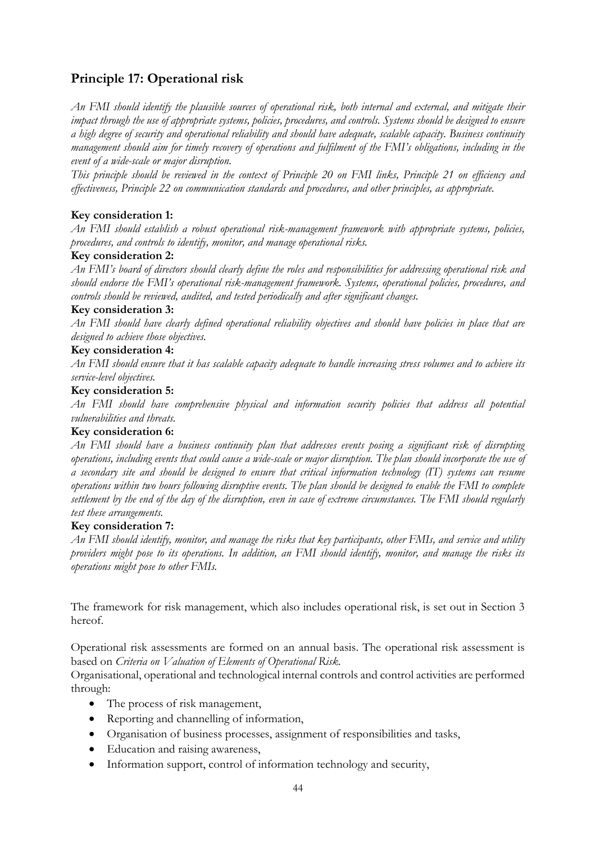# **Principle 17: Operational risk**

*An FMI should identify the plausible sources of operational risk, both internal and external, and mitigate their impact through the use of appropriate systems, policies, procedures, and controls. Systems should be designed to ensure a high degree of security and operational reliability and should have adequate, scalable capacity. Business continuity management should aim for timely recovery of operations and fulfilment of the FMI's obligations, including in the event of a wide-scale or major disruption.*

*This principle should be reviewed in the context of Principle 20 on FMI links, Principle 21 on efficiency and effectiveness, Principle 22 on communication standards and procedures, and other principles, as appropriate.*

# **Key consideration 1:**

*An FMI should establish a robust operational risk-management framework with appropriate systems, policies, procedures, and controls to identify, monitor, and manage operational risks.*

#### **Key consideration 2:**

*An FMI's board of directors should clearly define the roles and responsibilities for addressing operational risk and should endorse the FMI's operational risk-management framework. Systems, operational policies, procedures, and controls should be reviewed, audited, and tested periodically and after significant changes.*

#### **Key consideration 3:**

*An FMI should have clearly defined operational reliability objectives and should have policies in place that are designed to achieve those objectives.*

#### **Key consideration 4:**

*An FMI should ensure that it has scalable capacity adequate to handle increasing stress volumes and to achieve its service-level objectives.*

#### **Key consideration 5:**

*An FMI should have comprehensive physical and information security policies that address all potential vulnerabilities and threats.*

#### **Key consideration 6:**

*An FMI should have a business continuity plan that addresses events posing a significant risk of disrupting operations, including events that could cause a wide-scale or major disruption. The plan should incorporate the use of a secondary site and should be designed to ensure that critical information technology (IT) systems can resume operations within two hours following disruptive events. The plan should be designed to enable the FMI to complete settlement by the end of the day of the disruption, even in case of extreme circumstances. The FMI should regularly test these arrangements.*

#### **Key consideration 7:**

*An FMI should identify, monitor, and manage the risks that key participants, other FMIs, and service and utility providers might pose to its operations. In addition, an FMI should identify, monitor, and manage the risks its operations might pose to other FMIs.*

The framework for risk management, which also includes operational risk, is set out in Section 3 hereof.

Operational risk assessments are formed on an annual basis. The operational risk assessment is based on *Criteria on Valuation of Elements of Operational Risk.*

Organisational, operational and technological internal controls and control activities are performed through:

- The process of risk management,
- Reporting and channelling of information,
- Organisation of business processes, assignment of responsibilities and tasks,
- Education and raising awareness,
- Information support, control of information technology and security,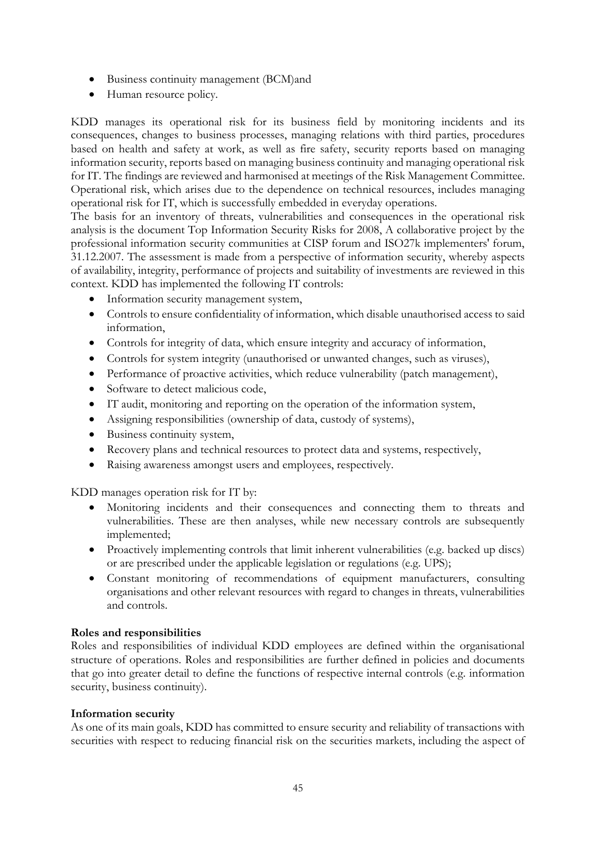- Business continuity management (BCM)and
- Human resource policy.

KDD manages its operational risk for its business field by monitoring incidents and its consequences, changes to business processes, managing relations with third parties, procedures based on health and safety at work, as well as fire safety, security reports based on managing information security, reports based on managing business continuity and managing operational risk for IT. The findings are reviewed and harmonised at meetings of the Risk Management Committee. Operational risk, which arises due to the dependence on technical resources, includes managing operational risk for IT, which is successfully embedded in everyday operations.

The basis for an inventory of threats, vulnerabilities and consequences in the operational risk analysis is the document Top Information Security Risks for 2008, A collaborative project by the professional information security communities at CISP forum and ISO27k implementers' forum, 31.12.2007. The assessment is made from a perspective of information security, whereby aspects of availability, integrity, performance of projects and suitability of investments are reviewed in this context. KDD has implemented the following IT controls:

- Information security management system,
- Controls to ensure confidentiality of information, which disable unauthorised access to said information,
- Controls for integrity of data, which ensure integrity and accuracy of information,
- Controls for system integrity (unauthorised or unwanted changes, such as viruses),
- Performance of proactive activities, which reduce vulnerability (patch management),
- Software to detect malicious code,
- IT audit, monitoring and reporting on the operation of the information system,
- Assigning responsibilities (ownership of data, custody of systems),
- Business continuity system,
- Recovery plans and technical resources to protect data and systems, respectively,
- Raising awareness amongst users and employees, respectively.

KDD manages operation risk for IT by:

- Monitoring incidents and their consequences and connecting them to threats and vulnerabilities. These are then analyses, while new necessary controls are subsequently implemented;
- Proactively implementing controls that limit inherent vulnerabilities (e.g. backed up discs) or are prescribed under the applicable legislation or regulations (e.g. UPS);
- Constant monitoring of recommendations of equipment manufacturers, consulting organisations and other relevant resources with regard to changes in threats, vulnerabilities and controls.

#### **Roles and responsibilities**

Roles and responsibilities of individual KDD employees are defined within the organisational structure of operations. Roles and responsibilities are further defined in policies and documents that go into greater detail to define the functions of respective internal controls (e.g. information security, business continuity).

#### **Information security**

As one of its main goals, KDD has committed to ensure security and reliability of transactions with securities with respect to reducing financial risk on the securities markets, including the aspect of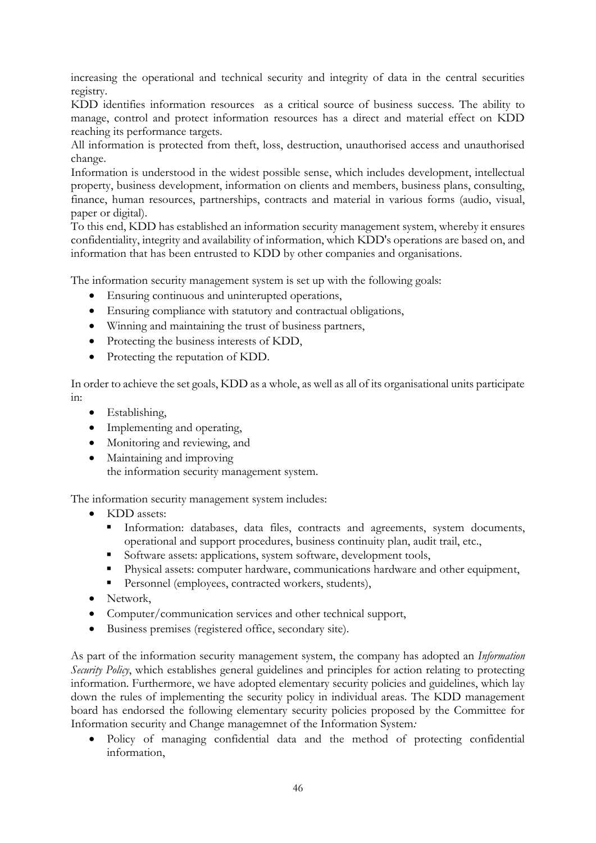increasing the operational and technical security and integrity of data in the central securities registry.

KDD identifies information resources as a critical source of business success. The ability to manage, control and protect information resources has a direct and material effect on KDD reaching its performance targets.

All information is protected from theft, loss, destruction, unauthorised access and unauthorised change.

Information is understood in the widest possible sense, which includes development, intellectual property, business development, information on clients and members, business plans, consulting, finance, human resources, partnerships, contracts and material in various forms (audio, visual, paper or digital).

To this end, KDD has established an information security management system, whereby it ensures confidentiality, integrity and availability of information, which KDD's operations are based on, and information that has been entrusted to KDD by other companies and organisations.

The information security management system is set up with the following goals:

- Ensuring continuous and uninterupted operations,
- Ensuring compliance with statutory and contractual obligations,
- Winning and maintaining the trust of business partners,
- Protecting the business interests of KDD,
- Protecting the reputation of KDD.

In order to achieve the set goals, KDD as a whole, as well as all of its organisational units participate in:

- Establishing,
- Implementing and operating,
- Monitoring and reviewing, and
- Maintaining and improving the information security management system.

The information security management system includes:

- KDD assets:
	- Information: databases, data files, contracts and agreements, system documents, operational and support procedures, business continuity plan, audit trail, etc.,
	- Software assets: applications, system software, development tools,
	- Physical assets: computer hardware, communications hardware and other equipment,
	- **Personnel (employees, contracted workers, students),**
- Network.
- Computer/communication services and other technical support,
- Business premises (registered office, secondary site).

As part of the information security management system, the company has adopted an *Information Security Policy*, which establishes general guidelines and principles for action relating to protecting information. Furthermore, we have adopted elementary security policies and guidelines, which lay down the rules of implementing the security policy in individual areas. The KDD management board has endorsed the following elementary security policies proposed by the Committee for Information security and Change managemnet of the Information System*:*

 Policy of managing confidential data and the method of protecting confidential information,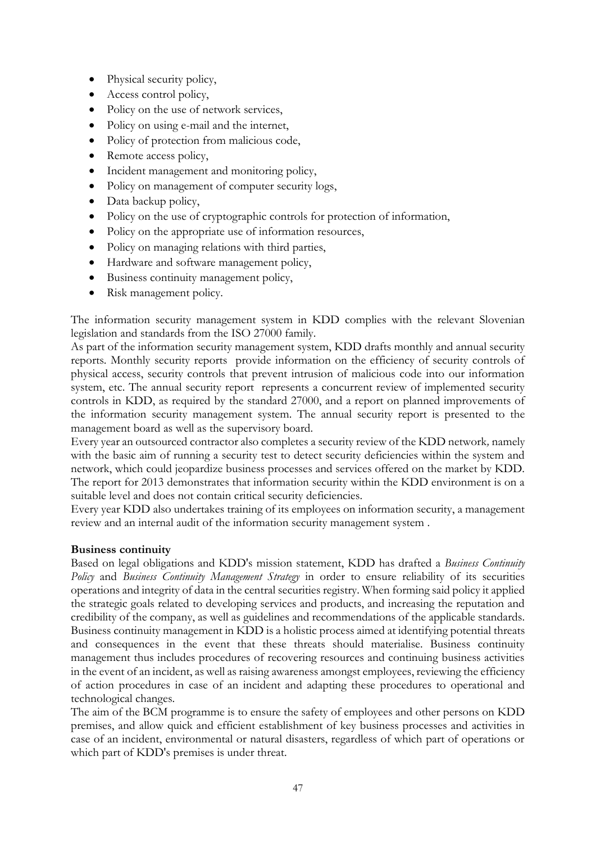- Physical security policy,
- Access control policy,
- Policy on the use of network services,
- Policy on using e-mail and the internet,
- Policy of protection from malicious code,
- Remote access policy,
- Incident management and monitoring policy,
- Policy on management of computer security logs,
- Data backup policy,
- Policy on the use of cryptographic controls for protection of information,
- Policy on the appropriate use of information resources,
- Policy on managing relations with third parties,
- Hardware and software management policy,
- Business continuity management policy,
- Risk management policy.

The information security management system in KDD complies with the relevant Slovenian legislation and standards from the ISO 27000 family.

As part of the information security management system, KDD drafts monthly and annual security reports. Monthly security reports provide information on the efficiency of security controls of physical access, security controls that prevent intrusion of malicious code into our information system, etc. The annual security report represents a concurrent review of implemented security controls in KDD, as required by the standard 27000, and a report on planned improvements of the information security management system. The annual security report is presented to the management board as well as the supervisory board.

Every year an outsourced contractor also completes a security review of the KDD network*,* namely with the basic aim of running a security test to detect security deficiencies within the system and network, which could jeopardize business processes and services offered on the market by KDD. The report for 2013 demonstrates that information security within the KDD environment is on a suitable level and does not contain critical security deficiencies.

Every year KDD also undertakes training of its employees on information security, a management review and an internal audit of the information security management system .

#### **Business continuity**

Based on legal obligations and KDD's mission statement, KDD has drafted a *Business Continuity Policy* and *Business Continuity Management Strategy* in order to ensure reliability of its securities operations and integrity of data in the central securities registry. When forming said policy it applied the strategic goals related to developing services and products, and increasing the reputation and credibility of the company, as well as guidelines and recommendations of the applicable standards. Business continuity management in KDD is a holistic process aimed at identifying potential threats and consequences in the event that these threats should materialise. Business continuity management thus includes procedures of recovering resources and continuing business activities in the event of an incident, as well as raising awareness amongst employees, reviewing the efficiency of action procedures in case of an incident and adapting these procedures to operational and technological changes.

The aim of the BCM programme is to ensure the safety of employees and other persons on KDD premises, and allow quick and efficient establishment of key business processes and activities in case of an incident, environmental or natural disasters, regardless of which part of operations or which part of KDD's premises is under threat.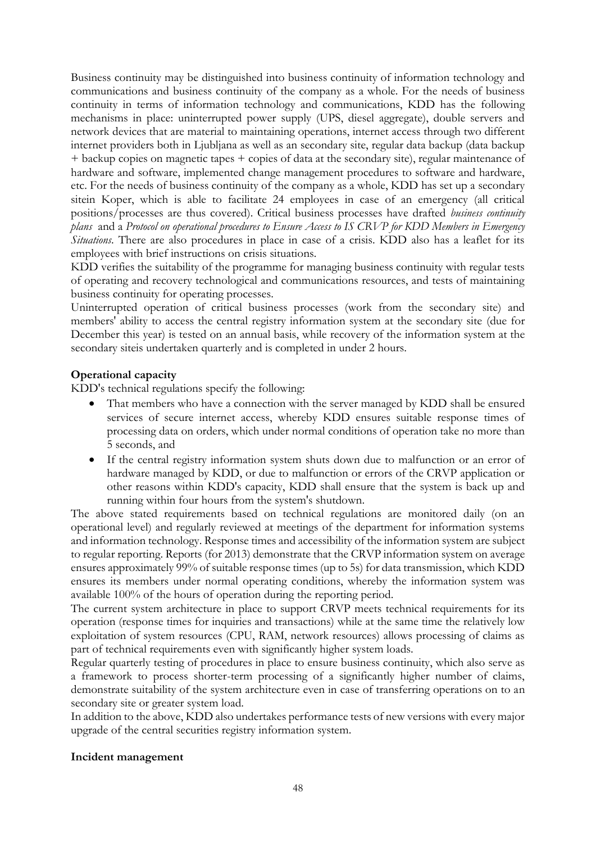Business continuity may be distinguished into business continuity of information technology and communications and business continuity of the company as a whole. For the needs of business continuity in terms of information technology and communications, KDD has the following mechanisms in place: uninterrupted power supply (UPS, diesel aggregate), double servers and network devices that are material to maintaining operations, internet access through two different internet providers both in Ljubljana as well as an secondary site, regular data backup (data backup + backup copies on magnetic tapes + copies of data at the secondary site), regular maintenance of hardware and software, implemented change management procedures to software and hardware, etc. For the needs of business continuity of the company as a whole, KDD has set up a secondary sitein Koper, which is able to facilitate 24 employees in case of an emergency (all critical positions/processes are thus covered). Critical business processes have drafted *business continuity plans* and a *Protocol on operational procedures to Ensure Access to IS CRVP for KDD Members in Emergency Situations*. There are also procedures in place in case of a crisis. KDD also has a leaflet for its employees with brief instructions on crisis situations*.*

KDD verifies the suitability of the programme for managing business continuity with regular tests of operating and recovery technological and communications resources, and tests of maintaining business continuity for operating processes.

Uninterrupted operation of critical business processes (work from the secondary site) and members' ability to access the central registry information system at the secondary site (due for December this year) is tested on an annual basis, while recovery of the information system at the secondary siteis undertaken quarterly and is completed in under 2 hours.

# **Operational capacity**

KDD's technical regulations specify the following:

- That members who have a connection with the server managed by KDD shall be ensured services of secure internet access, whereby KDD ensures suitable response times of processing data on orders, which under normal conditions of operation take no more than 5 seconds, and
- If the central registry information system shuts down due to malfunction or an error of hardware managed by KDD, or due to malfunction or errors of the CRVP application or other reasons within KDD's capacity, KDD shall ensure that the system is back up and running within four hours from the system's shutdown.

The above stated requirements based on technical regulations are monitored daily (on an operational level) and regularly reviewed at meetings of the department for information systems and information technology. Response times and accessibility of the information system are subject to regular reporting. Reports (for 2013) demonstrate that the CRVP information system on average ensures approximately 99% of suitable response times (up to 5s) for data transmission, which KDD ensures its members under normal operating conditions, whereby the information system was available 100% of the hours of operation during the reporting period.

The current system architecture in place to support CRVP meets technical requirements for its operation (response times for inquiries and transactions) while at the same time the relatively low exploitation of system resources (CPU, RAM, network resources) allows processing of claims as part of technical requirements even with significantly higher system loads.

Regular quarterly testing of procedures in place to ensure business continuity, which also serve as a framework to process shorter-term processing of a significantly higher number of claims, demonstrate suitability of the system architecture even in case of transferring operations on to an secondary site or greater system load.

In addition to the above, KDD also undertakes performance tests of new versions with every major upgrade of the central securities registry information system.

#### **Incident management**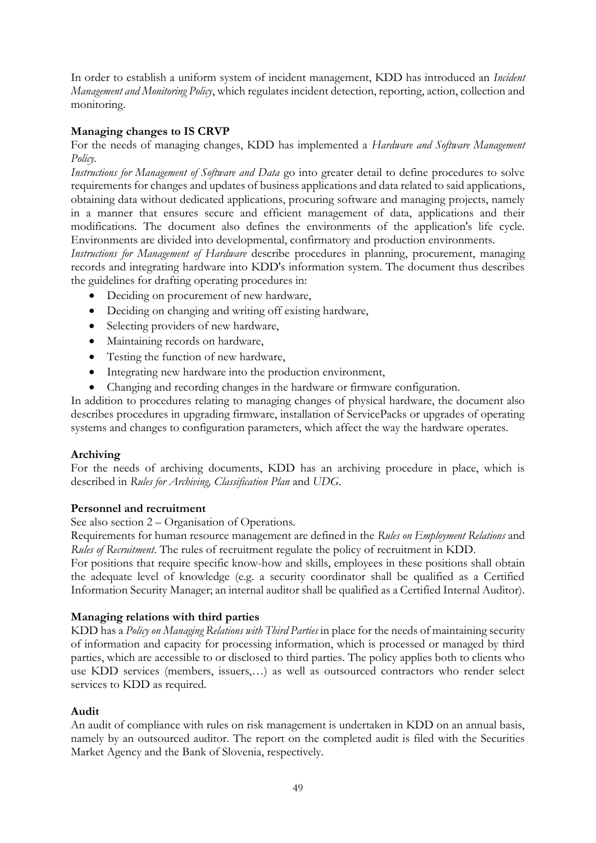In order to establish a uniform system of incident management, KDD has introduced an *Incident Management and Monitoring Policy*, which regulates incident detection, reporting, action, collection and monitoring.

# **Managing changes to IS CRVP**

For the needs of managing changes, KDD has implemented a *Hardware and Software Management Policy.* 

*Instructions for Management of Software and Data* go into greater detail to define procedures to solve requirements for changes and updates of business applications and data related to said applications, obtaining data without dedicated applications, procuring software and managing projects, namely in a manner that ensures secure and efficient management of data, applications and their modifications. The document also defines the environments of the application's life cycle. Environments are divided into developmental, confirmatory and production environments.

*Instructions for Management of Hardware* describe procedures in planning, procurement, managing records and integrating hardware into KDD's information system. The document thus describes the guidelines for drafting operating procedures in:

- Deciding on procurement of new hardware,
- Deciding on changing and writing off existing hardware,
- Selecting providers of new hardware,
- Maintaining records on hardware,
- Testing the function of new hardware,
- Integrating new hardware into the production environment,
- Changing and recording changes in the hardware or firmware configuration.

In addition to procedures relating to managing changes of physical hardware, the document also describes procedures in upgrading firmware, installation of ServicePacks or upgrades of operating systems and changes to configuration parameters, which affect the way the hardware operates.

#### **Archiving**

For the needs of archiving documents, KDD has an archiving procedure in place, which is described in *Rules for Archiving, Classification Plan* and *UDG*.

#### **Personnel and recruitment**

See also section 2 – Organisation of Operations.

Requirements for human resource management are defined in the *Rules on Employment Relations* and *Rules of Recruitment*. The rules of recruitment regulate the policy of recruitment in KDD.

For positions that require specific know-how and skills, employees in these positions shall obtain the adequate level of knowledge (e.g. a security coordinator shall be qualified as a Certified Information Security Manager; an internal auditor shall be qualified as a Certified Internal Auditor).

#### **Managing relations with third parties**

KDD has a *Policy on Managing Relations with Third Parties* in place for the needs of maintaining security of information and capacity for processing information, which is processed or managed by third parties, which are accessible to or disclosed to third parties. The policy applies both to clients who use KDD services (members, issuers,…) as well as outsourced contractors who render select services to KDD as required.

#### **Audit**

An audit of compliance with rules on risk management is undertaken in KDD on an annual basis, namely by an outsourced auditor. The report on the completed audit is filed with the Securities Market Agency and the Bank of Slovenia, respectively.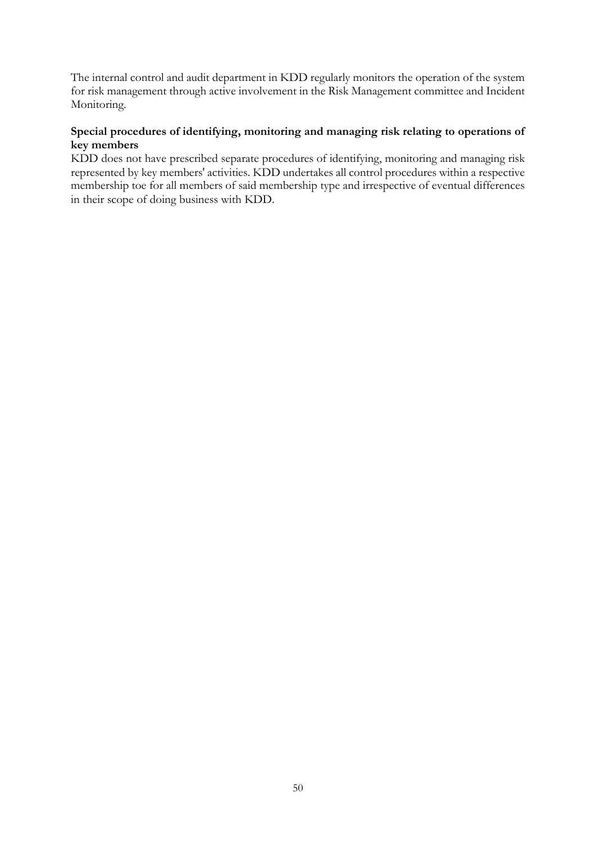The internal control and audit department in KDD regularly monitors the operation of the system for risk management through active involvement in the Risk Management committee and Incident Monitoring.

# **Special procedures of identifying, monitoring and managing risk relating to operations of key members**

KDD does not have prescribed separate procedures of identifying, monitoring and managing risk represented by key members' activities. KDD undertakes all control procedures within a respective membership toe for all members of said membership type and irrespective of eventual differences in their scope of doing business with KDD.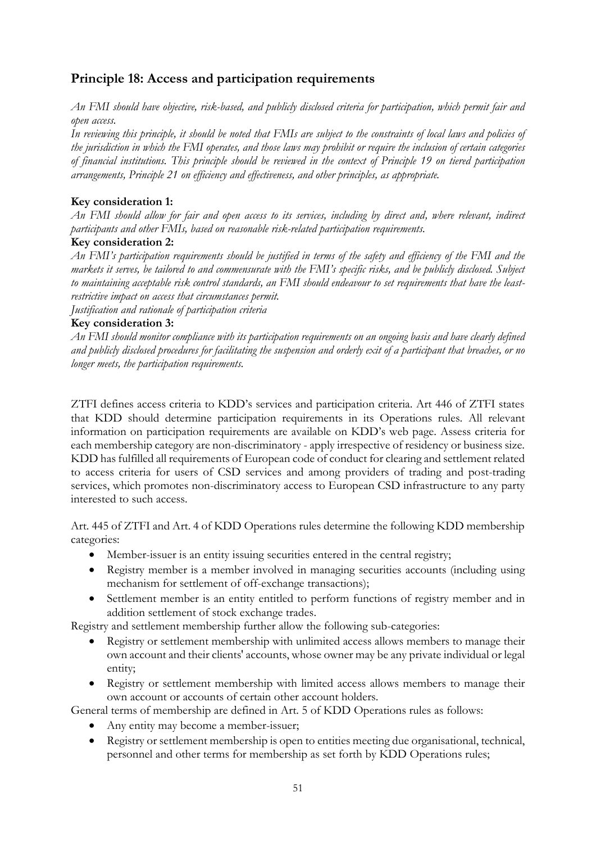# **Principle 18: Access and participation requirements**

*An FMI should have objective, risk-based, and publicly disclosed criteria for participation, which permit fair and open access.*

*In reviewing this principle, it should be noted that FMIs are subject to the constraints of local laws and policies of the jurisdiction in which the FMI operates, and those laws may prohibit or require the inclusion of certain categories of financial institutions. This principle should be reviewed in the context of Principle 19 on tiered participation arrangements, Principle 21 on efficiency and effectiveness, and other principles, as appropriate.*

# **Key consideration 1:**

*An FMI should allow for fair and open access to its services, including by direct and, where relevant, indirect participants and other FMIs, based on reasonable risk-related participation requirements.*

#### **Key consideration 2:**

*An FMI's participation requirements should be justified in terms of the safety and efficiency of the FMI and the markets it serves, be tailored to and commensurate with the FMI's specific risks, and be publicly disclosed. Subject to maintaining acceptable risk control standards, an FMI should endeavour to set requirements that have the leastrestrictive impact on access that circumstances permit.*

*Justification and rationale of participation criteria*

# **Key consideration 3:**

*An FMI should monitor compliance with its participation requirements on an ongoing basis and have clearly defined and publicly disclosed procedures for facilitating the suspension and orderly exit of a participant that breaches, or no longer meets, the participation requirements.*

ZTFI defines access criteria to KDD's services and participation criteria. Art 446 of ZTFI states that KDD should determine participation requirements in its Operations rules. All relevant information on participation requirements are available on KDD's web page. Assess criteria for each membership category are non-discriminatory - apply irrespective of residency or business size. KDD has fulfilled all requirements of European code of conduct for clearing and settlement related to access criteria for users of CSD services and among providers of trading and post-trading services, which promotes non-discriminatory access to European CSD infrastructure to any party interested to such access.

Art. 445 of ZTFI and Art. 4 of KDD Operations rules determine the following KDD membership categories:

- Member-issuer is an entity issuing securities entered in the central registry;
- Registry member is a member involved in managing securities accounts (including using mechanism for settlement of off-exchange transactions);
- Settlement member is an entity entitled to perform functions of registry member and in addition settlement of stock exchange trades.

Registry and settlement membership further allow the following sub-categories:

- Registry or settlement membership with unlimited access allows members to manage their own account and their clients' accounts, whose owner may be any private individual or legal entity;
- Registry or settlement membership with limited access allows members to manage their own account or accounts of certain other account holders.

General terms of membership are defined in Art. 5 of KDD Operations rules as follows:

- Any entity may become a member-issuer;
- Registry or settlement membership is open to entities meeting due organisational, technical, personnel and other terms for membership as set forth by KDD Operations rules;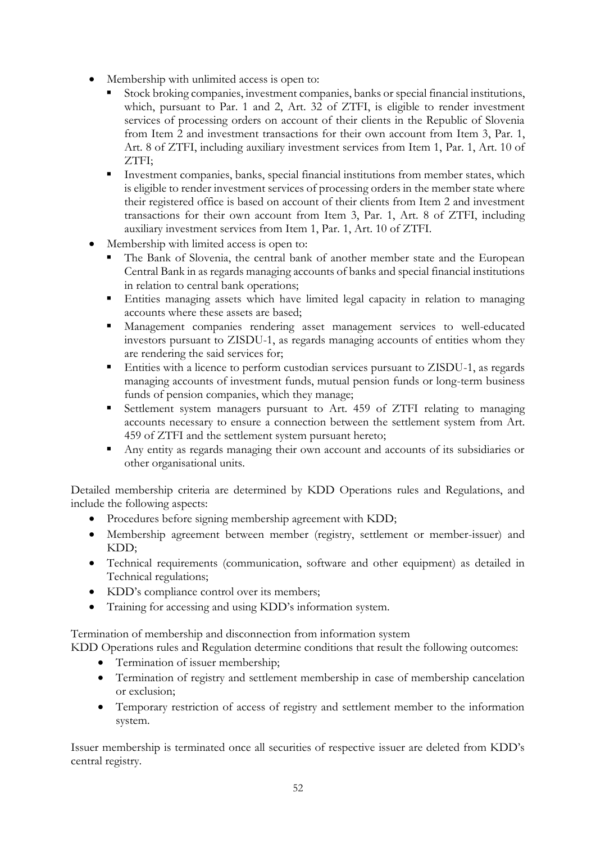- Membership with unlimited access is open to:
	- Stock broking companies, investment companies, banks or special financial institutions, which, pursuant to Par. 1 and 2, Art. 32 of ZTFI, is eligible to render investment services of processing orders on account of their clients in the Republic of Slovenia from Item 2 and investment transactions for their own account from Item 3, Par. 1, Art. 8 of ZTFI, including auxiliary investment services from Item 1, Par. 1, Art. 10 of ZTFI;
	- Investment companies, banks, special financial institutions from member states, which is eligible to render investment services of processing orders in the member state where their registered office is based on account of their clients from Item 2 and investment transactions for their own account from Item 3, Par. 1, Art. 8 of ZTFI, including auxiliary investment services from Item 1, Par. 1, Art. 10 of ZTFI.
- Membership with limited access is open to:
	- The Bank of Slovenia, the central bank of another member state and the European Central Bank in as regards managing accounts of banks and special financial institutions in relation to central bank operations;
	- Entities managing assets which have limited legal capacity in relation to managing accounts where these assets are based;
	- Management companies rendering asset management services to well-educated investors pursuant to ZISDU-1, as regards managing accounts of entities whom they are rendering the said services for;
	- Entities with a licence to perform custodian services pursuant to ZISDU-1, as regards managing accounts of investment funds, mutual pension funds or long-term business funds of pension companies, which they manage;
	- Settlement system managers pursuant to Art. 459 of ZTFI relating to managing accounts necessary to ensure a connection between the settlement system from Art. 459 of ZTFI and the settlement system pursuant hereto;
	- Any entity as regards managing their own account and accounts of its subsidiaries or other organisational units.

Detailed membership criteria are determined by KDD Operations rules and Regulations, and include the following aspects:

- Procedures before signing membership agreement with KDD;
- Membership agreement between member (registry, settlement or member-issuer) and KDD;
- Technical requirements (communication, software and other equipment) as detailed in Technical regulations;
- KDD's compliance control over its members;
- Training for accessing and using KDD's information system.

Termination of membership and disconnection from information system

KDD Operations rules and Regulation determine conditions that result the following outcomes:

- Termination of issuer membership;
- Termination of registry and settlement membership in case of membership cancelation or exclusion;
- Temporary restriction of access of registry and settlement member to the information system.

Issuer membership is terminated once all securities of respective issuer are deleted from KDD's central registry.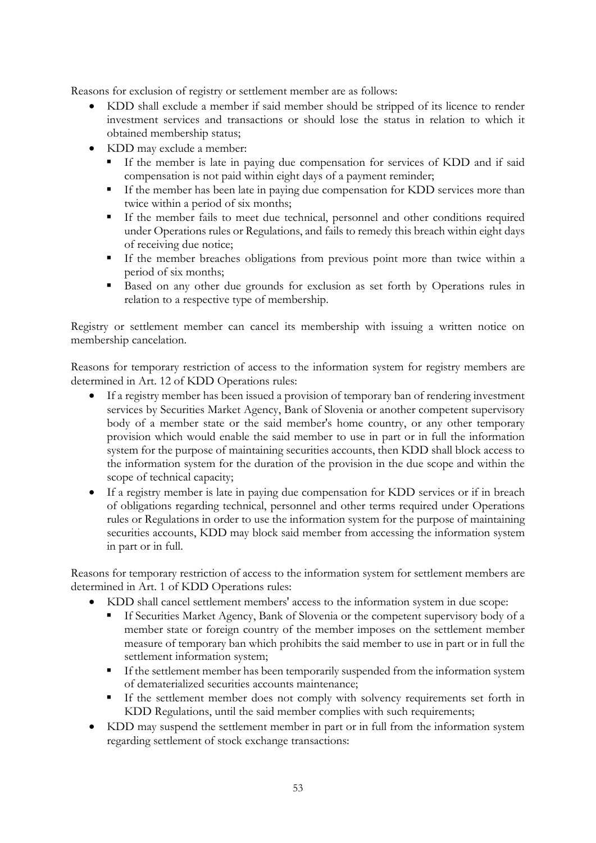Reasons for exclusion of registry or settlement member are as follows:

- KDD shall exclude a member if said member should be stripped of its licence to render investment services and transactions or should lose the status in relation to which it obtained membership status;
- KDD may exclude a member:
	- If the member is late in paying due compensation for services of KDD and if said compensation is not paid within eight days of a payment reminder;
	- If the member has been late in paying due compensation for KDD services more than twice within a period of six months;
	- If the member fails to meet due technical, personnel and other conditions required under Operations rules or Regulations, and fails to remedy this breach within eight days of receiving due notice;
	- If the member breaches obligations from previous point more than twice within a period of six months;
	- Based on any other due grounds for exclusion as set forth by Operations rules in relation to a respective type of membership.

Registry or settlement member can cancel its membership with issuing a written notice on membership cancelation.

Reasons for temporary restriction of access to the information system for registry members are determined in Art. 12 of KDD Operations rules:

- If a registry member has been issued a provision of temporary ban of rendering investment services by Securities Market Agency, Bank of Slovenia or another competent supervisory body of a member state or the said member's home country, or any other temporary provision which would enable the said member to use in part or in full the information system for the purpose of maintaining securities accounts, then KDD shall block access to the information system for the duration of the provision in the due scope and within the scope of technical capacity;
- If a registry member is late in paying due compensation for KDD services or if in breach of obligations regarding technical, personnel and other terms required under Operations rules or Regulations in order to use the information system for the purpose of maintaining securities accounts, KDD may block said member from accessing the information system in part or in full.

Reasons for temporary restriction of access to the information system for settlement members are determined in Art. 1 of KDD Operations rules:

- KDD shall cancel settlement members' access to the information system in due scope:
	- If Securities Market Agency, Bank of Slovenia or the competent supervisory body of a member state or foreign country of the member imposes on the settlement member measure of temporary ban which prohibits the said member to use in part or in full the settlement information system;
	- If the settlement member has been temporarily suspended from the information system of dematerialized securities accounts maintenance;
	- If the settlement member does not comply with solvency requirements set forth in KDD Regulations, until the said member complies with such requirements;
- KDD may suspend the settlement member in part or in full from the information system regarding settlement of stock exchange transactions: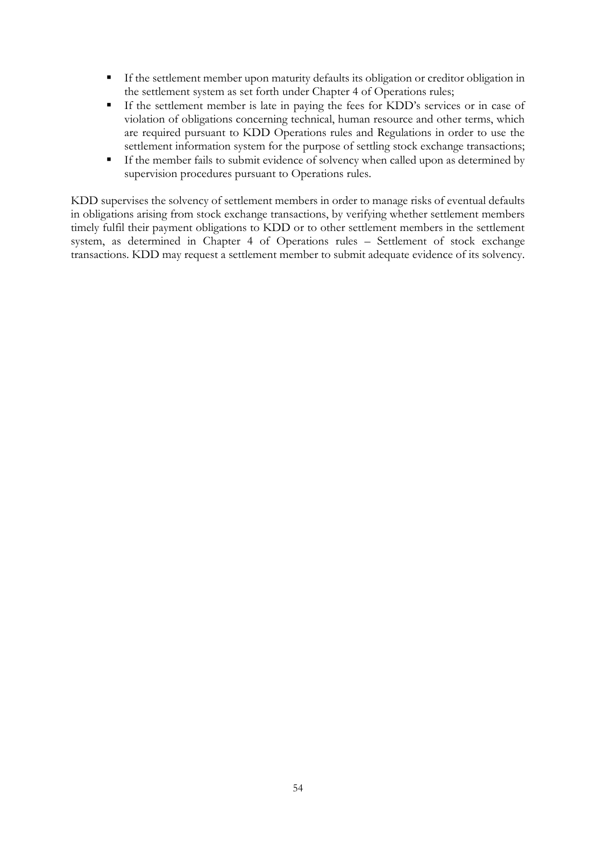- If the settlement member upon maturity defaults its obligation or creditor obligation in the settlement system as set forth under Chapter 4 of Operations rules;
- If the settlement member is late in paying the fees for KDD's services or in case of violation of obligations concerning technical, human resource and other terms, which are required pursuant to KDD Operations rules and Regulations in order to use the settlement information system for the purpose of settling stock exchange transactions;
- If the member fails to submit evidence of solvency when called upon as determined by supervision procedures pursuant to Operations rules.

KDD supervises the solvency of settlement members in order to manage risks of eventual defaults in obligations arising from stock exchange transactions, by verifying whether settlement members timely fulfil their payment obligations to KDD or to other settlement members in the settlement system, as determined in Chapter 4 of Operations rules – Settlement of stock exchange transactions. KDD may request a settlement member to submit adequate evidence of its solvency.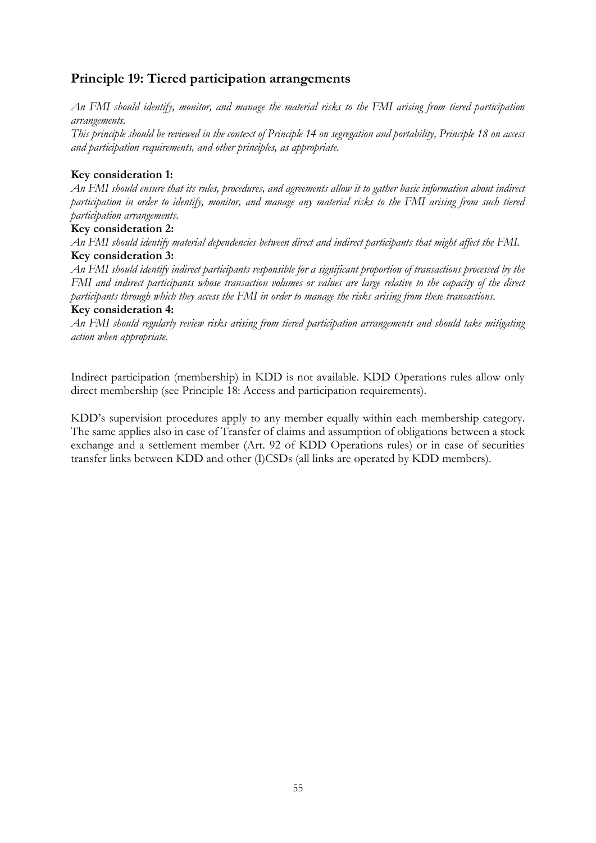# **Principle 19: Tiered participation arrangements**

*An FMI should identify, monitor, and manage the material risks to the FMI arising from tiered participation arrangements.*

*This principle should be reviewed in the context of Principle 14 on segregation and portability, Principle 18 on access and participation requirements, and other principles, as appropriate.*

# **Key consideration 1:**

*An FMI should ensure that its rules, procedures, and agreements allow it to gather basic information about indirect participation in order to identify, monitor, and manage any material risks to the FMI arising from such tiered participation arrangements.*

#### **Key consideration 2:**

*An FMI should identify material dependencies between direct and indirect participants that might affect the FMI.* **Key consideration 3:**

*An FMI should identify indirect participants responsible for a significant proportion of transactions processed by the FMI and indirect participants whose transaction volumes or values are large relative to the capacity of the direct participants through which they access the FMI in order to manage the risks arising from these transactions.*

#### **Key consideration 4:**

*An FMI should regularly review risks arising from tiered participation arrangements and should take mitigating action when appropriate.*

Indirect participation (membership) in KDD is not available. KDD Operations rules allow only direct membership (see Principle 18: Access and participation requirements).

KDD's supervision procedures apply to any member equally within each membership category. The same applies also in case of Transfer of claims and assumption of obligations between a stock exchange and a settlement member (Art. 92 of KDD Operations rules) or in case of securities transfer links between KDD and other (I)CSDs (all links are operated by KDD members).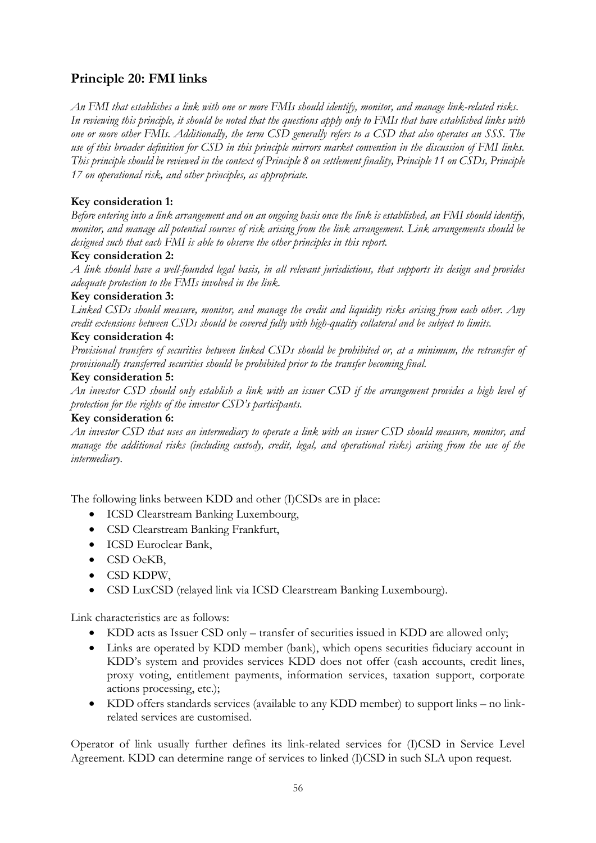# **Principle 20: FMI links**

*An FMI that establishes a link with one or more FMIs should identify, monitor, and manage link-related risks. In reviewing this principle, it should be noted that the questions apply only to FMIs that have established links with one or more other FMIs. Additionally, the term CSD generally refers to a CSD that also operates an SSS. The use of this broader definition for CSD in this principle mirrors market convention in the discussion of FMI links. This principle should be reviewed in the context of Principle 8 on settlement finality, Principle 11 on CSDs, Principle 17 on operational risk, and other principles, as appropriate.*

# **Key consideration 1:**

*Before entering into a link arrangement and on an ongoing basis once the link is established, an FMI should identify, monitor, and manage all potential sources of risk arising from the link arrangement. Link arrangements should be designed such that each FMI is able to observe the other principles in this report.*

# **Key consideration 2:**

*A link should have a well-founded legal basis, in all relevant jurisdictions, that supports its design and provides adequate protection to the FMIs involved in the link.*

# **Key consideration 3:**

*Linked CSDs should measure, monitor, and manage the credit and liquidity risks arising from each other. Any credit extensions between CSDs should be covered fully with high-quality collateral and be subject to limits.*

# **Key consideration 4:**

*Provisional transfers of securities between linked CSDs should be prohibited or, at a minimum, the retransfer of provisionally transferred securities should be prohibited prior to the transfer becoming final.*

#### **Key consideration 5:**

*An investor CSD should only establish a link with an issuer CSD if the arrangement provides a high level of protection for the rights of the investor CSD's participants.*

#### **Key consideration 6:**

*An investor CSD that uses an intermediary to operate a link with an issuer CSD should measure, monitor, and manage the additional risks (including custody, credit, legal, and operational risks) arising from the use of the intermediary.*

The following links between KDD and other (I)CSDs are in place:

- ICSD Clearstream Banking Luxembourg,
- CSD Clearstream Banking Frankfurt,
- ICSD Euroclear Bank,
- CSD OeKB,
- CSD KDPW,
- CSD LuxCSD (relayed link via ICSD Clearstream Banking Luxembourg).

Link characteristics are as follows:

- KDD acts as Issuer CSD only transfer of securities issued in KDD are allowed only;
- Links are operated by KDD member (bank), which opens securities fiduciary account in KDD's system and provides services KDD does not offer (cash accounts, credit lines, proxy voting, entitlement payments, information services, taxation support, corporate actions processing, etc.);
- KDD offers standards services (available to any KDD member) to support links no linkrelated services are customised.

Operator of link usually further defines its link-related services for (I)CSD in Service Level Agreement. KDD can determine range of services to linked (I)CSD in such SLA upon request.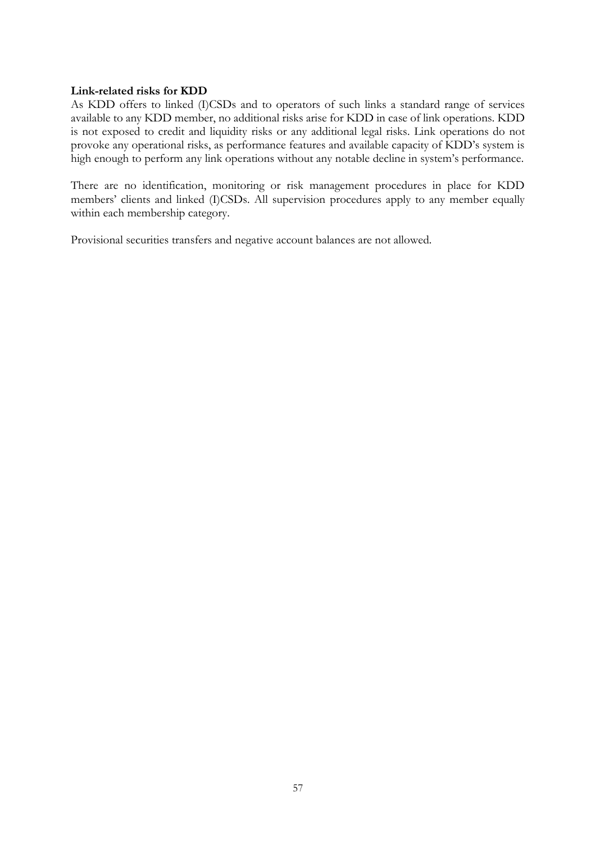#### **Link-related risks for KDD**

As KDD offers to linked (I)CSDs and to operators of such links a standard range of services available to any KDD member, no additional risks arise for KDD in case of link operations. KDD is not exposed to credit and liquidity risks or any additional legal risks. Link operations do not provoke any operational risks, as performance features and available capacity of KDD's system is high enough to perform any link operations without any notable decline in system's performance.

There are no identification, monitoring or risk management procedures in place for KDD members' clients and linked (I)CSDs. All supervision procedures apply to any member equally within each membership category.

Provisional securities transfers and negative account balances are not allowed.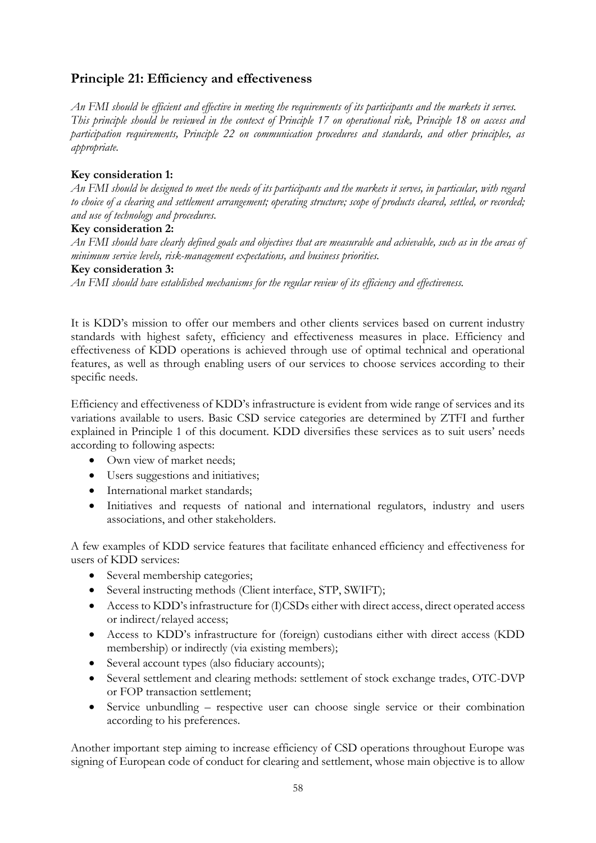# **Principle 21: Efficiency and effectiveness**

*An FMI should be efficient and effective in meeting the requirements of its participants and the markets it serves. This principle should be reviewed in the context of Principle 17 on operational risk, Principle 18 on access and participation requirements, Principle 22 on communication procedures and standards, and other principles, as appropriate.*

# **Key consideration 1:**

*An FMI should be designed to meet the needs of its participants and the markets it serves, in particular, with regard to choice of a clearing and settlement arrangement; operating structure; scope of products cleared, settled, or recorded; and use of technology and procedures.*

#### **Key consideration 2:**

*An FMI should have clearly defined goals and objectives that are measurable and achievable, such as in the areas of minimum service levels, risk-management expectations, and business priorities.*

#### **Key consideration 3:**

*An FMI should have established mechanisms for the regular review of its efficiency and effectiveness.* 

It is KDD's mission to offer our members and other clients services based on current industry standards with highest safety, efficiency and effectiveness measures in place. Efficiency and effectiveness of KDD operations is achieved through use of optimal technical and operational features, as well as through enabling users of our services to choose services according to their specific needs.

Efficiency and effectiveness of KDD's infrastructure is evident from wide range of services and its variations available to users. Basic CSD service categories are determined by ZTFI and further explained in Principle 1 of this document. KDD diversifies these services as to suit users' needs according to following aspects:

- Own view of market needs;
- Users suggestions and initiatives;
- International market standards:
- Initiatives and requests of national and international regulators, industry and users associations, and other stakeholders.

A few examples of KDD service features that facilitate enhanced efficiency and effectiveness for users of KDD services:

- Several membership categories;
- Several instructing methods (Client interface, STP, SWIFT);
- Access to KDD's infrastructure for (I)CSDs either with direct access, direct operated access or indirect/relayed access;
- Access to KDD's infrastructure for (foreign) custodians either with direct access (KDD membership) or indirectly (via existing members);
- Several account types (also fiduciary accounts);
- Several settlement and clearing methods: settlement of stock exchange trades, OTC-DVP or FOP transaction settlement;
- Service unbundling respective user can choose single service or their combination according to his preferences.

Another important step aiming to increase efficiency of CSD operations throughout Europe was signing of European code of conduct for clearing and settlement, whose main objective is to allow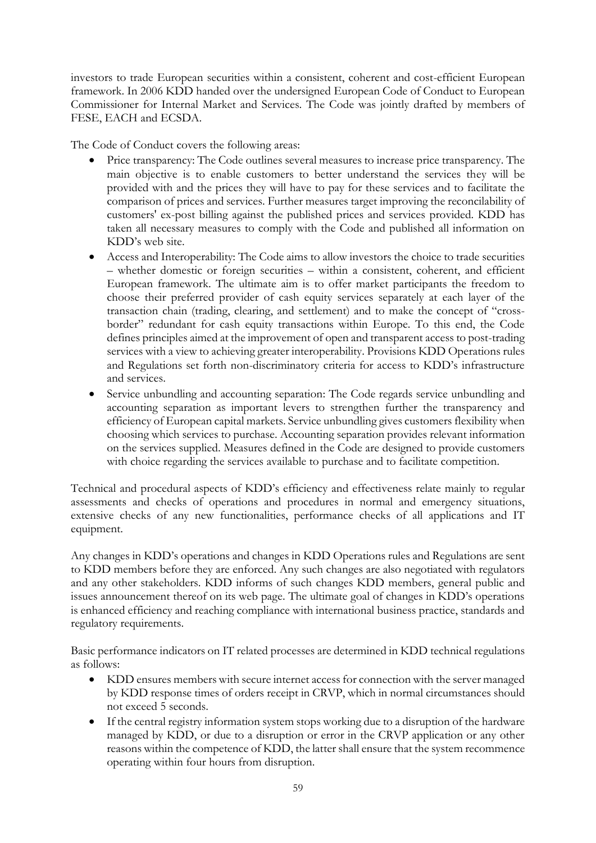investors to trade European securities within a consistent, coherent and cost-efficient European framework. In 2006 KDD handed over the undersigned European Code of Conduct to European Commissioner for Internal Market and Services. The Code was jointly drafted by members of FESE, EACH and ECSDA.

The Code of Conduct covers the following areas:

- Price transparency: The Code outlines several measures to increase price transparency. The main objective is to enable customers to better understand the services they will be provided with and the prices they will have to pay for these services and to facilitate the comparison of prices and services. Further measures target improving the reconcilability of customers' ex-post billing against the published prices and services provided. KDD has taken all necessary measures to comply with the Code and published all information on KDD's web site.
- Access and Interoperability: The Code aims to allow investors the choice to trade securities – whether domestic or foreign securities – within a consistent, coherent, and efficient European framework. The ultimate aim is to offer market participants the freedom to choose their preferred provider of cash equity services separately at each layer of the transaction chain (trading, clearing, and settlement) and to make the concept of "crossborder" redundant for cash equity transactions within Europe. To this end, the Code defines principles aimed at the improvement of open and transparent access to post-trading services with a view to achieving greater interoperability. Provisions KDD Operations rules and Regulations set forth non-discriminatory criteria for access to KDD's infrastructure and services.
- Service unbundling and accounting separation: The Code regards service unbundling and accounting separation as important levers to strengthen further the transparency and efficiency of European capital markets. Service unbundling gives customers flexibility when choosing which services to purchase. Accounting separation provides relevant information on the services supplied. Measures defined in the Code are designed to provide customers with choice regarding the services available to purchase and to facilitate competition.

Technical and procedural aspects of KDD's efficiency and effectiveness relate mainly to regular assessments and checks of operations and procedures in normal and emergency situations, extensive checks of any new functionalities, performance checks of all applications and IT equipment.

Any changes in KDD's operations and changes in KDD Operations rules and Regulations are sent to KDD members before they are enforced. Any such changes are also negotiated with regulators and any other stakeholders. KDD informs of such changes KDD members, general public and issues announcement thereof on its web page. The ultimate goal of changes in KDD's operations is enhanced efficiency and reaching compliance with international business practice, standards and regulatory requirements.

Basic performance indicators on IT related processes are determined in KDD technical regulations as follows:

- KDD ensures members with secure internet access for connection with the server managed by KDD response times of orders receipt in CRVP, which in normal circumstances should not exceed 5 seconds.
- If the central registry information system stops working due to a disruption of the hardware managed by KDD, or due to a disruption or error in the CRVP application or any other reasons within the competence of KDD, the latter shall ensure that the system recommence operating within four hours from disruption.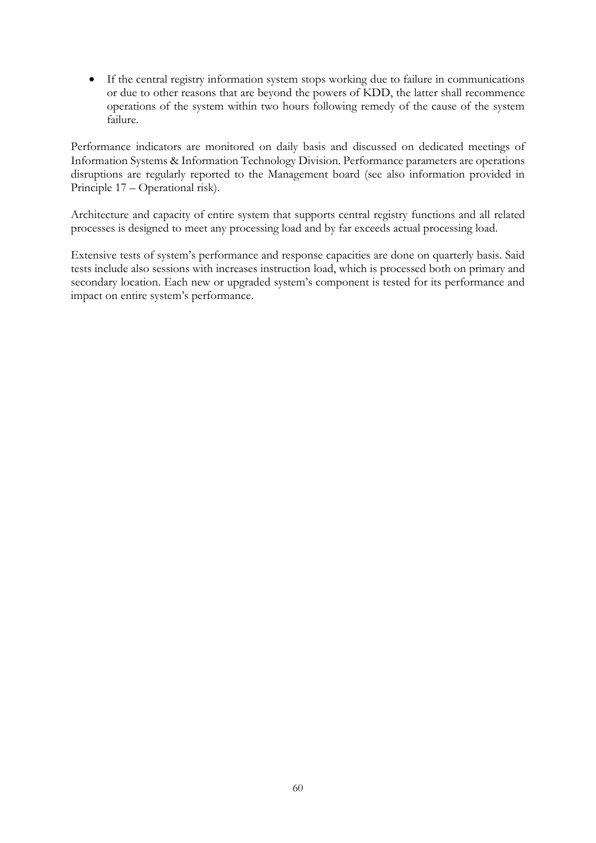If the central registry information system stops working due to failure in communications or due to other reasons that are beyond the powers of KDD, the latter shall recommence operations of the system within two hours following remedy of the cause of the system failure.

Performance indicators are monitored on daily basis and discussed on dedicated meetings of Information Systems & Information Technology Division. Performance parameters are operations disruptions are regularly reported to the Management board (see also information provided in Principle 17 – Operational risk).

Architecture and capacity of entire system that supports central registry functions and all related processes is designed to meet any processing load and by far exceeds actual processing load.

Extensive tests of system's performance and response capacities are done on quarterly basis. Said tests include also sessions with increases instruction load, which is processed both on primary and secondary location. Each new or upgraded system's component is tested for its performance and impact on entire system's performance.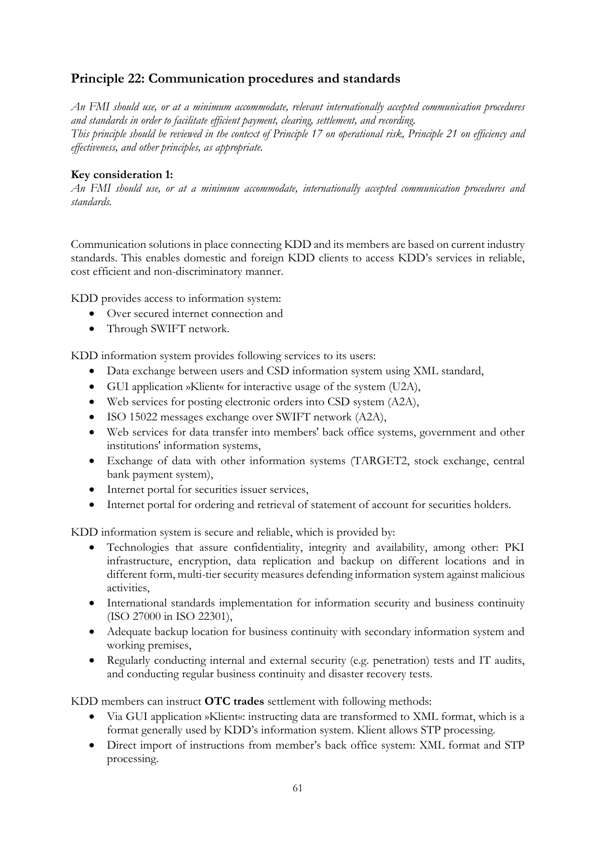# **Principle 22: Communication procedures and standards**

*An FMI should use, or at a minimum accommodate, relevant internationally accepted communication procedures and standards in order to facilitate efficient payment, clearing, settlement, and recording. This principle should be reviewed in the context of Principle 17 on operational risk, Principle 21 on efficiency and effectiveness, and other principles, as appropriate.*

# **Key consideration 1:**

*An FMI should use, or at a minimum accommodate, internationally accepted communication procedures and standards.*

Communication solutions in place connecting KDD and its members are based on current industry standards. This enables domestic and foreign KDD clients to access KDD's services in reliable, cost efficient and non-discriminatory manner.

KDD provides access to information system:

- Over secured internet connection and
- Through SWIFT network.

KDD information system provides following services to its users:

- Data exchange between users and CSD information system using XML standard,
- GUI application »Klient« for interactive usage of the system (U2A),
- Web services for posting electronic orders into CSD system (A2A),
- ISO 15022 messages exchange over SWIFT network (A2A),
- Web services for data transfer into members' back office systems, government and other institutions' information systems,
- Exchange of data with other information systems (TARGET2, stock exchange, central bank payment system),
- Internet portal for securities issuer services,
- Internet portal for ordering and retrieval of statement of account for securities holders.

KDD information system is secure and reliable, which is provided by:

- Technologies that assure confidentiality, integrity and availability, among other: PKI infrastructure, encryption, data replication and backup on different locations and in different form, multi-tier security measures defending information system against malicious activities,
- International standards implementation for information security and business continuity (ISO 27000 in ISO 22301),
- Adequate backup location for business continuity with secondary information system and working premises,
- Regularly conducting internal and external security (e.g. penetration) tests and IT audits, and conducting regular business continuity and disaster recovery tests.

KDD members can instruct **OTC trades** settlement with following methods:

- Via GUI application »Klient«: instructing data are transformed to XML format, which is a format generally used by KDD's information system. Klient allows STP processing.
- Direct import of instructions from member's back office system: XML format and STP processing.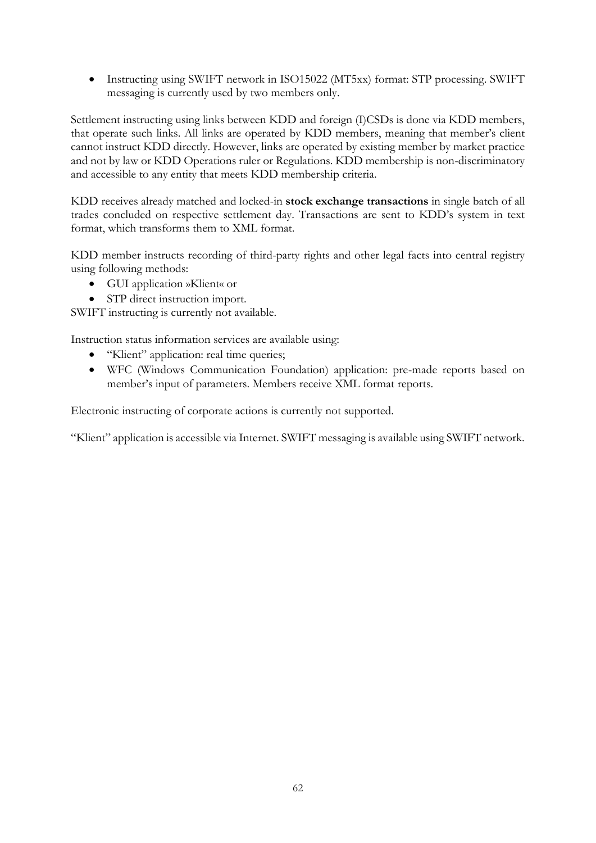Instructing using SWIFT network in ISO15022 (MT5xx) format: STP processing. SWIFT messaging is currently used by two members only.

Settlement instructing using links between KDD and foreign (I)CSDs is done via KDD members, that operate such links. All links are operated by KDD members, meaning that member's client cannot instruct KDD directly. However, links are operated by existing member by market practice and not by law or KDD Operations ruler or Regulations. KDD membership is non-discriminatory and accessible to any entity that meets KDD membership criteria.

KDD receives already matched and locked-in **stock exchange transactions** in single batch of all trades concluded on respective settlement day. Transactions are sent to KDD's system in text format, which transforms them to XML format.

KDD member instructs recording of third-party rights and other legal facts into central registry using following methods:

- GUI application »Klient« or
- STP direct instruction import.

SWIFT instructing is currently not available.

Instruction status information services are available using:

- "Klient" application: real time queries;
- WFC (Windows Communication Foundation) application: pre-made reports based on member's input of parameters. Members receive XML format reports.

Electronic instructing of corporate actions is currently not supported.

"Klient" application is accessible via Internet. SWIFT messaging is available using SWIFT network.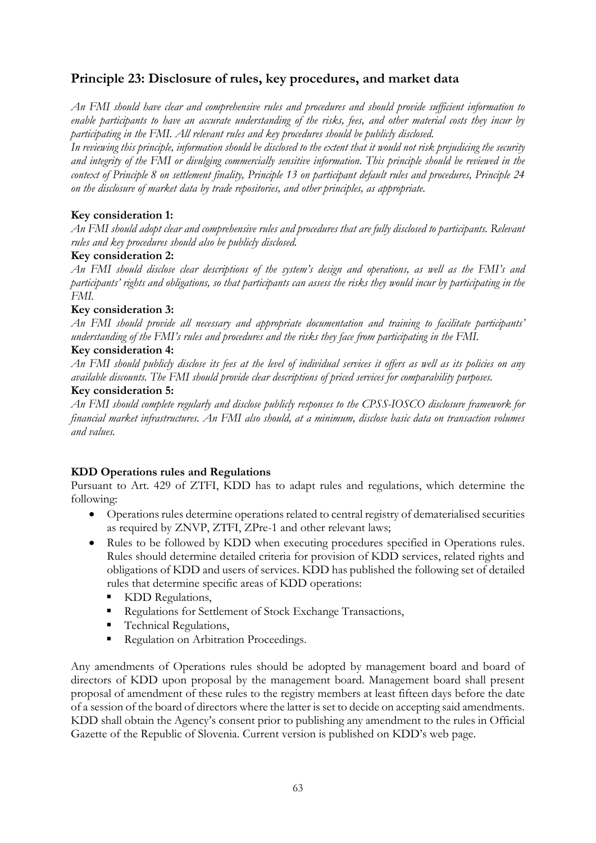# **Principle 23: Disclosure of rules, key procedures, and market data**

*An FMI should have clear and comprehensive rules and procedures and should provide sufficient information to enable participants to have an accurate understanding of the risks, fees, and other material costs they incur by participating in the FMI. All relevant rules and key procedures should be publicly disclosed.*

*In reviewing this principle, information should be disclosed to the extent that it would not risk prejudicing the security and integrity of the FMI or divulging commercially sensitive information. This principle should be reviewed in the context of Principle 8 on settlement finality, Principle 13 on participant default rules and procedures, Principle 24 on the disclosure of market data by trade repositories, and other principles, as appropriate.*

# **Key consideration 1:**

*An FMI should adopt clear and comprehensive rules and procedures that are fully disclosed to participants. Relevant rules and key procedures should also be publicly disclosed.*

#### **Key consideration 2:**

*An FMI should disclose clear descriptions of the system's design and operations, as well as the FMI's and participants' rights and obligations, so that participants can assess the risks they would incur by participating in the FMI.*

# **Key consideration 3:**

*An FMI should provide all necessary and appropriate documentation and training to facilitate participants' understanding of the FMI's rules and procedures and the risks they face from participating in the FMI.*

# **Key consideration 4:**

*An FMI should publicly disclose its fees at the level of individual services it offers as well as its policies on any available discounts. The FMI should provide clear descriptions of priced services for comparability purposes.*

#### **Key consideration 5:**

*An FMI should complete regularly and disclose publicly responses to the CPSS-IOSCO disclosure framework for financial market infrastructures. An FMI also should, at a minimum, disclose basic data on transaction volumes and values.*

# **KDD Operations rules and Regulations**

Pursuant to Art. 429 of ZTFI, KDD has to adapt rules and regulations, which determine the following:

- Operations rules determine operations related to central registry of dematerialised securities as required by ZNVP, ZTFI, ZPre-1 and other relevant laws;
- Rules to be followed by KDD when executing procedures specified in Operations rules. Rules should determine detailed criteria for provision of KDD services, related rights and obligations of KDD and users of services. KDD has published the following set of detailed rules that determine specific areas of KDD operations:
	- KDD Regulations,
	- Regulations for Settlement of Stock Exchange Transactions,
	- **Technical Regulations,**
	- Regulation on Arbitration Proceedings.

Any amendments of Operations rules should be adopted by management board and board of directors of KDD upon proposal by the management board. Management board shall present proposal of amendment of these rules to the registry members at least fifteen days before the date of a session of the board of directors where the latter is set to decide on accepting said amendments. KDD shall obtain the Agency's consent prior to publishing any amendment to the rules in Official Gazette of the Republic of Slovenia. Current version is published on KDD's web page.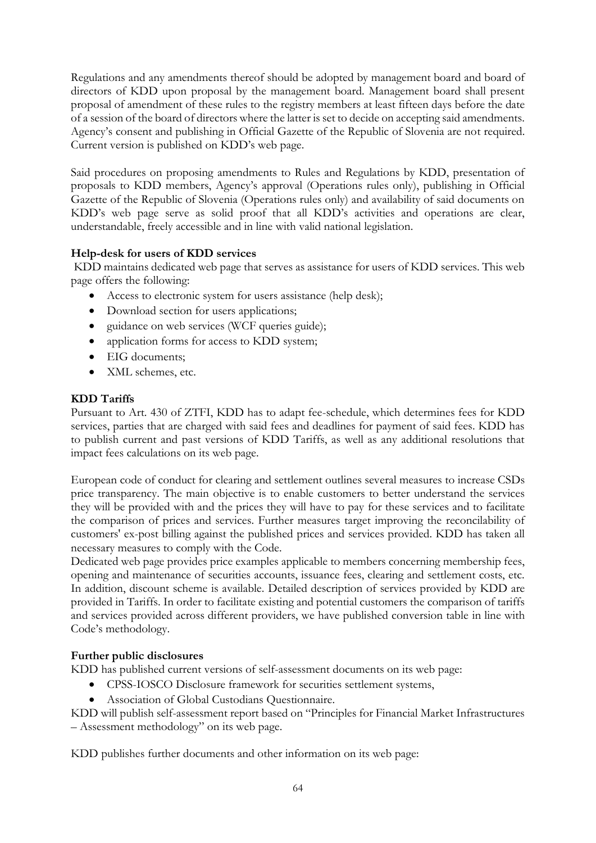Regulations and any amendments thereof should be adopted by management board and board of directors of KDD upon proposal by the management board. Management board shall present proposal of amendment of these rules to the registry members at least fifteen days before the date of a session of the board of directors where the latter is set to decide on accepting said amendments. Agency's consent and publishing in Official Gazette of the Republic of Slovenia are not required. Current version is published on KDD's web page.

Said procedures on proposing amendments to Rules and Regulations by KDD, presentation of proposals to KDD members, Agency's approval (Operations rules only), publishing in Official Gazette of the Republic of Slovenia (Operations rules only) and availability of said documents on KDD's web page serve as solid proof that all KDD's activities and operations are clear, understandable, freely accessible and in line with valid national legislation.

# **Help-desk for users of KDD services**

KDD maintains dedicated web page that serves as assistance for users of KDD services. This web page offers the following:

- Access to electronic system for users assistance (help desk);
- Download section for users applications;
- guidance on web services (WCF queries guide);
- application forms for access to KDD system;
- EIG documents;
- XML schemes, etc.

#### **KDD Tariffs**

Pursuant to Art. 430 of ZTFI, KDD has to adapt fee-schedule, which determines fees for KDD services, parties that are charged with said fees and deadlines for payment of said fees. KDD has to publish current and past versions of KDD Tariffs, as well as any additional resolutions that impact fees calculations on its web page.

European code of conduct for clearing and settlement outlines several measures to increase CSDs price transparency. The main objective is to enable customers to better understand the services they will be provided with and the prices they will have to pay for these services and to facilitate the comparison of prices and services. Further measures target improving the reconcilability of customers' ex-post billing against the published prices and services provided. KDD has taken all necessary measures to comply with the Code.

Dedicated web page provides price examples applicable to members concerning membership fees, opening and maintenance of securities accounts, issuance fees, clearing and settlement costs, etc. In addition, discount scheme is available. Detailed description of services provided by KDD are provided in Tariffs. In order to facilitate existing and potential customers the comparison of tariffs and services provided across different providers, we have published conversion table in line with Code's methodology.

#### **Further public disclosures**

KDD has published current versions of self-assessment documents on its web page:

- CPSS-IOSCO Disclosure framework for securities settlement systems,
- Association of Global Custodians Questionnaire.

KDD will publish self-assessment report based on "Principles for Financial Market Infrastructures – Assessment methodology" on its web page.

KDD publishes further documents and other information on its web page: